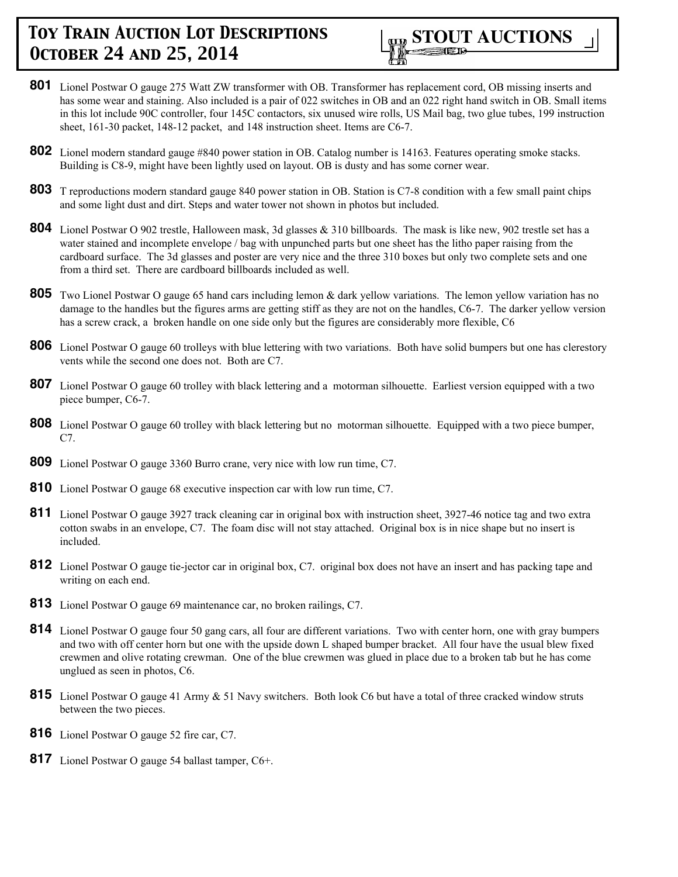

- **801** Lionel Postwar O gauge 275 Watt ZW transformer with OB. Transformer has replacement cord, OB missing inserts and has some wear and staining. Also included is a pair of 022 switches in OB and an 022 right hand switch in OB. Small items in this lot include 90C controller, four 145C contactors, six unused wire rolls, US Mail bag, two glue tubes, 199 instruction sheet, 161-30 packet, 148-12 packet, and 148 instruction sheet. Items are C6-7.
- **802** Lionel modern standard gauge #840 power station in OB. Catalog number is 14163. Features operating smoke stacks. Building is C8-9, might have been lightly used on layout. OB is dusty and has some corner wear.
- **803** T reproductions modern standard gauge 840 power station in OB. Station is C7-8 condition with a few small paint chips and some light dust and dirt. Steps and water tower not shown in photos but included.
- **804** Lionel Postwar O 902 trestle, Halloween mask, 3d glasses & 310 billboards. The mask is like new, 902 trestle set has a water stained and incomplete envelope / bag with unpunched parts but one sheet has the litho paper raising from the cardboard surface. The 3d glasses and poster are very nice and the three 310 boxes but only two complete sets and one from a third set. There are cardboard billboards included as well.
- **805** Two Lionel Postwar O gauge 65 hand cars including lemon & dark yellow variations. The lemon yellow variation has no damage to the handles but the figures arms are getting stiff as they are not on the handles, C6-7. The darker yellow version has a screw crack, a broken handle on one side only but the figures are considerably more flexible, C6
- **806** Lionel Postwar O gauge 60 trolleys with blue lettering with two variations. Both have solid bumpers but one has clerestory vents while the second one does not. Both are C7.
- **807** Lionel Postwar O gauge 60 trolley with black lettering and a motorman silhouette. Earliest version equipped with a two piece bumper, C6-7.
- **808** Lionel Postwar O gauge 60 trolley with black lettering but no motorman silhouette. Equipped with a two piece bumper, C7.
- **809** Lionel Postwar O gauge 3360 Burro crane, very nice with low run time, C7.
- **810** Lionel Postwar O gauge 68 executive inspection car with low run time, C7.
- **811** Lionel Postwar O gauge 3927 track cleaning car in original box with instruction sheet, 3927-46 notice tag and two extra cotton swabs in an envelope, C7. The foam disc will not stay attached. Original box is in nice shape but no insert is included.
- **812** Lionel Postwar O gauge tie-jector car in original box, C7. original box does not have an insert and has packing tape and writing on each end.
- **813** Lionel Postwar O gauge 69 maintenance car, no broken railings, C7.
- **814** Lionel Postwar O gauge four 50 gang cars, all four are different variations. Two with center horn, one with gray bumpers and two with off center horn but one with the upside down L shaped bumper bracket. All four have the usual blew fixed crewmen and olive rotating crewman. One of the blue crewmen was glued in place due to a broken tab but he has come unglued as seen in photos, C6.
- 815 Lionel Postwar O gauge 41 Army & 51 Navy switchers. Both look C6 but have a total of three cracked window struts between the two pieces.
- **816** Lionel Postwar O gauge 52 fire car, C7.
- **817** Lionel Postwar O gauge 54 ballast tamper, C6+.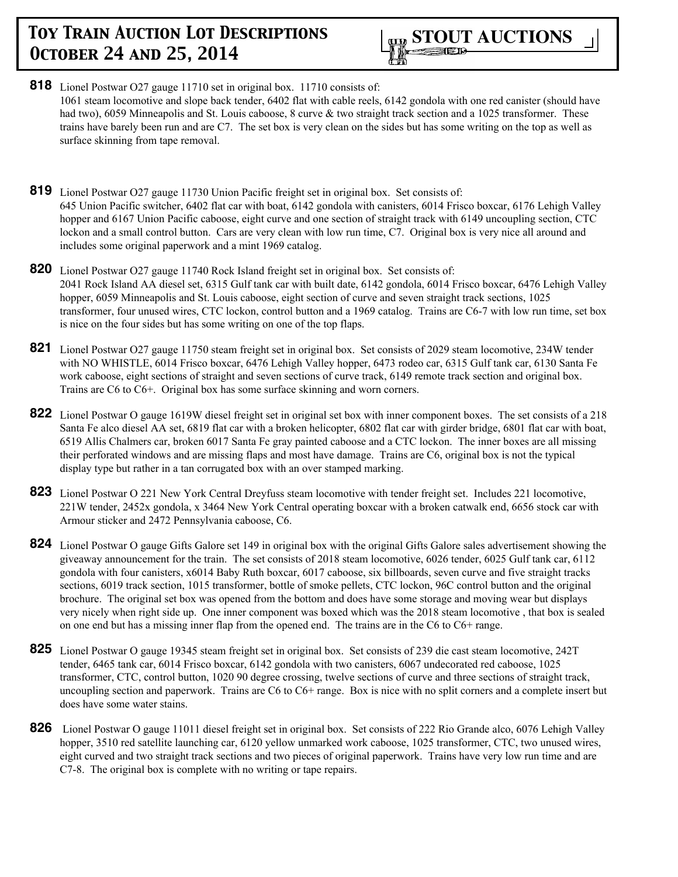

- **818** Lionel Postwar O27 gauge 11710 set in original box. 11710 consists of: 1061 steam locomotive and slope back tender, 6402 flat with cable reels, 6142 gondola with one red canister (should have had two), 6059 Minneapolis and St. Louis caboose, 8 curve & two straight track section and a 1025 transformer. These trains have barely been run and are C7. The set box is very clean on the sides but has some writing on the top as well as surface skinning from tape removal.
- **819** Lionel Postwar O27 gauge 11730 Union Pacific freight set in original box. Set consists of: 645 Union Pacific switcher, 6402 flat car with boat, 6142 gondola with canisters, 6014 Frisco boxcar, 6176 Lehigh Valley hopper and 6167 Union Pacific caboose, eight curve and one section of straight track with 6149 uncoupling section, CTC lockon and a small control button. Cars are very clean with low run time, C7. Original box is very nice all around and includes some original paperwork and a mint 1969 catalog.
- **820** Lionel Postwar O27 gauge 11740 Rock Island freight set in original box. Set consists of: 2041 Rock Island AA diesel set, 6315 Gulf tank car with built date, 6142 gondola, 6014 Frisco boxcar, 6476 Lehigh Valley hopper, 6059 Minneapolis and St. Louis caboose, eight section of curve and seven straight track sections, 1025 transformer, four unused wires, CTC lockon, control button and a 1969 catalog. Trains are C6-7 with low run time, set box is nice on the four sides but has some writing on one of the top flaps.
- **821** Lionel Postwar O27 gauge 11750 steam freight set in original box. Set consists of 2029 steam locomotive, 234W tender with NO WHISTLE, 6014 Frisco boxcar, 6476 Lehigh Valley hopper, 6473 rodeo car, 6315 Gulf tank car, 6130 Santa Fe work caboose, eight sections of straight and seven sections of curve track, 6149 remote track section and original box. Trains are C6 to C6+. Original box has some surface skinning and worn corners.
- **822** Lionel Postwar O gauge 1619W diesel freight set in original set box with inner component boxes. The set consists of a 218 Santa Fe alco diesel AA set, 6819 flat car with a broken helicopter, 6802 flat car with girder bridge, 6801 flat car with boat, 6519 Allis Chalmers car, broken 6017 Santa Fe gray painted caboose and a CTC lockon. The inner boxes are all missing their perforated windows and are missing flaps and most have damage. Trains are C6, original box is not the typical display type but rather in a tan corrugated box with an over stamped marking.
- **823** Lionel Postwar O 221 New York Central Dreyfuss steam locomotive with tender freight set. Includes 221 locomotive, 221W tender, 2452x gondola, x 3464 New York Central operating boxcar with a broken catwalk end, 6656 stock car with Armour sticker and 2472 Pennsylvania caboose, C6.
- **824** Lionel Postwar O gauge Gifts Galore set 149 in original box with the original Gifts Galore sales advertisement showing the giveaway announcement for the train. The set consists of 2018 steam locomotive, 6026 tender, 6025 Gulf tank car, 6112 gondola with four canisters, x6014 Baby Ruth boxcar, 6017 caboose, six billboards, seven curve and five straight tracks sections, 6019 track section, 1015 transformer, bottle of smoke pellets, CTC lockon, 96C control button and the original brochure. The original set box was opened from the bottom and does have some storage and moving wear but displays very nicely when right side up. One inner component was boxed which was the 2018 steam locomotive , that box is sealed on one end but has a missing inner flap from the opened end. The trains are in the C6 to C6+ range.
- **825** Lionel Postwar O gauge 19345 steam freight set in original box. Set consists of 239 die cast steam locomotive, 242T tender, 6465 tank car, 6014 Frisco boxcar, 6142 gondola with two canisters, 6067 undecorated red caboose, 1025 transformer, CTC, control button, 1020 90 degree crossing, twelve sections of curve and three sections of straight track, uncoupling section and paperwork. Trains are C6 to C6+ range. Box is nice with no split corners and a complete insert but does have some water stains.
- **826** Lionel Postwar O gauge 11011 diesel freight set in original box. Set consists of 222 Rio Grande alco, 6076 Lehigh Valley hopper, 3510 red satellite launching car, 6120 yellow unmarked work caboose, 1025 transformer, CTC, two unused wires, eight curved and two straight track sections and two pieces of original paperwork. Trains have very low run time and are C7-8. The original box is complete with no writing or tape repairs.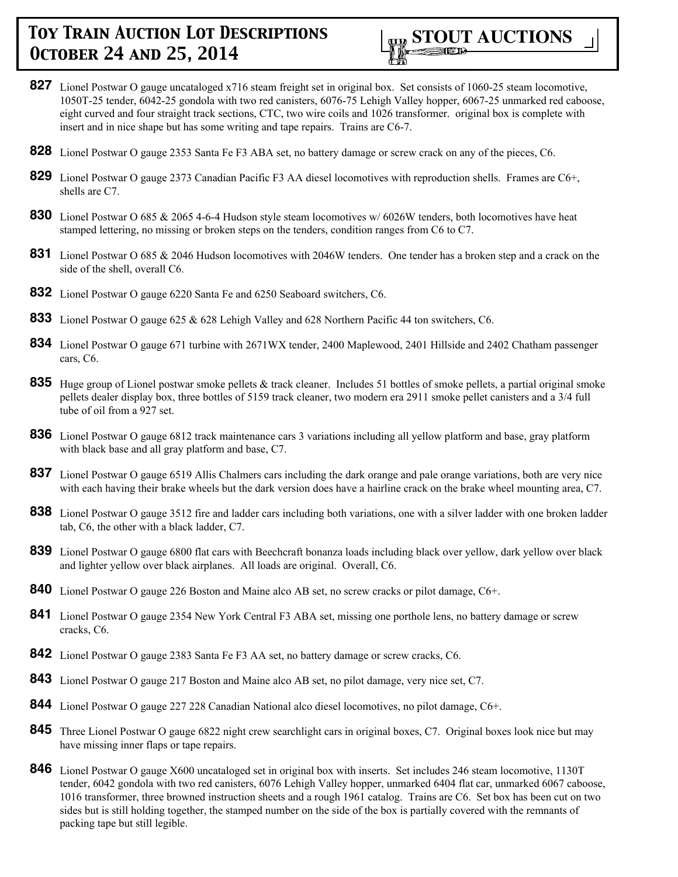

- **827** Lionel Postwar O gauge uncataloged x716 steam freight set in original box. Set consists of 1060-25 steam locomotive, 1050T-25 tender, 6042-25 gondola with two red canisters, 6076-75 Lehigh Valley hopper, 6067-25 unmarked red caboose, eight curved and four straight track sections, CTC, two wire coils and 1026 transformer. original box is complete with insert and in nice shape but has some writing and tape repairs. Trains are C6-7.
- **828** Lionel Postwar O gauge 2353 Santa Fe F3 ABA set, no battery damage or screw crack on any of the pieces, C6.
- **829** Lionel Postwar O gauge 2373 Canadian Pacific F3 AA diesel locomotives with reproduction shells. Frames are C6+, shells are C7.
- **830** Lionel Postwar O 685 & 2065 4-6-4 Hudson style steam locomotives w/ 6026W tenders, both locomotives have heat stamped lettering, no missing or broken steps on the tenders, condition ranges from C6 to C7.
- **831** Lionel Postwar O 685 & 2046 Hudson locomotives with 2046W tenders. One tender has a broken step and a crack on the side of the shell, overall C6.
- **832** Lionel Postwar O gauge 6220 Santa Fe and 6250 Seaboard switchers, C6.
- **833** Lionel Postwar O gauge 625 & 628 Lehigh Valley and 628 Northern Pacific 44 ton switchers, C6.
- **834** Lionel Postwar O gauge 671 turbine with 2671WX tender, 2400 Maplewood, 2401 Hillside and 2402 Chatham passenger cars, C6.
- **835** Huge group of Lionel postwar smoke pellets & track cleaner. Includes 51 bottles of smoke pellets, a partial original smoke pellets dealer display box, three bottles of 5159 track cleaner, two modern era 2911 smoke pellet canisters and a 3/4 full tube of oil from a 927 set.
- **836** Lionel Postwar O gauge 6812 track maintenance cars 3 variations including all yellow platform and base, gray platform with black base and all gray platform and base, C7.
- **837** Lionel Postwar O gauge 6519 Allis Chalmers cars including the dark orange and pale orange variations, both are very nice with each having their brake wheels but the dark version does have a hairline crack on the brake wheel mounting area, C7.
- **838** Lionel Postwar O gauge 3512 fire and ladder cars including both variations, one with a silver ladder with one broken ladder tab, C6, the other with a black ladder, C7.
- **839** Lionel Postwar O gauge 6800 flat cars with Beechcraft bonanza loads including black over yellow, dark yellow over black and lighter yellow over black airplanes. All loads are original. Overall, C6.
- **840** Lionel Postwar O gauge 226 Boston and Maine alco AB set, no screw cracks or pilot damage, C6+.
- **841** Lionel Postwar O gauge 2354 New York Central F3 ABA set, missing one porthole lens, no battery damage or screw cracks, C6.
- **842** Lionel Postwar O gauge 2383 Santa Fe F3 AA set, no battery damage or screw cracks, C6.
- **843** Lionel Postwar O gauge 217 Boston and Maine alco AB set, no pilot damage, very nice set, C7.
- **844** Lionel Postwar O gauge 227 228 Canadian National alco diesel locomotives, no pilot damage, C6+.
- **845** Three Lionel Postwar O gauge 6822 night crew searchlight cars in original boxes, C7. Original boxes look nice but may have missing inner flaps or tape repairs.
- **846** Lionel Postwar O gauge X600 uncataloged set in original box with inserts. Set includes 246 steam locomotive, 1130T tender, 6042 gondola with two red canisters, 6076 Lehigh Valley hopper, unmarked 6404 flat car, unmarked 6067 caboose, 1016 transformer, three browned instruction sheets and a rough 1961 catalog. Trains are C6. Set box has been cut on two sides but is still holding together, the stamped number on the side of the box is partially covered with the remnants of packing tape but still legible.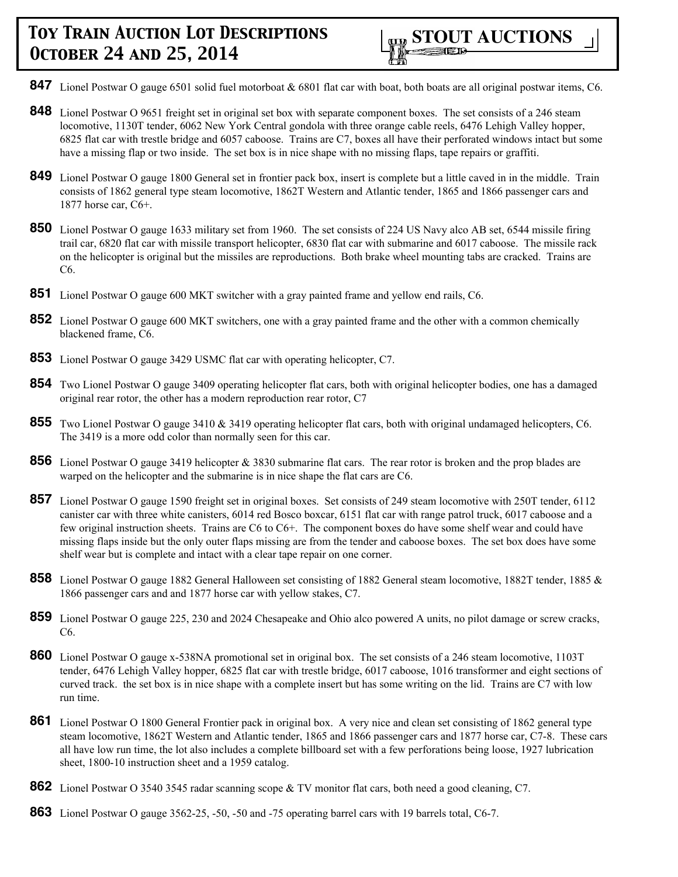

- **847** Lionel Postwar O gauge 6501 solid fuel motorboat & 6801 flat car with boat, both boats are all original postwar items, C6.
- **848** Lionel Postwar O 9651 freight set in original set box with separate component boxes. The set consists of a 246 steam locomotive, 1130T tender, 6062 New York Central gondola with three orange cable reels, 6476 Lehigh Valley hopper, 6825 flat car with trestle bridge and 6057 caboose. Trains are C7, boxes all have their perforated windows intact but some have a missing flap or two inside. The set box is in nice shape with no missing flaps, tape repairs or graffiti.
- **849** Lionel Postwar O gauge 1800 General set in frontier pack box, insert is complete but a little caved in in the middle. Train consists of 1862 general type steam locomotive, 1862T Western and Atlantic tender, 1865 and 1866 passenger cars and 1877 horse car, C6+.
- **850** Lionel Postwar O gauge 1633 military set from 1960. The set consists of 224 US Navy alco AB set, 6544 missile firing trail car, 6820 flat car with missile transport helicopter, 6830 flat car with submarine and 6017 caboose. The missile rack on the helicopter is original but the missiles are reproductions. Both brake wheel mounting tabs are cracked. Trains are C6.
- **851** Lionel Postwar O gauge 600 MKT switcher with a gray painted frame and yellow end rails, C6.
- **852** Lionel Postwar O gauge 600 MKT switchers, one with a gray painted frame and the other with a common chemically blackened frame, C6.
- **853** Lionel Postwar O gauge 3429 USMC flat car with operating helicopter, C7.
- **854** Two Lionel Postwar O gauge 3409 operating helicopter flat cars, both with original helicopter bodies, one has a damaged original rear rotor, the other has a modern reproduction rear rotor, C7
- **855** Two Lionel Postwar O gauge 3410 & 3419 operating helicopter flat cars, both with original undamaged helicopters, C6. The 3419 is a more odd color than normally seen for this car.
- **856** Lionel Postwar O gauge 3419 helicopter & 3830 submarine flat cars. The rear rotor is broken and the prop blades are warped on the helicopter and the submarine is in nice shape the flat cars are C6.
- **857** Lionel Postwar O gauge 1590 freight set in original boxes. Set consists of 249 steam locomotive with 250T tender, 6112 canister car with three white canisters, 6014 red Bosco boxcar, 6151 flat car with range patrol truck, 6017 caboose and a few original instruction sheets. Trains are C6 to C6+. The component boxes do have some shelf wear and could have missing flaps inside but the only outer flaps missing are from the tender and caboose boxes. The set box does have some shelf wear but is complete and intact with a clear tape repair on one corner.
- **858** Lionel Postwar O gauge 1882 General Halloween set consisting of 1882 General steam locomotive, 1882T tender, 1885 & 1866 passenger cars and and 1877 horse car with yellow stakes, C7.
- **859** Lionel Postwar O gauge 225, 230 and 2024 Chesapeake and Ohio alco powered A units, no pilot damage or screw cracks, C6.
- **860** Lionel Postwar O gauge x-538NA promotional set in original box. The set consists of a 246 steam locomotive, 1103T tender, 6476 Lehigh Valley hopper, 6825 flat car with trestle bridge, 6017 caboose, 1016 transformer and eight sections of curved track. the set box is in nice shape with a complete insert but has some writing on the lid. Trains are C7 with low run time.
- **861** Lionel Postwar O 1800 General Frontier pack in original box. A very nice and clean set consisting of 1862 general type steam locomotive, 1862T Western and Atlantic tender, 1865 and 1866 passenger cars and 1877 horse car, C7-8. These cars all have low run time, the lot also includes a complete billboard set with a few perforations being loose, 1927 lubrication sheet, 1800-10 instruction sheet and a 1959 catalog.
- **862** Lionel Postwar O 3540 3545 radar scanning scope & TV monitor flat cars, both need a good cleaning, C7.
- **863** Lionel Postwar O gauge 3562-25, -50, -50 and -75 operating barrel cars with 19 barrels total, C6-7.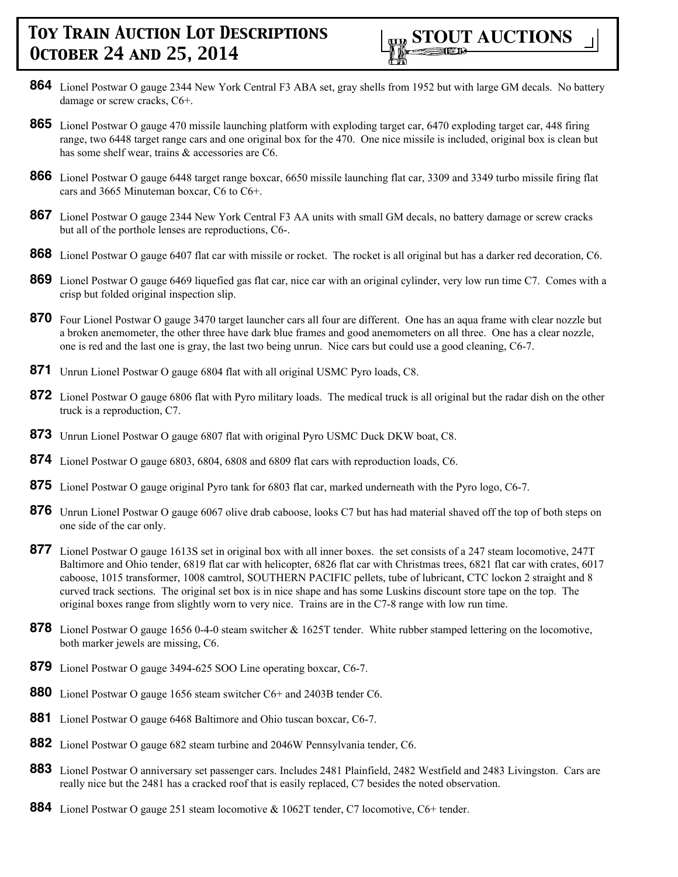

- **864** Lionel Postwar O gauge 2344 New York Central F3 ABA set, gray shells from 1952 but with large GM decals. No battery damage or screw cracks, C6+.
- **865** Lionel Postwar O gauge 470 missile launching platform with exploding target car, 6470 exploding target car, 448 firing range, two 6448 target range cars and one original box for the 470. One nice missile is included, original box is clean but has some shelf wear, trains & accessories are C6.
- **866** Lionel Postwar O gauge 6448 target range boxcar, 6650 missile launching flat car, 3309 and 3349 turbo missile firing flat cars and 3665 Minuteman boxcar, C6 to C6+.
- **867** Lionel Postwar O gauge 2344 New York Central F3 AA units with small GM decals, no battery damage or screw cracks but all of the porthole lenses are reproductions, C6-.
- **868** Lionel Postwar O gauge 6407 flat car with missile or rocket. The rocket is all original but has a darker red decoration, C6.
- **869** Lionel Postwar O gauge 6469 liquefied gas flat car, nice car with an original cylinder, very low run time C7. Comes with a crisp but folded original inspection slip.
- **870** Four Lionel Postwar O gauge 3470 target launcher cars all four are different. One has an aqua frame with clear nozzle but a broken anemometer, the other three have dark blue frames and good anemometers on all three. One has a clear nozzle, one is red and the last one is gray, the last two being unrun. Nice cars but could use a good cleaning, C6-7.
- **871** Unrun Lionel Postwar O gauge 6804 flat with all original USMC Pyro loads, C8.
- **872** Lionel Postwar O gauge 6806 flat with Pyro military loads. The medical truck is all original but the radar dish on the other truck is a reproduction, C7.
- **873** Unrun Lionel Postwar O gauge 6807 flat with original Pyro USMC Duck DKW boat, C8.
- **874** Lionel Postwar O gauge 6803, 6804, 6808 and 6809 flat cars with reproduction loads, C6.
- **875** Lionel Postwar O gauge original Pyro tank for 6803 flat car, marked underneath with the Pyro logo, C6-7.
- **876** Unrun Lionel Postwar O gauge 6067 olive drab caboose, looks C7 but has had material shaved off the top of both steps on one side of the car only.
- **877** Lionel Postwar O gauge 1613S set in original box with all inner boxes. the set consists of a 247 steam locomotive, 247T Baltimore and Ohio tender, 6819 flat car with helicopter, 6826 flat car with Christmas trees, 6821 flat car with crates, 6017 caboose, 1015 transformer, 1008 camtrol, SOUTHERN PACIFIC pellets, tube of lubricant, CTC lockon 2 straight and 8 curved track sections. The original set box is in nice shape and has some Luskins discount store tape on the top. The original boxes range from slightly worn to very nice. Trains are in the C7-8 range with low run time.
- **878** Lionel Postwar O gauge 1656 0-4-0 steam switcher & 1625T tender. White rubber stamped lettering on the locomotive, both marker jewels are missing, C6.
- **879** Lionel Postwar O gauge 3494-625 SOO Line operating boxcar, C6-7.
- **880** Lionel Postwar O gauge 1656 steam switcher C6+ and 2403B tender C6.
- **881** Lionel Postwar O gauge 6468 Baltimore and Ohio tuscan boxcar, C6-7.
- **882** Lionel Postwar O gauge 682 steam turbine and 2046W Pennsylvania tender, C6.
- **883** Lionel Postwar O anniversary set passenger cars. Includes 2481 Plainfield, 2482 Westfield and 2483 Livingston. Cars are really nice but the 2481 has a cracked roof that is easily replaced, C7 besides the noted observation.
- **884** Lionel Postwar O gauge 251 steam locomotive & 1062T tender, C7 locomotive, C6+ tender.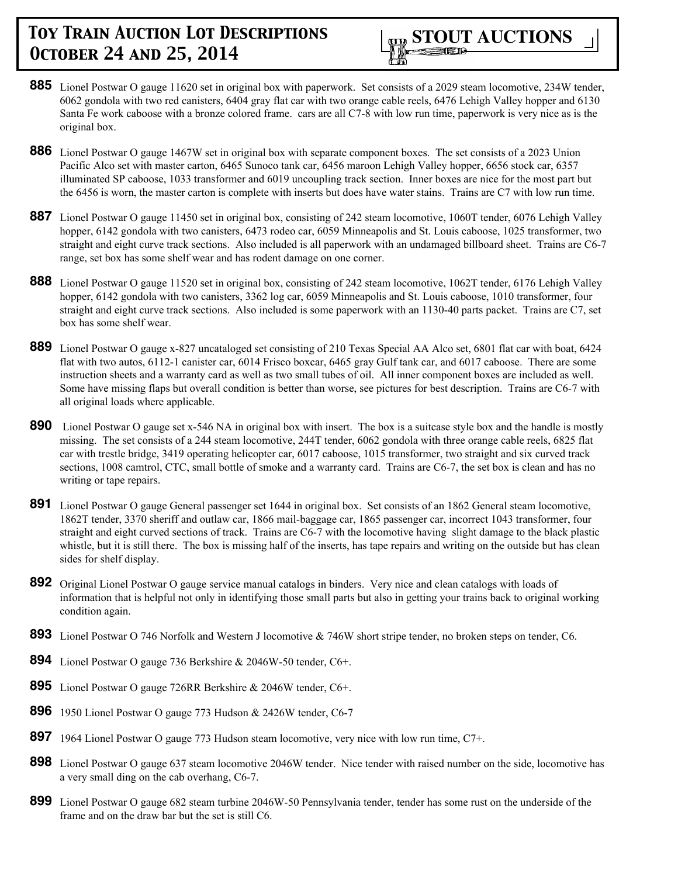- **885** Lionel Postwar O gauge 11620 set in original box with paperwork. Set consists of a 2029 steam locomotive, 234W tender, 6062 gondola with two red canisters, 6404 gray flat car with two orange cable reels, 6476 Lehigh Valley hopper and 6130 Santa Fe work caboose with a bronze colored frame. cars are all C7-8 with low run time, paperwork is very nice as is the original box.
- **886** Lionel Postwar O gauge 1467W set in original box with separate component boxes. The set consists of a 2023 Union Pacific Alco set with master carton, 6465 Sunoco tank car, 6456 maroon Lehigh Valley hopper, 6656 stock car, 6357 illuminated SP caboose, 1033 transformer and 6019 uncoupling track section. Inner boxes are nice for the most part but the 6456 is worn, the master carton is complete with inserts but does have water stains. Trains are C7 with low run time.
- **887** Lionel Postwar O gauge 11450 set in original box, consisting of 242 steam locomotive, 1060T tender, 6076 Lehigh Valley hopper, 6142 gondola with two canisters, 6473 rodeo car, 6059 Minneapolis and St. Louis caboose, 1025 transformer, two straight and eight curve track sections. Also included is all paperwork with an undamaged billboard sheet. Trains are C6-7 range, set box has some shelf wear and has rodent damage on one corner.
- **888** Lionel Postwar O gauge 11520 set in original box, consisting of 242 steam locomotive, 1062T tender, 6176 Lehigh Valley hopper, 6142 gondola with two canisters, 3362 log car, 6059 Minneapolis and St. Louis caboose, 1010 transformer, four straight and eight curve track sections. Also included is some paperwork with an 1130-40 parts packet. Trains are C7, set box has some shelf wear.
- **889** Lionel Postwar O gauge x-827 uncataloged set consisting of 210 Texas Special AA Alco set, 6801 flat car with boat, 6424 flat with two autos, 6112-1 canister car, 6014 Frisco boxcar, 6465 gray Gulf tank car, and 6017 caboose. There are some instruction sheets and a warranty card as well as two small tubes of oil. All inner component boxes are included as well. Some have missing flaps but overall condition is better than worse, see pictures for best description. Trains are C6-7 with all original loads where applicable.
- **890** Lionel Postwar O gauge set x-546 NA in original box with insert. The box is a suitcase style box and the handle is mostly missing. The set consists of a 244 steam locomotive, 244T tender, 6062 gondola with three orange cable reels, 6825 flat car with trestle bridge, 3419 operating helicopter car, 6017 caboose, 1015 transformer, two straight and six curved track sections, 1008 camtrol, CTC, small bottle of smoke and a warranty card. Trains are C6-7, the set box is clean and has no writing or tape repairs.
- **891** Lionel Postwar O gauge General passenger set 1644 in original box. Set consists of an 1862 General steam locomotive, 1862T tender, 3370 sheriff and outlaw car, 1866 mail-baggage car, 1865 passenger car, incorrect 1043 transformer, four straight and eight curved sections of track. Trains are C6-7 with the locomotive having slight damage to the black plastic whistle, but it is still there. The box is missing half of the inserts, has tape repairs and writing on the outside but has clean sides for shelf display.
- **892** Original Lionel Postwar O gauge service manual catalogs in binders. Very nice and clean catalogs with loads of information that is helpful not only in identifying those small parts but also in getting your trains back to original working condition again.
- **893** Lionel Postwar O 746 Norfolk and Western J locomotive & 746W short stripe tender, no broken steps on tender, C6.
- **894** Lionel Postwar O gauge 736 Berkshire & 2046W-50 tender, C6+.
- **895** Lionel Postwar O gauge 726RR Berkshire & 2046W tender, C6+.
- **896** 1950 Lionel Postwar O gauge 773 Hudson & 2426W tender, C6-7
- **897** 1964 Lionel Postwar O gauge 773 Hudson steam locomotive, very nice with low run time, C7+.
- **898** Lionel Postwar O gauge 637 steam locomotive 2046W tender. Nice tender with raised number on the side, locomotive has a very small ding on the cab overhang, C6-7.
- **899** Lionel Postwar O gauge 682 steam turbine 2046W-50 Pennsylvania tender, tender has some rust on the underside of the frame and on the draw bar but the set is still C6.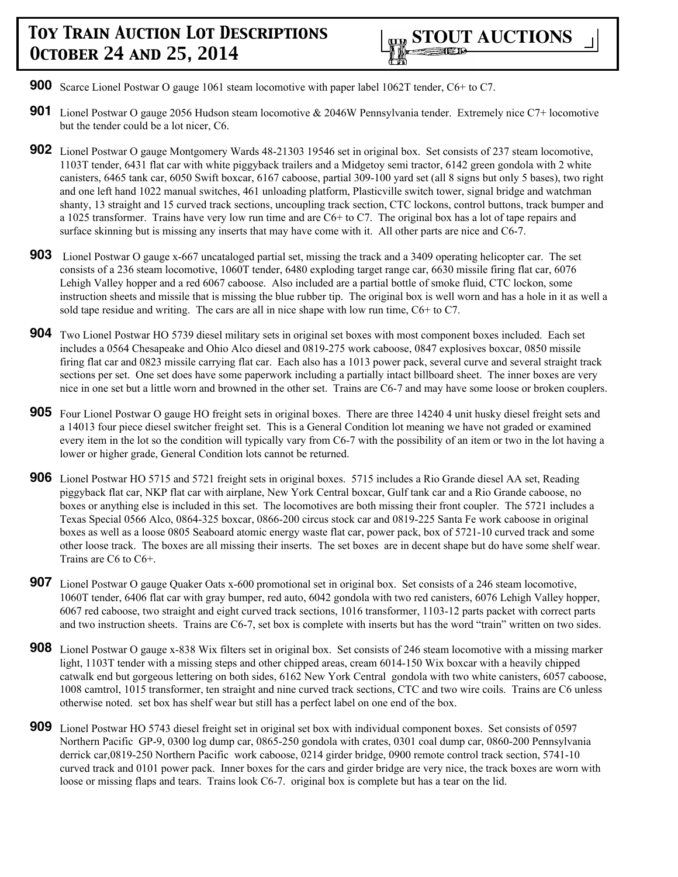- **900** Scarce Lionel Postwar O gauge 1061 steam locomotive with paper label 1062T tender, C6+ to C7.
- **901** Lionel Postwar O gauge 2056 Hudson steam locomotive & 2046W Pennsylvania tender. Extremely nice C7+ locomotive but the tender could be a lot nicer, C6.
- **902** Lionel Postwar O gauge Montgomery Wards 48-21303 19546 set in original box. Set consists of 237 steam locomotive, 1103T tender, 6431 flat car with white piggyback trailers and a Midgetoy semi tractor, 6142 green gondola with 2 white canisters, 6465 tank car, 6050 Swift boxcar, 6167 caboose, partial 309-100 yard set (all 8 signs but only 5 bases), two right and one left hand 1022 manual switches, 461 unloading platform, Plasticville switch tower, signal bridge and watchman shanty, 13 straight and 15 curved track sections, uncoupling track section, CTC lockons, control buttons, track bumper and a 1025 transformer. Trains have very low run time and are C6+ to C7. The original box has a lot of tape repairs and surface skinning but is missing any inserts that may have come with it. All other parts are nice and C6-7.
- **903** Lionel Postwar O gauge x-667 uncataloged partial set, missing the track and a 3409 operating helicopter car. The set consists of a 236 steam locomotive, 1060T tender, 6480 exploding target range car, 6630 missile firing flat car, 6076 Lehigh Valley hopper and a red 6067 caboose. Also included are a partial bottle of smoke fluid, CTC lockon, some instruction sheets and missile that is missing the blue rubber tip. The original box is well worn and has a hole in it as well a sold tape residue and writing. The cars are all in nice shape with low run time, C6+ to C7.
- **904** Two Lionel Postwar HO 5739 diesel military sets in original set boxes with most component boxes included. Each set includes a 0564 Chesapeake and Ohio Alco diesel and 0819-275 work caboose, 0847 explosives boxcar, 0850 missile firing flat car and 0823 missile carrying flat car. Each also has a 1013 power pack, several curve and several straight track sections per set. One set does have some paperwork including a partially intact billboard sheet. The inner boxes are very nice in one set but a little worn and browned in the other set. Trains are C6-7 and may have some loose or broken couplers.
- **905** Four Lionel Postwar O gauge HO freight sets in original boxes. There are three 14240 4 unit husky diesel freight sets and a 14013 four piece diesel switcher freight set. This is a General Condition lot meaning we have not graded or examined every item in the lot so the condition will typically vary from C6-7 with the possibility of an item or two in the lot having a lower or higher grade, General Condition lots cannot be returned.
- **906** Lionel Postwar HO 5715 and 5721 freight sets in original boxes. 5715 includes a Rio Grande diesel AA set, Reading piggyback flat car, NKP flat car with airplane, New York Central boxcar, Gulf tank car and a Rio Grande caboose, no boxes or anything else is included in this set. The locomotives are both missing their front coupler. The 5721 includes a Texas Special 0566 Alco, 0864-325 boxcar, 0866-200 circus stock car and 0819-225 Santa Fe work caboose in original boxes as well as a loose 0805 Seaboard atomic energy waste flat car, power pack, box of 5721-10 curved track and some other loose track. The boxes are all missing their inserts. The set boxes are in decent shape but do have some shelf wear. Trains are C6 to C6+.
- **907** Lionel Postwar O gauge Quaker Oats x-600 promotional set in original box. Set consists of a 246 steam locomotive, 1060T tender, 6406 flat car with gray bumper, red auto, 6042 gondola with two red canisters, 6076 Lehigh Valley hopper, 6067 red caboose, two straight and eight curved track sections, 1016 transformer, 1103-12 parts packet with correct parts and two instruction sheets. Trains are C6-7, set box is complete with inserts but has the word "train" written on two sides.
- **908** Lionel Postwar O gauge x-838 Wix filters set in original box. Set consists of 246 steam locomotive with a missing marker light, 1103T tender with a missing steps and other chipped areas, cream 6014-150 Wix boxcar with a heavily chipped catwalk end but gorgeous lettering on both sides, 6162 New York Central gondola with two white canisters, 6057 caboose, 1008 camtrol, 1015 transformer, ten straight and nine curved track sections, CTC and two wire coils. Trains are C6 unless otherwise noted. set box has shelf wear but still has a perfect label on one end of the box.
- **909** Lionel Postwar HO 5743 diesel freight set in original set box with individual component boxes. Set consists of 0597 Northern Pacific GP-9, 0300 log dump car, 0865-250 gondola with crates, 0301 coal dump car, 0860-200 Pennsylvania derrick car,0819-250 Northern Pacific work caboose, 0214 girder bridge, 0900 remote control track section, 5741-10 curved track and 0101 power pack. Inner boxes for the cars and girder bridge are very nice, the track boxes are worn with loose or missing flaps and tears. Trains look C6-7. original box is complete but has a tear on the lid.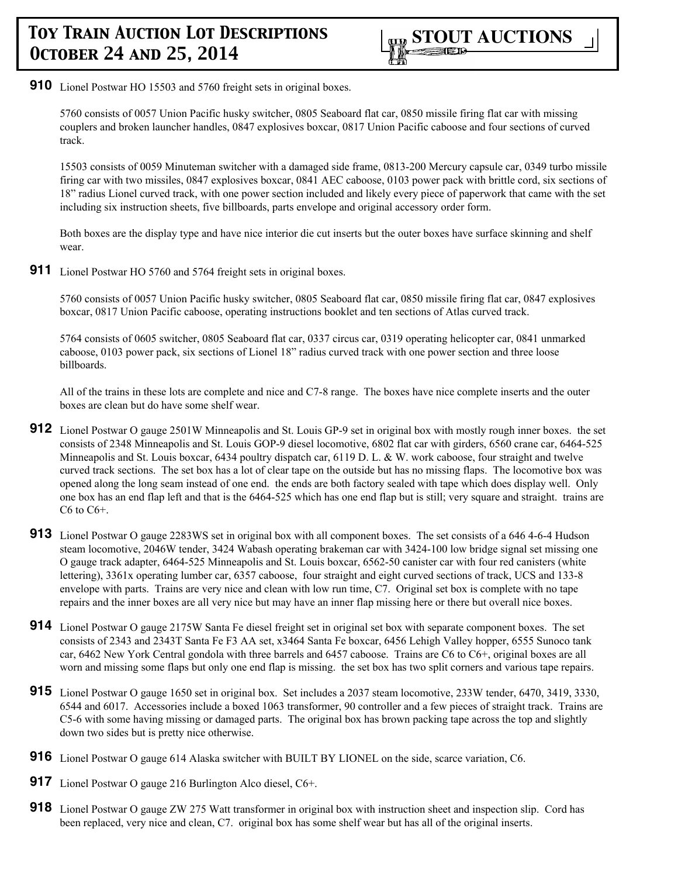

**910** Lionel Postwar HO 15503 and 5760 freight sets in original boxes.

5760 consists of 0057 Union Pacific husky switcher, 0805 Seaboard flat car, 0850 missile firing flat car with missing couplers and broken launcher handles, 0847 explosives boxcar, 0817 Union Pacific caboose and four sections of curved track.

15503 consists of 0059 Minuteman switcher with a damaged side frame, 0813-200 Mercury capsule car, 0349 turbo missile firing car with two missiles, 0847 explosives boxcar, 0841 AEC caboose, 0103 power pack with brittle cord, six sections of 18" radius Lionel curved track, with one power section included and likely every piece of paperwork that came with the set including six instruction sheets, five billboards, parts envelope and original accessory order form.

Both boxes are the display type and have nice interior die cut inserts but the outer boxes have surface skinning and shelf wear.

**911** Lionel Postwar HO 5760 and 5764 freight sets in original boxes.

5760 consists of 0057 Union Pacific husky switcher, 0805 Seaboard flat car, 0850 missile firing flat car, 0847 explosives boxcar, 0817 Union Pacific caboose, operating instructions booklet and ten sections of Atlas curved track.

5764 consists of 0605 switcher, 0805 Seaboard flat car, 0337 circus car, 0319 operating helicopter car, 0841 unmarked caboose, 0103 power pack, six sections of Lionel 18" radius curved track with one power section and three loose billboards.

All of the trains in these lots are complete and nice and C7-8 range. The boxes have nice complete inserts and the outer boxes are clean but do have some shelf wear.

- **912** Lionel Postwar O gauge 2501W Minneapolis and St. Louis GP-9 set in original box with mostly rough inner boxes. the set consists of 2348 Minneapolis and St. Louis GOP-9 diesel locomotive, 6802 flat car with girders, 6560 crane car, 6464-525 Minneapolis and St. Louis boxcar, 6434 poultry dispatch car, 6119 D. L. & W. work caboose, four straight and twelve curved track sections. The set box has a lot of clear tape on the outside but has no missing flaps. The locomotive box was opened along the long seam instead of one end. the ends are both factory sealed with tape which does display well. Only one box has an end flap left and that is the 6464-525 which has one end flap but is still; very square and straight. trains are C6 to C6+.
- **913** Lionel Postwar O gauge 2283WS set in original box with all component boxes. The set consists of a 646 4-6-4 Hudson steam locomotive, 2046W tender, 3424 Wabash operating brakeman car with 3424-100 low bridge signal set missing one O gauge track adapter, 6464-525 Minneapolis and St. Louis boxcar, 6562-50 canister car with four red canisters (white lettering), 3361x operating lumber car, 6357 caboose, four straight and eight curved sections of track, UCS and 133-8 envelope with parts. Trains are very nice and clean with low run time, C7. Original set box is complete with no tape repairs and the inner boxes are all very nice but may have an inner flap missing here or there but overall nice boxes.
- **914** Lionel Postwar O gauge 2175W Santa Fe diesel freight set in original set box with separate component boxes. The set consists of 2343 and 2343T Santa Fe F3 AA set, x3464 Santa Fe boxcar, 6456 Lehigh Valley hopper, 6555 Sunoco tank car, 6462 New York Central gondola with three barrels and 6457 caboose. Trains are C6 to C6+, original boxes are all worn and missing some flaps but only one end flap is missing. the set box has two split corners and various tape repairs.
- **915** Lionel Postwar O gauge 1650 set in original box. Set includes a 2037 steam locomotive, 233W tender, 6470, 3419, 3330, 6544 and 6017. Accessories include a boxed 1063 transformer, 90 controller and a few pieces of straight track. Trains are C5-6 with some having missing or damaged parts. The original box has brown packing tape across the top and slightly down two sides but is pretty nice otherwise.
- **916** Lionel Postwar O gauge 614 Alaska switcher with BUILT BY LIONEL on the side, scarce variation, C6.
- **917** Lionel Postwar O gauge 216 Burlington Alco diesel, C6+.
- **918** Lionel Postwar O gauge ZW 275 Watt transformer in original box with instruction sheet and inspection slip. Cord has been replaced, very nice and clean, C7. original box has some shelf wear but has all of the original inserts.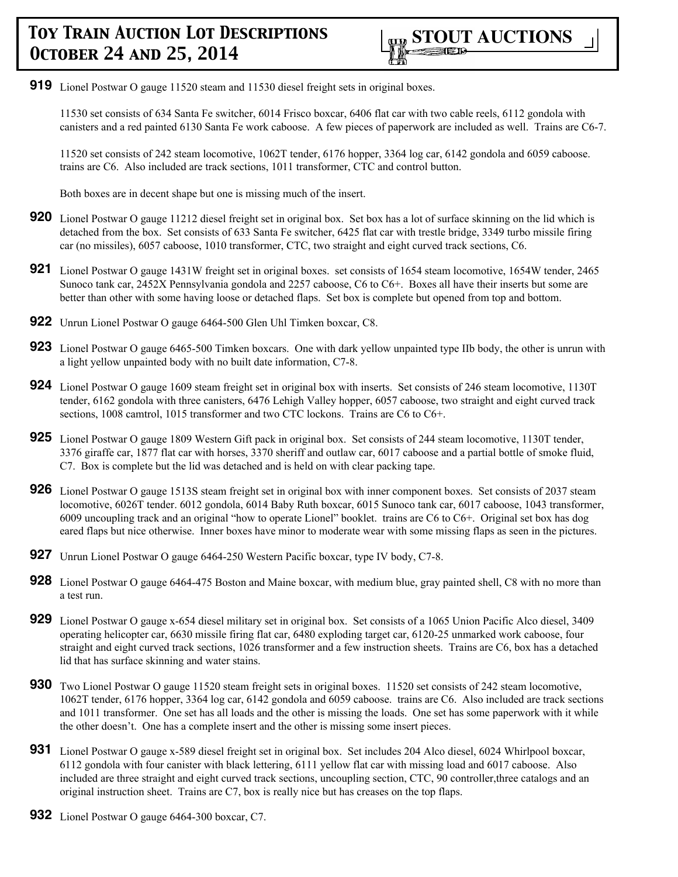**919** Lionel Postwar O gauge 11520 steam and 11530 diesel freight sets in original boxes.

11530 set consists of 634 Santa Fe switcher, 6014 Frisco boxcar, 6406 flat car with two cable reels, 6112 gondola with canisters and a red painted 6130 Santa Fe work caboose. A few pieces of paperwork are included as well. Trains are C6-7.

11520 set consists of 242 steam locomotive, 1062T tender, 6176 hopper, 3364 log car, 6142 gondola and 6059 caboose. trains are C6. Also included are track sections, 1011 transformer, CTC and control button.

Both boxes are in decent shape but one is missing much of the insert.

- **920** Lionel Postwar O gauge 11212 diesel freight set in original box. Set box has a lot of surface skinning on the lid which is detached from the box. Set consists of 633 Santa Fe switcher, 6425 flat car with trestle bridge, 3349 turbo missile firing car (no missiles), 6057 caboose, 1010 transformer, CTC, two straight and eight curved track sections, C6.
- **921** Lionel Postwar O gauge 1431W freight set in original boxes. set consists of 1654 steam locomotive, 1654W tender, 2465 Sunoco tank car, 2452X Pennsylvania gondola and 2257 caboose, C6 to C6+. Boxes all have their inserts but some are better than other with some having loose or detached flaps. Set box is complete but opened from top and bottom.
- **922** Unrun Lionel Postwar O gauge 6464-500 Glen Uhl Timken boxcar, C8.
- **923** Lionel Postwar O gauge 6465-500 Timken boxcars. One with dark yellow unpainted type IIb body, the other is unrun with a light yellow unpainted body with no built date information, C7-8.
- **924** Lionel Postwar O gauge 1609 steam freight set in original box with inserts. Set consists of 246 steam locomotive, 1130T tender, 6162 gondola with three canisters, 6476 Lehigh Valley hopper, 6057 caboose, two straight and eight curved track sections, 1008 camtrol, 1015 transformer and two CTC lockons. Trains are C6 to C6+.
- **925** Lionel Postwar O gauge 1809 Western Gift pack in original box. Set consists of 244 steam locomotive, 1130T tender, 3376 giraffe car, 1877 flat car with horses, 3370 sheriff and outlaw car, 6017 caboose and a partial bottle of smoke fluid, C7. Box is complete but the lid was detached and is held on with clear packing tape.
- **926** Lionel Postwar O gauge 1513S steam freight set in original box with inner component boxes. Set consists of 2037 steam locomotive, 6026T tender. 6012 gondola, 6014 Baby Ruth boxcar, 6015 Sunoco tank car, 6017 caboose, 1043 transformer, 6009 uncoupling track and an original "how to operate Lionel" booklet. trains are C6 to C6+. Original set box has dog eared flaps but nice otherwise. Inner boxes have minor to moderate wear with some missing flaps as seen in the pictures.
- **927** Unrun Lionel Postwar O gauge 6464-250 Western Pacific boxcar, type IV body, C7-8.
- **928** Lionel Postwar O gauge 6464-475 Boston and Maine boxcar, with medium blue, gray painted shell, C8 with no more than a test run.
- **929** Lionel Postwar O gauge x-654 diesel military set in original box. Set consists of a 1065 Union Pacific Alco diesel, 3409 operating helicopter car, 6630 missile firing flat car, 6480 exploding target car, 6120-25 unmarked work caboose, four straight and eight curved track sections, 1026 transformer and a few instruction sheets. Trains are C6, box has a detached lid that has surface skinning and water stains.
- **930** Two Lionel Postwar O gauge 11520 steam freight sets in original boxes. 11520 set consists of 242 steam locomotive, 1062T tender, 6176 hopper, 3364 log car, 6142 gondola and 6059 caboose. trains are C6. Also included are track sections and 1011 transformer. One set has all loads and the other is missing the loads. One set has some paperwork with it while the other doesn't. One has a complete insert and the other is missing some insert pieces.
- **931** Lionel Postwar O gauge x-589 diesel freight set in original box. Set includes 204 Alco diesel, 6024 Whirlpool boxcar, 6112 gondola with four canister with black lettering, 6111 yellow flat car with missing load and 6017 caboose. Also included are three straight and eight curved track sections, uncoupling section, CTC, 90 controller,three catalogs and an original instruction sheet. Trains are C7, box is really nice but has creases on the top flaps.
- **932** Lionel Postwar O gauge 6464-300 boxcar, C7.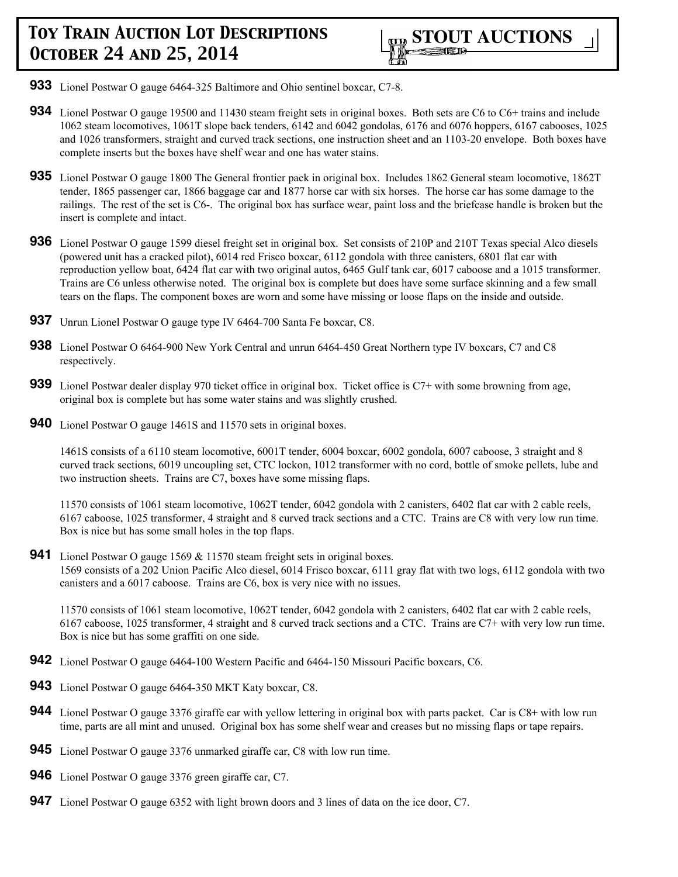- **933** Lionel Postwar O gauge 6464-325 Baltimore and Ohio sentinel boxcar, C7-8.
- **934** Lionel Postwar O gauge 19500 and 11430 steam freight sets in original boxes. Both sets are C6 to C6+ trains and include 1062 steam locomotives, 1061T slope back tenders, 6142 and 6042 gondolas, 6176 and 6076 hoppers, 6167 cabooses, 1025 and 1026 transformers, straight and curved track sections, one instruction sheet and an 1103-20 envelope. Both boxes have complete inserts but the boxes have shelf wear and one has water stains.
- **935** Lionel Postwar O gauge 1800 The General frontier pack in original box. Includes 1862 General steam locomotive, 1862T tender, 1865 passenger car, 1866 baggage car and 1877 horse car with six horses. The horse car has some damage to the railings. The rest of the set is C6-. The original box has surface wear, paint loss and the briefcase handle is broken but the insert is complete and intact.
- **936** Lionel Postwar O gauge 1599 diesel freight set in original box. Set consists of 210P and 210T Texas special Alco diesels (powered unit has a cracked pilot), 6014 red Frisco boxcar, 6112 gondola with three canisters, 6801 flat car with reproduction yellow boat, 6424 flat car with two original autos, 6465 Gulf tank car, 6017 caboose and a 1015 transformer. Trains are C6 unless otherwise noted. The original box is complete but does have some surface skinning and a few small tears on the flaps. The component boxes are worn and some have missing or loose flaps on the inside and outside.
- **937** Unrun Lionel Postwar O gauge type IV 6464-700 Santa Fe boxcar, C8.
- **938** Lionel Postwar O 6464-900 New York Central and unrun 6464-450 Great Northern type IV boxcars, C7 and C8 respectively.
- **939** Lionel Postwar dealer display 970 ticket office in original box. Ticket office is C7+ with some browning from age, original box is complete but has some water stains and was slightly crushed.
- **940** Lionel Postwar O gauge 1461S and 11570 sets in original boxes.

1461S consists of a 6110 steam locomotive, 6001T tender, 6004 boxcar, 6002 gondola, 6007 caboose, 3 straight and 8 curved track sections, 6019 uncoupling set, CTC lockon, 1012 transformer with no cord, bottle of smoke pellets, lube and two instruction sheets. Trains are C7, boxes have some missing flaps.

11570 consists of 1061 steam locomotive, 1062T tender, 6042 gondola with 2 canisters, 6402 flat car with 2 cable reels, 6167 caboose, 1025 transformer, 4 straight and 8 curved track sections and a CTC. Trains are C8 with very low run time. Box is nice but has some small holes in the top flaps.

**941** Lionel Postwar O gauge 1569 & 11570 steam freight sets in original boxes. 1569 consists of a 202 Union Pacific Alco diesel, 6014 Frisco boxcar, 6111 gray flat with two logs, 6112 gondola with two canisters and a 6017 caboose. Trains are C6, box is very nice with no issues.

11570 consists of 1061 steam locomotive, 1062T tender, 6042 gondola with 2 canisters, 6402 flat car with 2 cable reels, 6167 caboose, 1025 transformer, 4 straight and 8 curved track sections and a CTC. Trains are C7+ with very low run time. Box is nice but has some graffiti on one side.

- **942** Lionel Postwar O gauge 6464-100 Western Pacific and 6464-150 Missouri Pacific boxcars, C6.
- **943** Lionel Postwar O gauge 6464-350 MKT Katy boxcar, C8.
- **944** Lionel Postwar O gauge 3376 giraffe car with yellow lettering in original box with parts packet. Car is C8+ with low run time, parts are all mint and unused. Original box has some shelf wear and creases but no missing flaps or tape repairs.
- **945** Lionel Postwar O gauge 3376 unmarked giraffe car, C8 with low run time.
- **946** Lionel Postwar O gauge 3376 green giraffe car, C7.
- **947** Lionel Postwar O gauge 6352 with light brown doors and 3 lines of data on the ice door, C7.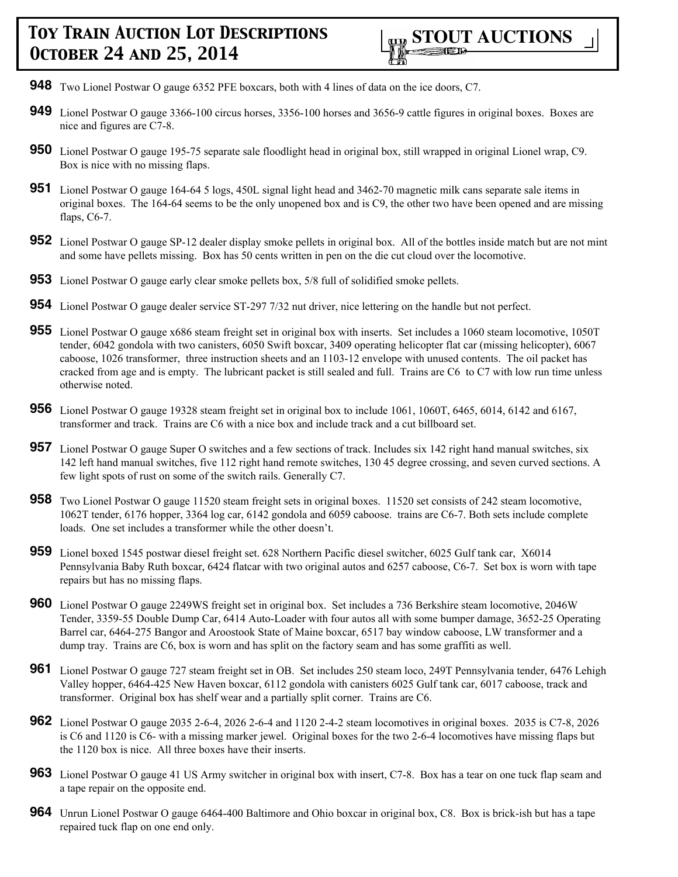- **948** Two Lionel Postwar O gauge 6352 PFE boxcars, both with 4 lines of data on the ice doors, C7.
- **949** Lionel Postwar O gauge 3366-100 circus horses, 3356-100 horses and 3656-9 cattle figures in original boxes. Boxes are nice and figures are C7-8.
- **950** Lionel Postwar O gauge 195-75 separate sale floodlight head in original box, still wrapped in original Lionel wrap, C9. Box is nice with no missing flaps.
- **951** Lionel Postwar O gauge 164-64 5 logs, 450L signal light head and 3462-70 magnetic milk cans separate sale items in original boxes. The 164-64 seems to be the only unopened box and is C9, the other two have been opened and are missing flaps, C6-7.
- **952** Lionel Postwar O gauge SP-12 dealer display smoke pellets in original box. All of the bottles inside match but are not mint and some have pellets missing. Box has 50 cents written in pen on the die cut cloud over the locomotive.
- **953** Lionel Postwar O gauge early clear smoke pellets box, 5/8 full of solidified smoke pellets.
- **954** Lionel Postwar O gauge dealer service ST-297 7/32 nut driver, nice lettering on the handle but not perfect.
- **955** Lionel Postwar O gauge x686 steam freight set in original box with inserts. Set includes a 1060 steam locomotive, 1050T tender, 6042 gondola with two canisters, 6050 Swift boxcar, 3409 operating helicopter flat car (missing helicopter), 6067 caboose, 1026 transformer, three instruction sheets and an 1103-12 envelope with unused contents. The oil packet has cracked from age and is empty. The lubricant packet is still sealed and full. Trains are C6 to C7 with low run time unless otherwise noted.
- **956** Lionel Postwar O gauge 19328 steam freight set in original box to include 1061, 1060T, 6465, 6014, 6142 and 6167, transformer and track. Trains are C6 with a nice box and include track and a cut billboard set.
- **957** Lionel Postwar O gauge Super O switches and a few sections of track. Includes six 142 right hand manual switches, six 142 left hand manual switches, five 112 right hand remote switches, 130 45 degree crossing, and seven curved sections. A few light spots of rust on some of the switch rails. Generally C7.
- **958** Two Lionel Postwar O gauge 11520 steam freight sets in original boxes. 11520 set consists of 242 steam locomotive, 1062T tender, 6176 hopper, 3364 log car, 6142 gondola and 6059 caboose. trains are C6-7. Both sets include complete loads. One set includes a transformer while the other doesn't.
- **959** Lionel boxed 1545 postwar diesel freight set. 628 Northern Pacific diesel switcher, 6025 Gulf tank car, X6014 Pennsylvania Baby Ruth boxcar, 6424 flatcar with two original autos and 6257 caboose, C6-7. Set box is worn with tape repairs but has no missing flaps.
- **960** Lionel Postwar O gauge 2249WS freight set in original box. Set includes a 736 Berkshire steam locomotive, 2046W Tender, 3359-55 Double Dump Car, 6414 Auto-Loader with four autos all with some bumper damage, 3652-25 Operating Barrel car, 6464-275 Bangor and Aroostook State of Maine boxcar, 6517 bay window caboose, LW transformer and a dump tray. Trains are C6, box is worn and has split on the factory seam and has some graffiti as well.
- **961** Lionel Postwar O gauge 727 steam freight set in OB. Set includes 250 steam loco, 249T Pennsylvania tender, 6476 Lehigh Valley hopper, 6464-425 New Haven boxcar, 6112 gondola with canisters 6025 Gulf tank car, 6017 caboose, track and transformer. Original box has shelf wear and a partially split corner. Trains are C6.
- **962** Lionel Postwar O gauge 2035 2-6-4, 2026 2-6-4 and 1120 2-4-2 steam locomotives in original boxes. 2035 is C7-8, 2026 is C6 and 1120 is C6- with a missing marker jewel. Original boxes for the two 2-6-4 locomotives have missing flaps but the 1120 box is nice. All three boxes have their inserts.
- **963** Lionel Postwar O gauge 41 US Army switcher in original box with insert, C7-8. Box has a tear on one tuck flap seam and a tape repair on the opposite end.
- **964** Unrun Lionel Postwar O gauge 6464-400 Baltimore and Ohio boxcar in original box, C8. Box is brick-ish but has a tape repaired tuck flap on one end only.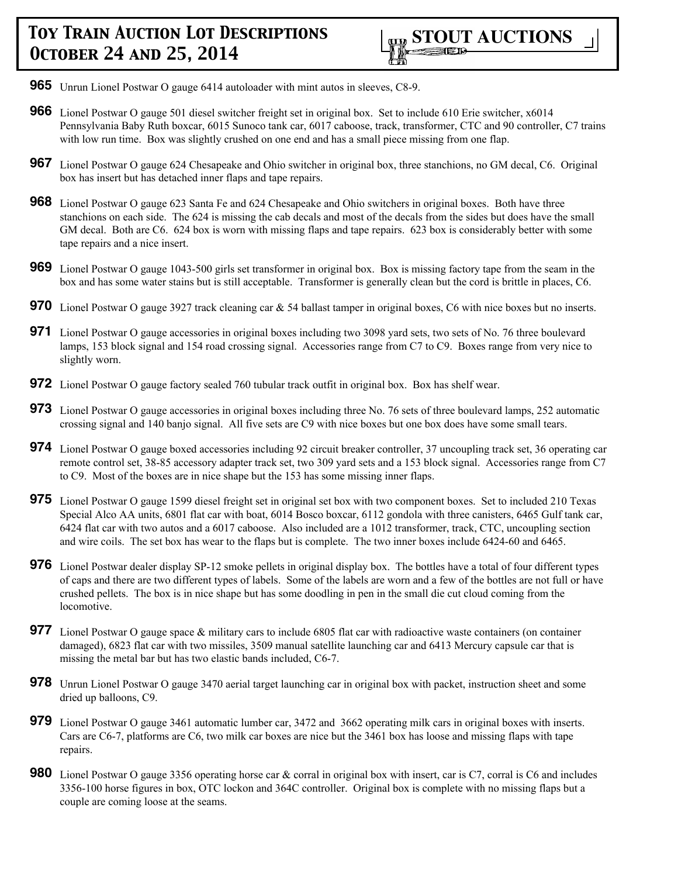

- **965** Unrun Lionel Postwar O gauge 6414 autoloader with mint autos in sleeves, C8-9.
- **966** Lionel Postwar O gauge 501 diesel switcher freight set in original box. Set to include 610 Erie switcher, x6014 Pennsylvania Baby Ruth boxcar, 6015 Sunoco tank car, 6017 caboose, track, transformer, CTC and 90 controller, C7 trains with low run time. Box was slightly crushed on one end and has a small piece missing from one flap.
- **967** Lionel Postwar O gauge 624 Chesapeake and Ohio switcher in original box, three stanchions, no GM decal, C6. Original box has insert but has detached inner flaps and tape repairs.
- **968** Lionel Postwar O gauge 623 Santa Fe and 624 Chesapeake and Ohio switchers in original boxes. Both have three stanchions on each side. The 624 is missing the cab decals and most of the decals from the sides but does have the small GM decal. Both are C6. 624 box is worn with missing flaps and tape repairs. 623 box is considerably better with some tape repairs and a nice insert.
- **969** Lionel Postwar O gauge 1043-500 girls set transformer in original box. Box is missing factory tape from the seam in the box and has some water stains but is still acceptable. Transformer is generally clean but the cord is brittle in places, C6.
- **970** Lionel Postwar O gauge 3927 track cleaning car & 54 ballast tamper in original boxes, C6 with nice boxes but no inserts.
- **971** Lionel Postwar O gauge accessories in original boxes including two 3098 yard sets, two sets of No. 76 three boulevard lamps, 153 block signal and 154 road crossing signal. Accessories range from C7 to C9. Boxes range from very nice to slightly worn.
- **972** Lionel Postwar O gauge factory sealed 760 tubular track outfit in original box. Box has shelf wear.
- **973** Lionel Postwar O gauge accessories in original boxes including three No. 76 sets of three boulevard lamps, 252 automatic crossing signal and 140 banjo signal. All five sets are C9 with nice boxes but one box does have some small tears.
- **974** Lionel Postwar O gauge boxed accessories including 92 circuit breaker controller, 37 uncoupling track set, 36 operating car remote control set, 38-85 accessory adapter track set, two 309 yard sets and a 153 block signal. Accessories range from C7 to C9. Most of the boxes are in nice shape but the 153 has some missing inner flaps.
- **975** Lionel Postwar O gauge 1599 diesel freight set in original set box with two component boxes. Set to included 210 Texas Special Alco AA units, 6801 flat car with boat, 6014 Bosco boxcar, 6112 gondola with three canisters, 6465 Gulf tank car, 6424 flat car with two autos and a 6017 caboose. Also included are a 1012 transformer, track, CTC, uncoupling section and wire coils. The set box has wear to the flaps but is complete. The two inner boxes include 6424-60 and 6465.
- **976** Lionel Postwar dealer display SP-12 smoke pellets in original display box. The bottles have a total of four different types of caps and there are two different types of labels. Some of the labels are worn and a few of the bottles are not full or have crushed pellets. The box is in nice shape but has some doodling in pen in the small die cut cloud coming from the locomotive.
- **977** Lionel Postwar O gauge space & military cars to include 6805 flat car with radioactive waste containers (on container damaged), 6823 flat car with two missiles, 3509 manual satellite launching car and 6413 Mercury capsule car that is missing the metal bar but has two elastic bands included, C6-7.
- **978** Unrun Lionel Postwar O gauge 3470 aerial target launching car in original box with packet, instruction sheet and some dried up balloons, C9.
- **979** Lionel Postwar O gauge 3461 automatic lumber car, 3472 and 3662 operating milk cars in original boxes with inserts. Cars are C6-7, platforms are C6, two milk car boxes are nice but the 3461 box has loose and missing flaps with tape repairs.
- **980** Lionel Postwar O gauge 3356 operating horse car & corral in original box with insert, car is C7, corral is C6 and includes 3356-100 horse figures in box, OTC lockon and 364C controller. Original box is complete with no missing flaps but a couple are coming loose at the seams.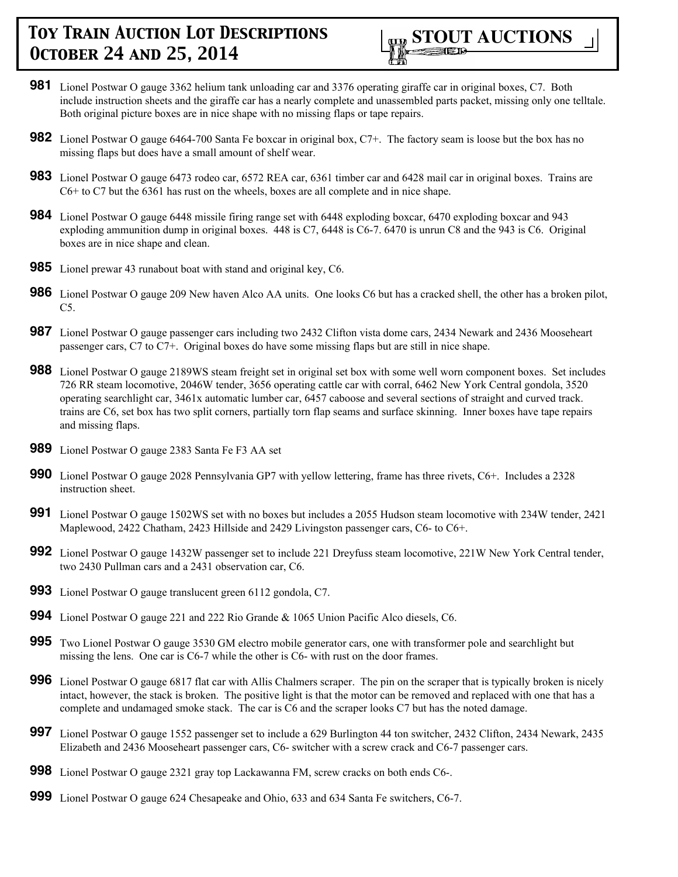

- **981** Lionel Postwar O gauge 3362 helium tank unloading car and 3376 operating giraffe car in original boxes, C7. Both include instruction sheets and the giraffe car has a nearly complete and unassembled parts packet, missing only one telltale. Both original picture boxes are in nice shape with no missing flaps or tape repairs.
- **982** Lionel Postwar O gauge 6464-700 Santa Fe boxcar in original box, C7+. The factory seam is loose but the box has no missing flaps but does have a small amount of shelf wear.
- **983** Lionel Postwar O gauge 6473 rodeo car, 6572 REA car, 6361 timber car and 6428 mail car in original boxes. Trains are C6+ to C7 but the 6361 has rust on the wheels, boxes are all complete and in nice shape.
- **984** Lionel Postwar O gauge 6448 missile firing range set with 6448 exploding boxcar, 6470 exploding boxcar and 943 exploding ammunition dump in original boxes. 448 is C7, 6448 is C6-7. 6470 is unrun C8 and the 943 is C6. Original boxes are in nice shape and clean.
- **985** Lionel prewar 43 runabout boat with stand and original key, C6.
- **986** Lionel Postwar O gauge 209 New haven Alco AA units. One looks C6 but has a cracked shell, the other has a broken pilot,  $C5.$
- **987** Lionel Postwar O gauge passenger cars including two 2432 Clifton vista dome cars, 2434 Newark and 2436 Mooseheart passenger cars, C7 to C7+. Original boxes do have some missing flaps but are still in nice shape.
- **988** Lionel Postwar O gauge 2189WS steam freight set in original set box with some well worn component boxes. Set includes 726 RR steam locomotive, 2046W tender, 3656 operating cattle car with corral, 6462 New York Central gondola, 3520 operating searchlight car, 3461x automatic lumber car, 6457 caboose and several sections of straight and curved track. trains are C6, set box has two split corners, partially torn flap seams and surface skinning. Inner boxes have tape repairs and missing flaps.
- **989** Lionel Postwar O gauge 2383 Santa Fe F3 AA set
- **990** Lionel Postwar O gauge 2028 Pennsylvania GP7 with yellow lettering, frame has three rivets, C6+. Includes a 2328 instruction sheet.
- **991** Lionel Postwar O gauge 1502WS set with no boxes but includes a 2055 Hudson steam locomotive with 234W tender, 2421 Maplewood, 2422 Chatham, 2423 Hillside and 2429 Livingston passenger cars, C6- to C6+.
- **992** Lionel Postwar O gauge 1432W passenger set to include 221 Dreyfuss steam locomotive, 221W New York Central tender, two 2430 Pullman cars and a 2431 observation car, C6.
- **993** Lionel Postwar O gauge translucent green 6112 gondola, C7.
- **994** Lionel Postwar O gauge 221 and 222 Rio Grande & 1065 Union Pacific Alco diesels, C6.
- **995** Two Lionel Postwar O gauge 3530 GM electro mobile generator cars, one with transformer pole and searchlight but missing the lens. One car is C6-7 while the other is C6- with rust on the door frames.
- **996** Lionel Postwar O gauge 6817 flat car with Allis Chalmers scraper. The pin on the scraper that is typically broken is nicely intact, however, the stack is broken. The positive light is that the motor can be removed and replaced with one that has a complete and undamaged smoke stack. The car is C6 and the scraper looks C7 but has the noted damage.
- **997** Lionel Postwar O gauge 1552 passenger set to include a 629 Burlington 44 ton switcher, 2432 Clifton, 2434 Newark, 2435 Elizabeth and 2436 Mooseheart passenger cars, C6- switcher with a screw crack and C6-7 passenger cars.
- **998** Lionel Postwar O gauge 2321 gray top Lackawanna FM, screw cracks on both ends C6-.
- **999** Lionel Postwar O gauge 624 Chesapeake and Ohio, 633 and 634 Santa Fe switchers, C6-7.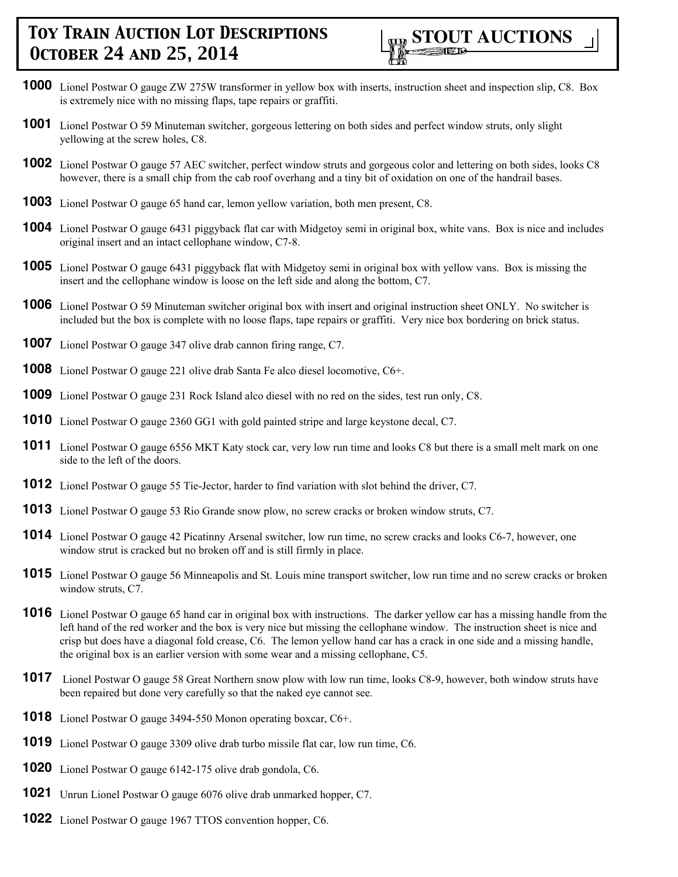

- **1000** Lionel Postwar O gauge ZW 275W transformer in yellow box with inserts, instruction sheet and inspection slip, C8. Box is extremely nice with no missing flaps, tape repairs or graffiti.
- **1001** Lionel Postwar O 59 Minuteman switcher, gorgeous lettering on both sides and perfect window struts, only slight yellowing at the screw holes, C8.
- **1002** Lionel Postwar O gauge 57 AEC switcher, perfect window struts and gorgeous color and lettering on both sides, looks C8 however, there is a small chip from the cab roof overhang and a tiny bit of oxidation on one of the handrail bases.
- **1003** Lionel Postwar O gauge 65 hand car, lemon yellow variation, both men present, C8.
- **1004** Lionel Postwar O gauge 6431 piggyback flat car with Midgetoy semi in original box, white vans. Box is nice and includes original insert and an intact cellophane window, C7-8.
- **1005** Lionel Postwar O gauge 6431 piggyback flat with Midgetoy semi in original box with yellow vans. Box is missing the insert and the cellophane window is loose on the left side and along the bottom, C7.
- **1006** Lionel Postwar O 59 Minuteman switcher original box with insert and original instruction sheet ONLY. No switcher is included but the box is complete with no loose flaps, tape repairs or graffiti. Very nice box bordering on brick status.
- **1007** Lionel Postwar O gauge 347 olive drab cannon firing range, C7.
- **1008** Lionel Postwar O gauge 221 olive drab Santa Fe alco diesel locomotive, C6+.
- **1009** Lionel Postwar O gauge 231 Rock Island alco diesel with no red on the sides, test run only, C8.
- **1010** Lionel Postwar O gauge 2360 GG1 with gold painted stripe and large keystone decal, C7.
- 1011 Lionel Postwar O gauge 6556 MKT Katy stock car, very low run time and looks C8 but there is a small melt mark on one side to the left of the doors.
- **1012** Lionel Postwar O gauge 55 Tie-Jector, harder to find variation with slot behind the driver, C7.
- **1013** Lionel Postwar O gauge 53 Rio Grande snow plow, no screw cracks or broken window struts, C7.
- **1014** Lionel Postwar O gauge 42 Picatinny Arsenal switcher, low run time, no screw cracks and looks C6-7, however, one window strut is cracked but no broken off and is still firmly in place.
- **1015** Lionel Postwar O gauge 56 Minneapolis and St. Louis mine transport switcher, low run time and no screw cracks or broken window struts, C7.
- **1016** Lionel Postwar O gauge 65 hand car in original box with instructions. The darker yellow car has a missing handle from the left hand of the red worker and the box is very nice but missing the cellophane window. The instruction sheet is nice and crisp but does have a diagonal fold crease, C6. The lemon yellow hand car has a crack in one side and a missing handle, the original box is an earlier version with some wear and a missing cellophane, C5.
- **1017** Lionel Postwar O gauge 58 Great Northern snow plow with low run time, looks C8-9, however, both window struts have been repaired but done very carefully so that the naked eye cannot see.
- **1018** Lionel Postwar O gauge 3494-550 Monon operating boxcar, C6+.
- **1019** Lionel Postwar O gauge 3309 olive drab turbo missile flat car, low run time, C6.
- **1020** Lionel Postwar O gauge 6142-175 olive drab gondola, C6.
- **1021** Unrun Lionel Postwar O gauge 6076 olive drab unmarked hopper, C7.
- **1022** Lionel Postwar O gauge 1967 TTOS convention hopper, C6.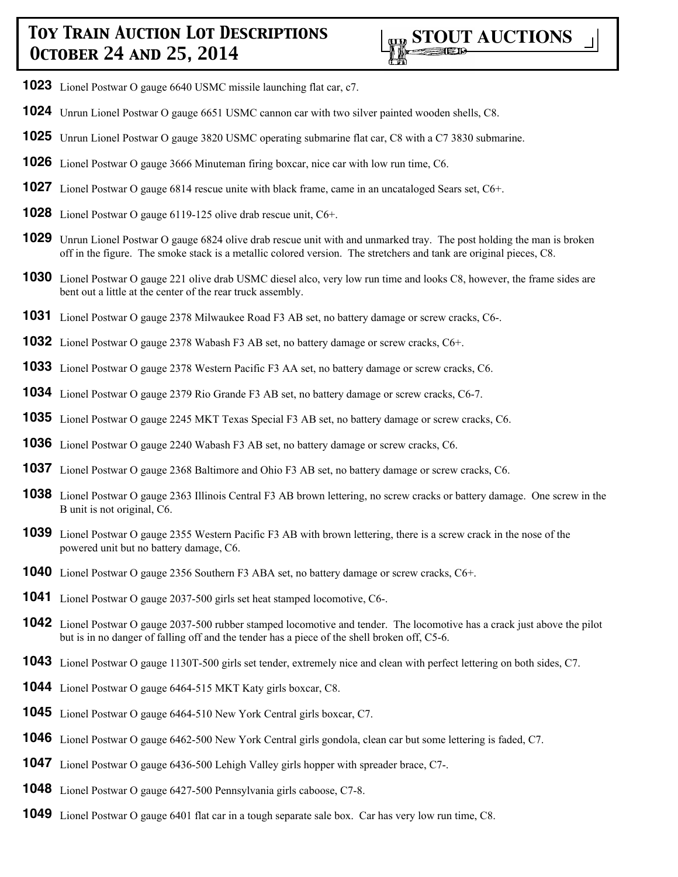

- Lionel Postwar O gauge 6640 USMC missile launching flat car, c7.
- Unrun Lionel Postwar O gauge 6651 USMC cannon car with two silver painted wooden shells, C8.
- Unrun Lionel Postwar O gauge 3820 USMC operating submarine flat car, C8 with a C7 3830 submarine.
- Lionel Postwar O gauge 3666 Minuteman firing boxcar, nice car with low run time, C6.
- Lionel Postwar O gauge 6814 rescue unite with black frame, came in an uncataloged Sears set, C6+.
- Lionel Postwar O gauge 6119-125 olive drab rescue unit, C6+.
- Unrun Lionel Postwar O gauge 6824 olive drab rescue unit with and unmarked tray. The post holding the man is broken off in the figure. The smoke stack is a metallic colored version. The stretchers and tank are original pieces, C8.
- Lionel Postwar O gauge 221 olive drab USMC diesel alco, very low run time and looks C8, however, the frame sides are bent out a little at the center of the rear truck assembly.
- Lionel Postwar O gauge 2378 Milwaukee Road F3 AB set, no battery damage or screw cracks, C6-.
- Lionel Postwar O gauge 2378 Wabash F3 AB set, no battery damage or screw cracks, C6+.
- Lionel Postwar O gauge 2378 Western Pacific F3 AA set, no battery damage or screw cracks, C6.
- Lionel Postwar O gauge 2379 Rio Grande F3 AB set, no battery damage or screw cracks, C6-7.
- Lionel Postwar O gauge 2245 MKT Texas Special F3 AB set, no battery damage or screw cracks, C6.
- Lionel Postwar O gauge 2240 Wabash F3 AB set, no battery damage or screw cracks, C6.
- Lionel Postwar O gauge 2368 Baltimore and Ohio F3 AB set, no battery damage or screw cracks, C6.
- Lionel Postwar O gauge 2363 Illinois Central F3 AB brown lettering, no screw cracks or battery damage. One screw in the B unit is not original, C6.
- Lionel Postwar O gauge 2355 Western Pacific F3 AB with brown lettering, there is a screw crack in the nose of the powered unit but no battery damage, C6.
- Lionel Postwar O gauge 2356 Southern F3 ABA set, no battery damage or screw cracks, C6+.
- Lionel Postwar O gauge 2037-500 girls set heat stamped locomotive, C6-.
- Lionel Postwar O gauge 2037-500 rubber stamped locomotive and tender. The locomotive has a crack just above the pilot but is in no danger of falling off and the tender has a piece of the shell broken off, C5-6.
- Lionel Postwar O gauge 1130T-500 girls set tender, extremely nice and clean with perfect lettering on both sides, C7.
- Lionel Postwar O gauge 6464-515 MKT Katy girls boxcar, C8.
- Lionel Postwar O gauge 6464-510 New York Central girls boxcar, C7.
- Lionel Postwar O gauge 6462-500 New York Central girls gondola, clean car but some lettering is faded, C7.
- Lionel Postwar O gauge 6436-500 Lehigh Valley girls hopper with spreader brace, C7-.
- Lionel Postwar O gauge 6427-500 Pennsylvania girls caboose, C7-8.
- Lionel Postwar O gauge 6401 flat car in a tough separate sale box. Car has very low run time, C8.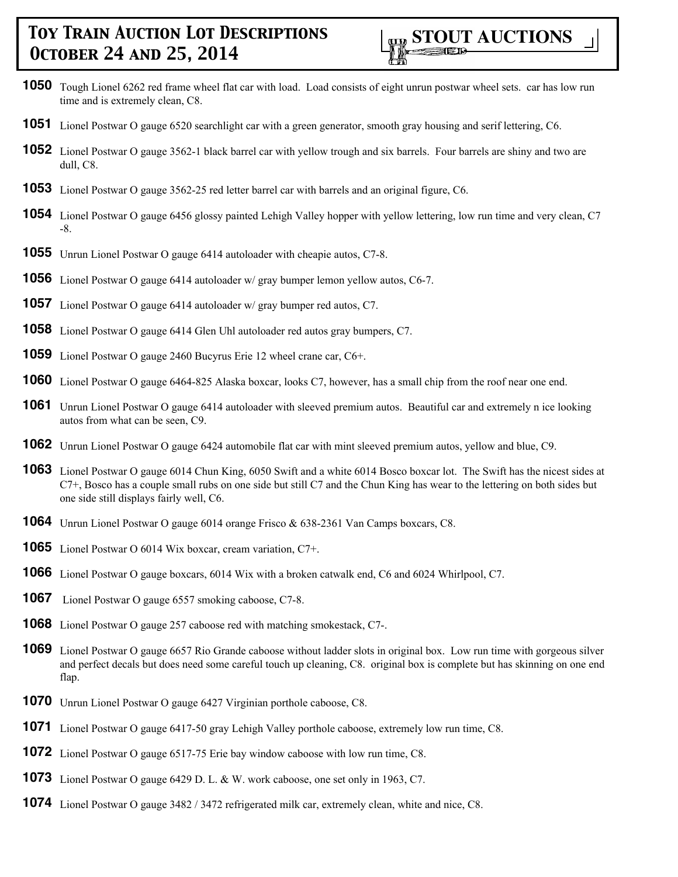- Tough Lionel 6262 red frame wheel flat car with load. Load consists of eight unrun postwar wheel sets. car has low run time and is extremely clean, C8.
- Lionel Postwar O gauge 6520 searchlight car with a green generator, smooth gray housing and serif lettering, C6.
- Lionel Postwar O gauge 3562-1 black barrel car with yellow trough and six barrels. Four barrels are shiny and two are dull, C8.
- Lionel Postwar O gauge 3562-25 red letter barrel car with barrels and an original figure, C6.
- Lionel Postwar O gauge 6456 glossy painted Lehigh Valley hopper with yellow lettering, low run time and very clean, C7 -8.
- Unrun Lionel Postwar O gauge 6414 autoloader with cheapie autos, C7-8.
- Lionel Postwar O gauge 6414 autoloader w/ gray bumper lemon yellow autos, C6-7.
- Lionel Postwar O gauge 6414 autoloader w/ gray bumper red autos, C7.
- Lionel Postwar O gauge 6414 Glen Uhl autoloader red autos gray bumpers, C7.
- Lionel Postwar O gauge 2460 Bucyrus Erie 12 wheel crane car, C6+.
- Lionel Postwar O gauge 6464-825 Alaska boxcar, looks C7, however, has a small chip from the roof near one end.
- Unrun Lionel Postwar O gauge 6414 autoloader with sleeved premium autos. Beautiful car and extremely n ice looking autos from what can be seen, C9.
- Unrun Lionel Postwar O gauge 6424 automobile flat car with mint sleeved premium autos, yellow and blue, C9.
- Lionel Postwar O gauge 6014 Chun King, 6050 Swift and a white 6014 Bosco boxcar lot. The Swift has the nicest sides at C7+, Bosco has a couple small rubs on one side but still C7 and the Chun King has wear to the lettering on both sides but one side still displays fairly well, C6.
- Unrun Lionel Postwar O gauge 6014 orange Frisco & 638-2361 Van Camps boxcars, C8.
- Lionel Postwar O 6014 Wix boxcar, cream variation, C7+.
- Lionel Postwar O gauge boxcars, 6014 Wix with a broken catwalk end, C6 and 6024 Whirlpool, C7.
- Lionel Postwar O gauge 6557 smoking caboose, C7-8.
- Lionel Postwar O gauge 257 caboose red with matching smokestack, C7-.
- Lionel Postwar O gauge 6657 Rio Grande caboose without ladder slots in original box. Low run time with gorgeous silver and perfect decals but does need some careful touch up cleaning, C8. original box is complete but has skinning on one end flap.
- Unrun Lionel Postwar O gauge 6427 Virginian porthole caboose, C8.
- Lionel Postwar O gauge 6417-50 gray Lehigh Valley porthole caboose, extremely low run time, C8.
- Lionel Postwar O gauge 6517-75 Erie bay window caboose with low run time, C8.
- Lionel Postwar O gauge 6429 D. L. & W. work caboose, one set only in 1963, C7.
- Lionel Postwar O gauge 3482 / 3472 refrigerated milk car, extremely clean, white and nice, C8.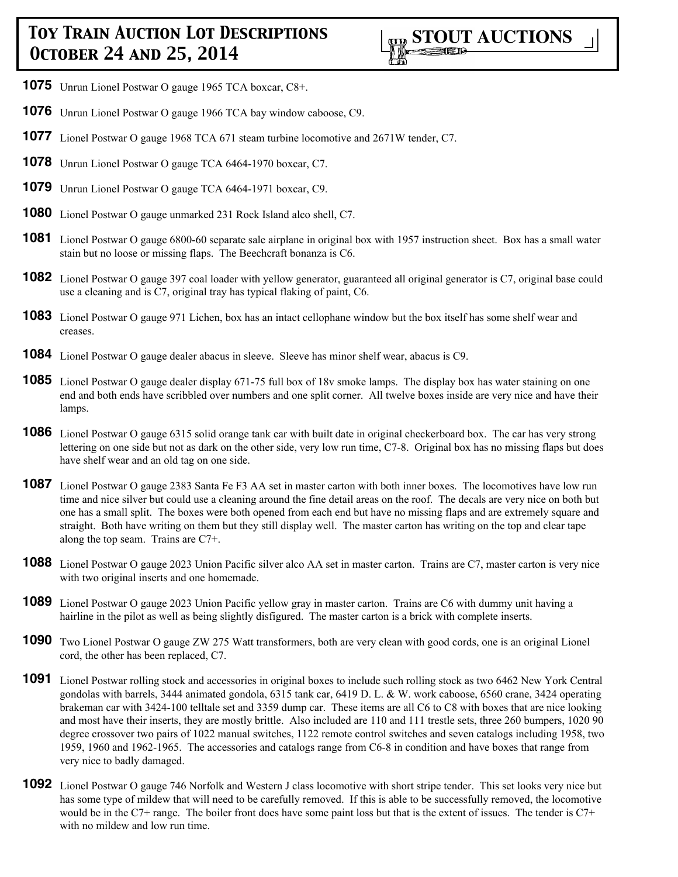- **1075** Unrun Lionel Postwar O gauge 1965 TCA boxcar, C8+.
- **1076** Unrun Lionel Postwar O gauge 1966 TCA bay window caboose, C9.
- **1077** Lionel Postwar O gauge 1968 TCA 671 steam turbine locomotive and 2671W tender, C7.
- **1078** Unrun Lionel Postwar O gauge TCA 6464-1970 boxcar, C7.
- **1079** Unrun Lionel Postwar O gauge TCA 6464-1971 boxcar, C9.
- **1080** Lionel Postwar O gauge unmarked 231 Rock Island alco shell, C7.
- **1081** Lionel Postwar O gauge 6800-60 separate sale airplane in original box with 1957 instruction sheet. Box has a small water stain but no loose or missing flaps. The Beechcraft bonanza is C6.
- **1082** Lionel Postwar O gauge 397 coal loader with yellow generator, guaranteed all original generator is C7, original base could use a cleaning and is C7, original tray has typical flaking of paint, C6.
- **1083** Lionel Postwar O gauge 971 Lichen, box has an intact cellophane window but the box itself has some shelf wear and creases.
- **1084** Lionel Postwar O gauge dealer abacus in sleeve. Sleeve has minor shelf wear, abacus is C9.
- **1085** Lionel Postwar O gauge dealer display 671-75 full box of 18v smoke lamps. The display box has water staining on one end and both ends have scribbled over numbers and one split corner. All twelve boxes inside are very nice and have their lamps.
- **1086** Lionel Postwar O gauge 6315 solid orange tank car with built date in original checkerboard box. The car has very strong lettering on one side but not as dark on the other side, very low run time, C7-8. Original box has no missing flaps but does have shelf wear and an old tag on one side.
- **1087** Lionel Postwar O gauge 2383 Santa Fe F3 AA set in master carton with both inner boxes. The locomotives have low run time and nice silver but could use a cleaning around the fine detail areas on the roof. The decals are very nice on both but one has a small split. The boxes were both opened from each end but have no missing flaps and are extremely square and straight. Both have writing on them but they still display well. The master carton has writing on the top and clear tape along the top seam. Trains are C7+.
- **1088** Lionel Postwar O gauge 2023 Union Pacific silver alco AA set in master carton. Trains are C7, master carton is very nice with two original inserts and one homemade.
- **1089** Lionel Postwar O gauge 2023 Union Pacific yellow gray in master carton. Trains are C6 with dummy unit having a hairline in the pilot as well as being slightly disfigured. The master carton is a brick with complete inserts.
- **1090** Two Lionel Postwar O gauge ZW 275 Watt transformers, both are very clean with good cords, one is an original Lionel cord, the other has been replaced, C7.
- **1091** Lionel Postwar rolling stock and accessories in original boxes to include such rolling stock as two 6462 New York Central gondolas with barrels, 3444 animated gondola, 6315 tank car, 6419 D. L. & W. work caboose, 6560 crane, 3424 operating brakeman car with 3424-100 telltale set and 3359 dump car. These items are all C6 to C8 with boxes that are nice looking and most have their inserts, they are mostly brittle. Also included are 110 and 111 trestle sets, three 260 bumpers, 1020 90 degree crossover two pairs of 1022 manual switches, 1122 remote control switches and seven catalogs including 1958, two 1959, 1960 and 1962-1965. The accessories and catalogs range from C6-8 in condition and have boxes that range from very nice to badly damaged.
- **1092** Lionel Postwar O gauge 746 Norfolk and Western J class locomotive with short stripe tender. This set looks very nice but has some type of mildew that will need to be carefully removed. If this is able to be successfully removed, the locomotive would be in the C7+ range. The boiler front does have some paint loss but that is the extent of issues. The tender is C7+ with no mildew and low run time.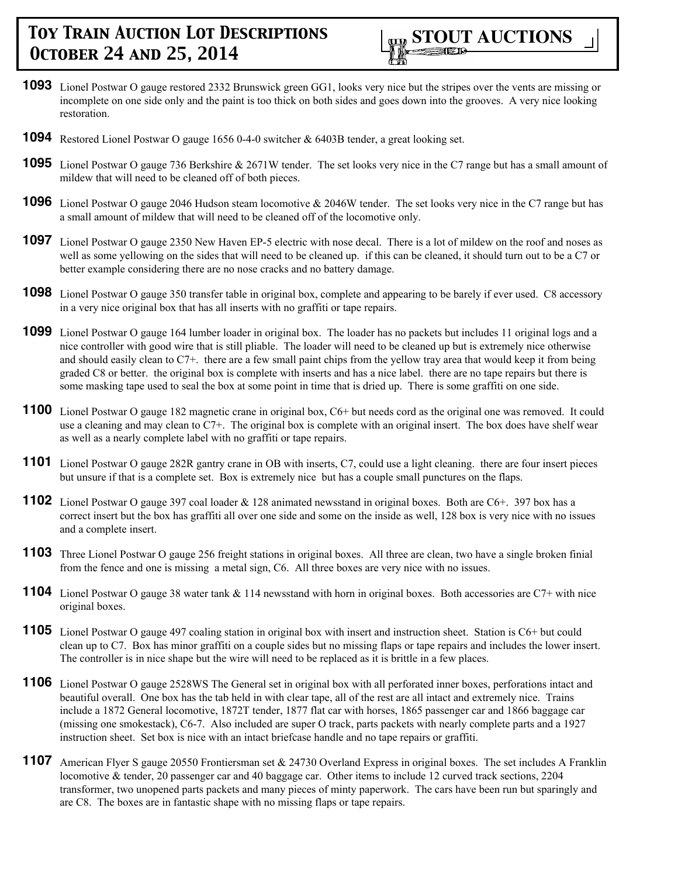

- **1093** Lionel Postwar O gauge restored 2332 Brunswick green GG1, looks very nice but the stripes over the vents are missing or incomplete on one side only and the paint is too thick on both sides and goes down into the grooves. A very nice looking restoration.
- **1094** Restored Lionel Postwar O gauge 1656 0-4-0 switcher & 6403B tender, a great looking set.
- **1095** Lionel Postwar O gauge 736 Berkshire & 2671W tender. The set looks very nice in the C7 range but has a small amount of mildew that will need to be cleaned off of both pieces.
- **1096** Lionel Postwar O gauge 2046 Hudson steam locomotive & 2046W tender. The set looks very nice in the C7 range but has a small amount of mildew that will need to be cleaned off of the locomotive only.
- **1097** Lionel Postwar O gauge 2350 New Haven EP-5 electric with nose decal. There is a lot of mildew on the roof and noses as well as some yellowing on the sides that will need to be cleaned up. if this can be cleaned, it should turn out to be a C7 or better example considering there are no nose cracks and no battery damage.
- **1098** Lionel Postwar O gauge 350 transfer table in original box, complete and appearing to be barely if ever used. C8 accessory in a very nice original box that has all inserts with no graffiti or tape repairs.
- **1099** Lionel Postwar O gauge 164 lumber loader in original box. The loader has no packets but includes 11 original logs and a nice controller with good wire that is still pliable. The loader will need to be cleaned up but is extremely nice otherwise and should easily clean to C7+. there are a few small paint chips from the yellow tray area that would keep it from being graded C8 or better. the original box is complete with inserts and has a nice label. there are no tape repairs but there is some masking tape used to seal the box at some point in time that is dried up. There is some graffiti on one side.
- **1100** Lionel Postwar O gauge 182 magnetic crane in original box, C6+ but needs cord as the original one was removed. It could use a cleaning and may clean to C7+. The original box is complete with an original insert. The box does have shelf wear as well as a nearly complete label with no graffiti or tape repairs.
- **1101** Lionel Postwar O gauge 282R gantry crane in OB with inserts, C7, could use a light cleaning. there are four insert pieces but unsure if that is a complete set. Box is extremely nice but has a couple small punctures on the flaps.
- **1102** Lionel Postwar O gauge 397 coal loader & 128 animated newsstand in original boxes. Both are C6+. 397 box has a correct insert but the box has graffiti all over one side and some on the inside as well, 128 box is very nice with no issues and a complete insert.
- **1103** Three Lionel Postwar O gauge 256 freight stations in original boxes. All three are clean, two have a single broken finial from the fence and one is missing a metal sign, C6. All three boxes are very nice with no issues.
- 1104 Lionel Postwar O gauge 38 water tank & 114 newsstand with horn in original boxes. Both accessories are C7+ with nice original boxes.
- **1105** Lionel Postwar O gauge 497 coaling station in original box with insert and instruction sheet. Station is C6+ but could clean up to C7. Box has minor graffiti on a couple sides but no missing flaps or tape repairs and includes the lower insert. The controller is in nice shape but the wire will need to be replaced as it is brittle in a few places.
- **1106** Lionel Postwar O gauge 2528WS The General set in original box with all perforated inner boxes, perforations intact and beautiful overall. One box has the tab held in with clear tape, all of the rest are all intact and extremely nice. Trains include a 1872 General locomotive, 1872T tender, 1877 flat car with horses, 1865 passenger car and 1866 baggage car (missing one smokestack), C6-7. Also included are super O track, parts packets with nearly complete parts and a 1927 instruction sheet. Set box is nice with an intact briefcase handle and no tape repairs or graffiti.
- **1107** American Flyer S gauge 20550 Frontiersman set & 24730 Overland Express in original boxes. The set includes A Franklin locomotive & tender, 20 passenger car and 40 baggage car. Other items to include 12 curved track sections, 2204 transformer, two unopened parts packets and many pieces of minty paperwork. The cars have been run but sparingly and are C8. The boxes are in fantastic shape with no missing flaps or tape repairs.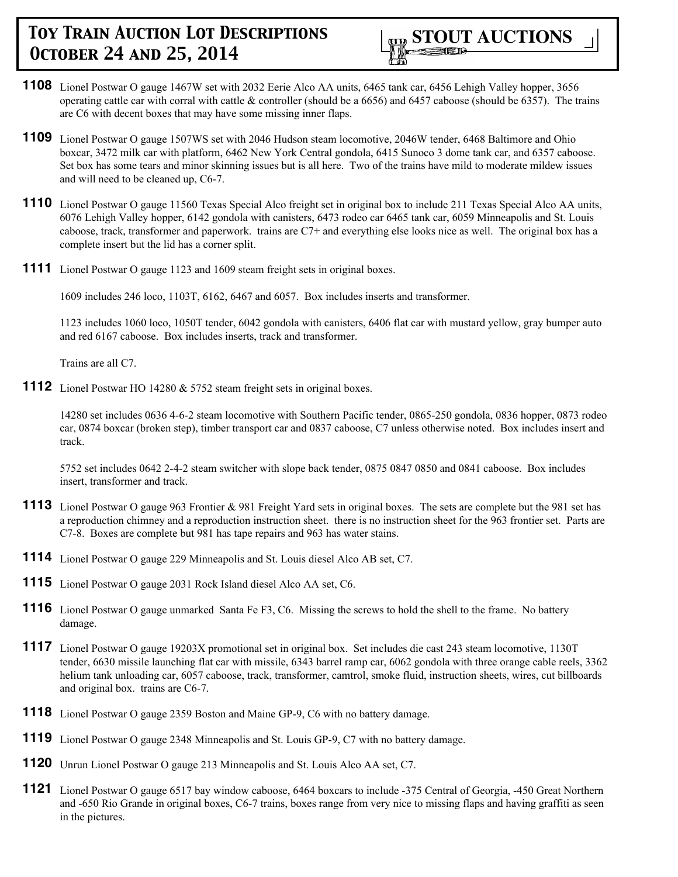- **1108** Lionel Postwar O gauge 1467W set with 2032 Eerie Alco AA units, 6465 tank car, 6456 Lehigh Valley hopper, 3656 operating cattle car with corral with cattle  $&$  controller (should be a 6656) and 6457 caboose (should be 6357). The trains are C6 with decent boxes that may have some missing inner flaps.
- **1109** Lionel Postwar O gauge 1507WS set with 2046 Hudson steam locomotive, 2046W tender, 6468 Baltimore and Ohio boxcar, 3472 milk car with platform, 6462 New York Central gondola, 6415 Sunoco 3 dome tank car, and 6357 caboose. Set box has some tears and minor skinning issues but is all here. Two of the trains have mild to moderate mildew issues and will need to be cleaned up, C6-7.
- **1110** Lionel Postwar O gauge 11560 Texas Special Alco freight set in original box to include 211 Texas Special Alco AA units, 6076 Lehigh Valley hopper, 6142 gondola with canisters, 6473 rodeo car 6465 tank car, 6059 Minneapolis and St. Louis caboose, track, transformer and paperwork. trains are C7+ and everything else looks nice as well. The original box has a complete insert but the lid has a corner split.
- **1111** Lionel Postwar O gauge 1123 and 1609 steam freight sets in original boxes.

1609 includes 246 loco, 1103T, 6162, 6467 and 6057. Box includes inserts and transformer.

1123 includes 1060 loco, 1050T tender, 6042 gondola with canisters, 6406 flat car with mustard yellow, gray bumper auto and red 6167 caboose. Box includes inserts, track and transformer.

Trains are all C7.

**1112** Lionel Postwar HO 14280 & 5752 steam freight sets in original boxes.

14280 set includes 0636 4-6-2 steam locomotive with Southern Pacific tender, 0865-250 gondola, 0836 hopper, 0873 rodeo car, 0874 boxcar (broken step), timber transport car and 0837 caboose, C7 unless otherwise noted. Box includes insert and track.

5752 set includes 0642 2-4-2 steam switcher with slope back tender, 0875 0847 0850 and 0841 caboose. Box includes insert, transformer and track.

- **1113** Lionel Postwar O gauge 963 Frontier & 981 Freight Yard sets in original boxes. The sets are complete but the 981 set has a reproduction chimney and a reproduction instruction sheet. there is no instruction sheet for the 963 frontier set. Parts are C7-8. Boxes are complete but 981 has tape repairs and 963 has water stains.
- **1114** Lionel Postwar O gauge 229 Minneapolis and St. Louis diesel Alco AB set, C7.
- **1115** Lionel Postwar O gauge 2031 Rock Island diesel Alco AA set, C6.
- **1116** Lionel Postwar O gauge unmarked Santa Fe F3, C6. Missing the screws to hold the shell to the frame. No battery damage.
- **1117** Lionel Postwar O gauge 19203X promotional set in original box. Set includes die cast 243 steam locomotive, 1130T tender, 6630 missile launching flat car with missile, 6343 barrel ramp car, 6062 gondola with three orange cable reels, 3362 helium tank unloading car, 6057 caboose, track, transformer, camtrol, smoke fluid, instruction sheets, wires, cut billboards and original box. trains are C6-7.
- **1118** Lionel Postwar O gauge 2359 Boston and Maine GP-9, C6 with no battery damage.
- **1119** Lionel Postwar O gauge 2348 Minneapolis and St. Louis GP-9, C7 with no battery damage.
- **1120** Unrun Lionel Postwar O gauge 213 Minneapolis and St. Louis Alco AA set, C7.
- **1121** Lionel Postwar O gauge 6517 bay window caboose, 6464 boxcars to include -375 Central of Georgia, -450 Great Northern and -650 Rio Grande in original boxes, C6-7 trains, boxes range from very nice to missing flaps and having graffiti as seen in the pictures.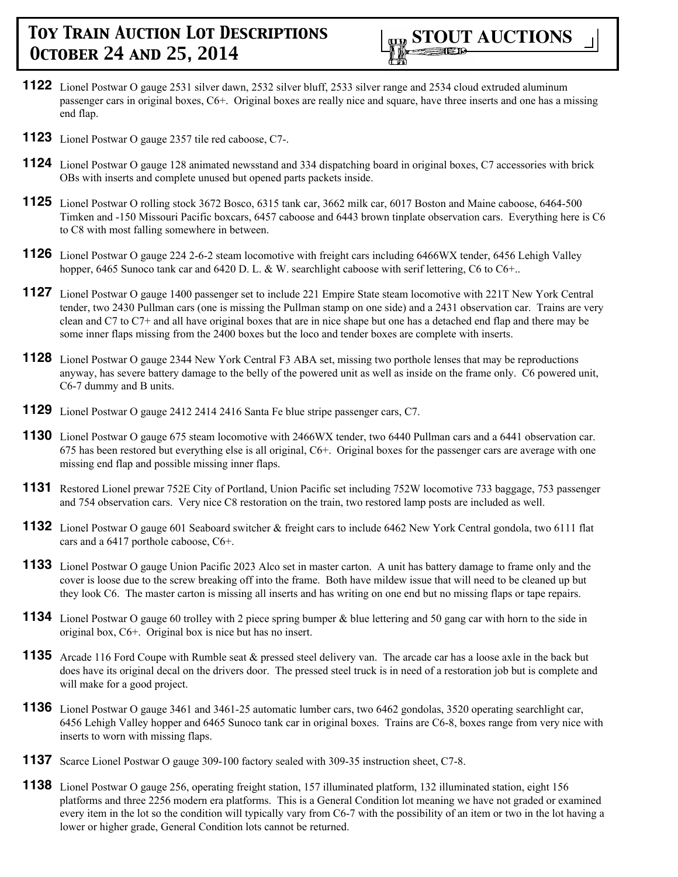

- **1122** Lionel Postwar O gauge 2531 silver dawn, 2532 silver bluff, 2533 silver range and 2534 cloud extruded aluminum passenger cars in original boxes, C6+. Original boxes are really nice and square, have three inserts and one has a missing end flap.
- **1123** Lionel Postwar O gauge 2357 tile red caboose, C7-.
- **1124** Lionel Postwar O gauge 128 animated newsstand and 334 dispatching board in original boxes, C7 accessories with brick OBs with inserts and complete unused but opened parts packets inside.
- **1125** Lionel Postwar O rolling stock 3672 Bosco, 6315 tank car, 3662 milk car, 6017 Boston and Maine caboose, 6464-500 Timken and -150 Missouri Pacific boxcars, 6457 caboose and 6443 brown tinplate observation cars. Everything here is C6 to C8 with most falling somewhere in between.
- **1126** Lionel Postwar O gauge 224 2-6-2 steam locomotive with freight cars including 6466WX tender, 6456 Lehigh Valley hopper, 6465 Sunoco tank car and 6420 D. L. & W. searchlight caboose with serif lettering, C6 to C6+..
- **1127** Lionel Postwar O gauge 1400 passenger set to include 221 Empire State steam locomotive with 221T New York Central tender, two 2430 Pullman cars (one is missing the Pullman stamp on one side) and a 2431 observation car. Trains are very clean and C7 to C7+ and all have original boxes that are in nice shape but one has a detached end flap and there may be some inner flaps missing from the 2400 boxes but the loco and tender boxes are complete with inserts.
- **1128** Lionel Postwar O gauge 2344 New York Central F3 ABA set, missing two porthole lenses that may be reproductions anyway, has severe battery damage to the belly of the powered unit as well as inside on the frame only. C6 powered unit, C6-7 dummy and B units.
- **1129** Lionel Postwar O gauge 2412 2414 2416 Santa Fe blue stripe passenger cars, C7.
- **1130** Lionel Postwar O gauge 675 steam locomotive with 2466WX tender, two 6440 Pullman cars and a 6441 observation car. 675 has been restored but everything else is all original, C6+. Original boxes for the passenger cars are average with one missing end flap and possible missing inner flaps.
- **1131** Restored Lionel prewar 752E City of Portland, Union Pacific set including 752W locomotive 733 baggage, 753 passenger and 754 observation cars. Very nice C8 restoration on the train, two restored lamp posts are included as well.
- **1132** Lionel Postwar O gauge 601 Seaboard switcher & freight cars to include 6462 New York Central gondola, two 6111 flat cars and a 6417 porthole caboose, C6+.
- **1133** Lionel Postwar O gauge Union Pacific 2023 Alco set in master carton. A unit has battery damage to frame only and the cover is loose due to the screw breaking off into the frame. Both have mildew issue that will need to be cleaned up but they look C6. The master carton is missing all inserts and has writing on one end but no missing flaps or tape repairs.
- **1134** Lionel Postwar O gauge 60 trolley with 2 piece spring bumper & blue lettering and 50 gang car with horn to the side in original box, C6+. Original box is nice but has no insert.
- **1135** Arcade 116 Ford Coupe with Rumble seat & pressed steel delivery van. The arcade car has a loose axle in the back but does have its original decal on the drivers door. The pressed steel truck is in need of a restoration job but is complete and will make for a good project.
- **1136** Lionel Postwar O gauge 3461 and 3461-25 automatic lumber cars, two 6462 gondolas, 3520 operating searchlight car, 6456 Lehigh Valley hopper and 6465 Sunoco tank car in original boxes. Trains are C6-8, boxes range from very nice with inserts to worn with missing flaps.
- **1137** Scarce Lionel Postwar O gauge 309-100 factory sealed with 309-35 instruction sheet, C7-8.
- **1138** Lionel Postwar O gauge 256, operating freight station, 157 illuminated platform, 132 illuminated station, eight 156 platforms and three 2256 modern era platforms. This is a General Condition lot meaning we have not graded or examined every item in the lot so the condition will typically vary from C6-7 with the possibility of an item or two in the lot having a lower or higher grade, General Condition lots cannot be returned.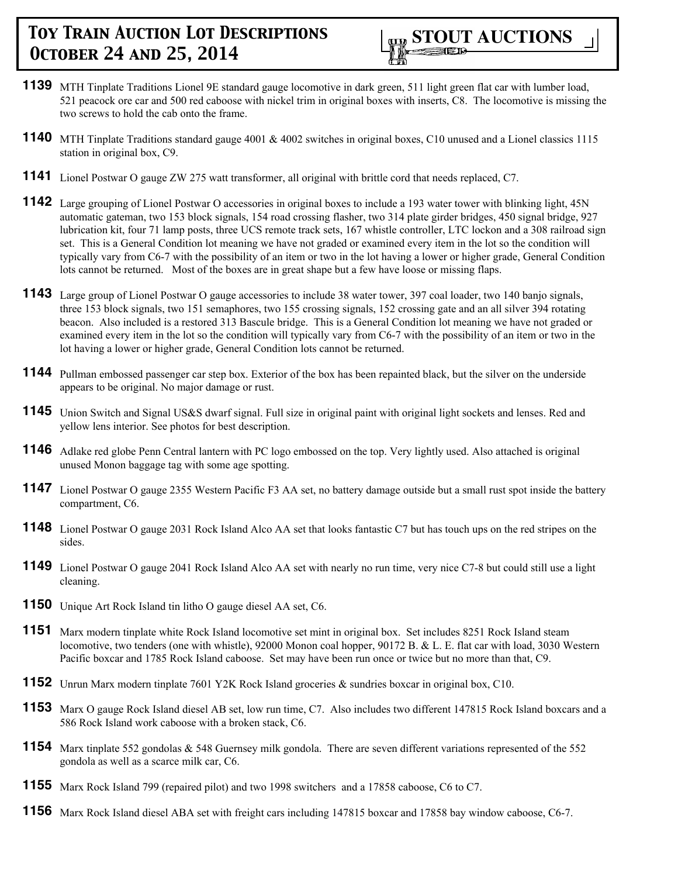

- **1139** MTH Tinplate Traditions Lionel 9E standard gauge locomotive in dark green, 511 light green flat car with lumber load, 521 peacock ore car and 500 red caboose with nickel trim in original boxes with inserts, C8. The locomotive is missing the two screws to hold the cab onto the frame.
- **1140** MTH Tinplate Traditions standard gauge 4001 & 4002 switches in original boxes, C10 unused and a Lionel classics 1115 station in original box, C9.
- **1141** Lionel Postwar O gauge ZW 275 watt transformer, all original with brittle cord that needs replaced, C7.
- **1142** Large grouping of Lionel Postwar O accessories in original boxes to include a 193 water tower with blinking light, 45N automatic gateman, two 153 block signals, 154 road crossing flasher, two 314 plate girder bridges, 450 signal bridge, 927 lubrication kit, four 71 lamp posts, three UCS remote track sets, 167 whistle controller, LTC lockon and a 308 railroad sign set. This is a General Condition lot meaning we have not graded or examined every item in the lot so the condition will typically vary from C6-7 with the possibility of an item or two in the lot having a lower or higher grade, General Condition lots cannot be returned. Most of the boxes are in great shape but a few have loose or missing flaps.
- **1143** Large group of Lionel Postwar O gauge accessories to include 38 water tower, 397 coal loader, two 140 banjo signals, three 153 block signals, two 151 semaphores, two 155 crossing signals, 152 crossing gate and an all silver 394 rotating beacon. Also included is a restored 313 Bascule bridge. This is a General Condition lot meaning we have not graded or examined every item in the lot so the condition will typically vary from C6-7 with the possibility of an item or two in the lot having a lower or higher grade, General Condition lots cannot be returned.
- **1144** Pullman embossed passenger car step box. Exterior of the box has been repainted black, but the silver on the underside appears to be original. No major damage or rust.
- **1145** Union Switch and Signal US&S dwarf signal. Full size in original paint with original light sockets and lenses. Red and yellow lens interior. See photos for best description.
- **1146** Adlake red globe Penn Central lantern with PC logo embossed on the top. Very lightly used. Also attached is original unused Monon baggage tag with some age spotting.
- **1147** Lionel Postwar O gauge 2355 Western Pacific F3 AA set, no battery damage outside but a small rust spot inside the battery compartment, C6.
- **1148** Lionel Postwar O gauge 2031 Rock Island Alco AA set that looks fantastic C7 but has touch ups on the red stripes on the sides.
- **1149** Lionel Postwar O gauge 2041 Rock Island Alco AA set with nearly no run time, very nice C7-8 but could still use a light cleaning.
- **1150** Unique Art Rock Island tin litho O gauge diesel AA set, C6.
- **1151** Marx modern tinplate white Rock Island locomotive set mint in original box. Set includes 8251 Rock Island steam locomotive, two tenders (one with whistle), 92000 Monon coal hopper, 90172 B. & L. E. flat car with load, 3030 Western Pacific boxcar and 1785 Rock Island caboose. Set may have been run once or twice but no more than that, C9.
- **1152** Unrun Marx modern tinplate 7601 Y2K Rock Island groceries & sundries boxcar in original box, C10.
- **1153** Marx O gauge Rock Island diesel AB set, low run time, C7. Also includes two different 147815 Rock Island boxcars and a 586 Rock Island work caboose with a broken stack, C6.
- **1154** Marx tinplate 552 gondolas & 548 Guernsey milk gondola. There are seven different variations represented of the 552 gondola as well as a scarce milk car, C6.
- **1155** Marx Rock Island 799 (repaired pilot) and two 1998 switchers and a 17858 caboose, C6 to C7.
- **1156** Marx Rock Island diesel ABA set with freight cars including 147815 boxcar and 17858 bay window caboose, C6-7.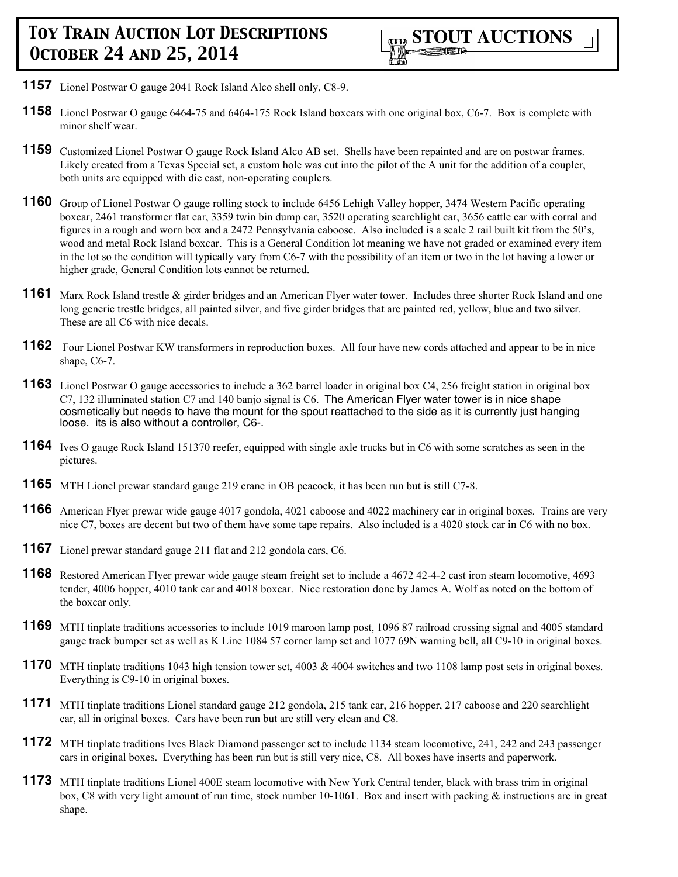

- **1157** Lionel Postwar O gauge 2041 Rock Island Alco shell only, C8-9.
- **1158** Lionel Postwar O gauge 6464-75 and 6464-175 Rock Island boxcars with one original box, C6-7. Box is complete with minor shelf wear.
- **1159** Customized Lionel Postwar O gauge Rock Island Alco AB set. Shells have been repainted and are on postwar frames. Likely created from a Texas Special set, a custom hole was cut into the pilot of the A unit for the addition of a coupler, both units are equipped with die cast, non-operating couplers.
- **1160** Group of Lionel Postwar O gauge rolling stock to include 6456 Lehigh Valley hopper, 3474 Western Pacific operating boxcar, 2461 transformer flat car, 3359 twin bin dump car, 3520 operating searchlight car, 3656 cattle car with corral and figures in a rough and worn box and a 2472 Pennsylvania caboose. Also included is a scale 2 rail built kit from the 50's, wood and metal Rock Island boxcar. This is a General Condition lot meaning we have not graded or examined every item in the lot so the condition will typically vary from C6-7 with the possibility of an item or two in the lot having a lower or higher grade, General Condition lots cannot be returned.
- **1161** Marx Rock Island trestle & girder bridges and an American Flyer water tower. Includes three shorter Rock Island and one long generic trestle bridges, all painted silver, and five girder bridges that are painted red, yellow, blue and two silver. These are all C6 with nice decals.
- **1162** Four Lionel Postwar KW transformers in reproduction boxes. All four have new cords attached and appear to be in nice shape, C6-7.
- **1163** Lionel Postwar O gauge accessories to include a 362 barrel loader in original box C4, 256 freight station in original box C7, 132 illuminated station C7 and 140 banjo signal is C6. The American Flyer water tower is in nice shape cosmetically but needs to have the mount for the spout reattached to the side as it is currently just hanging loose. its is also without a controller, C6-.
- **1164** Ives O gauge Rock Island 151370 reefer, equipped with single axle trucks but in C6 with some scratches as seen in the pictures.
- **1165** MTH Lionel prewar standard gauge 219 crane in OB peacock, it has been run but is still C7-8.
- **1166** American Flyer prewar wide gauge 4017 gondola, 4021 caboose and 4022 machinery car in original boxes. Trains are very nice C7, boxes are decent but two of them have some tape repairs. Also included is a 4020 stock car in C6 with no box.
- **1167** Lionel prewar standard gauge 211 flat and 212 gondola cars, C6.
- **1168** Restored American Flyer prewar wide gauge steam freight set to include a 4672 42-4-2 cast iron steam locomotive, 4693 tender, 4006 hopper, 4010 tank car and 4018 boxcar. Nice restoration done by James A. Wolf as noted on the bottom of the boxcar only.
- **1169** MTH tinplate traditions accessories to include 1019 maroon lamp post, 1096 87 railroad crossing signal and 4005 standard gauge track bumper set as well as K Line 1084 57 corner lamp set and 1077 69N warning bell, all C9-10 in original boxes.
- **1170** MTH tinplate traditions 1043 high tension tower set, 4003 & 4004 switches and two 1108 lamp post sets in original boxes. Everything is C9-10 in original boxes.
- **1171** MTH tinplate traditions Lionel standard gauge 212 gondola, 215 tank car, 216 hopper, 217 caboose and 220 searchlight car, all in original boxes. Cars have been run but are still very clean and C8.
- **1172** MTH tinplate traditions Ives Black Diamond passenger set to include 1134 steam locomotive, 241, 242 and 243 passenger cars in original boxes. Everything has been run but is still very nice, C8. All boxes have inserts and paperwork.
- **1173** MTH tinplate traditions Lionel 400E steam locomotive with New York Central tender, black with brass trim in original box, C8 with very light amount of run time, stock number 10-1061. Box and insert with packing & instructions are in great shape.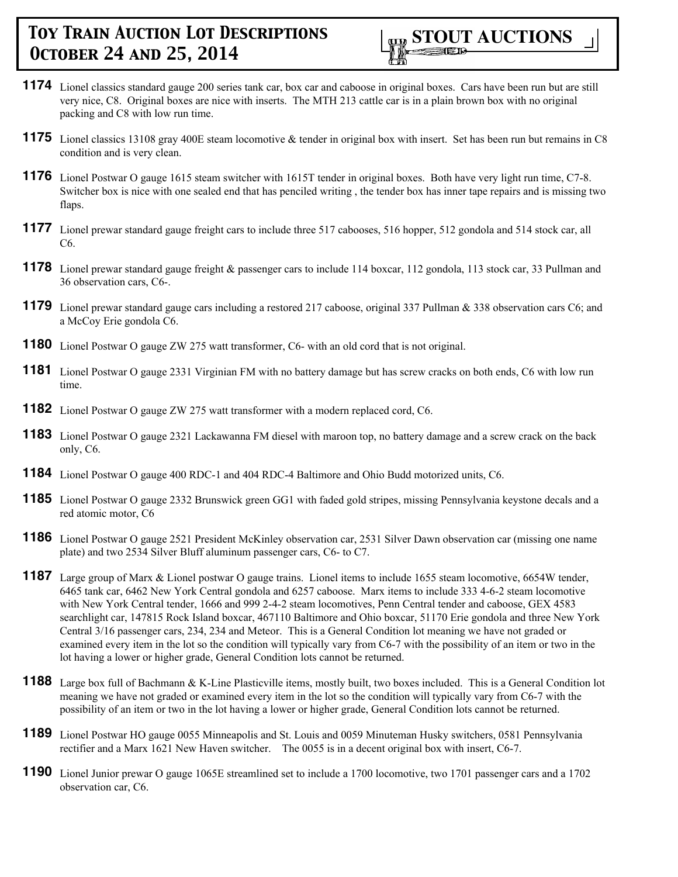

- **1174** Lionel classics standard gauge 200 series tank car, box car and caboose in original boxes. Cars have been run but are still very nice, C8. Original boxes are nice with inserts. The MTH 213 cattle car is in a plain brown box with no original packing and C8 with low run time.
- **1175** Lionel classics 13108 gray 400E steam locomotive & tender in original box with insert. Set has been run but remains in C8 condition and is very clean.
- **1176** Lionel Postwar O gauge 1615 steam switcher with 1615T tender in original boxes. Both have very light run time, C7-8. Switcher box is nice with one sealed end that has penciled writing , the tender box has inner tape repairs and is missing two flaps.
- **1177** Lionel prewar standard gauge freight cars to include three 517 cabooses, 516 hopper, 512 gondola and 514 stock car, all C6.
- **1178** Lionel prewar standard gauge freight & passenger cars to include 114 boxcar, 112 gondola, 113 stock car, 33 Pullman and 36 observation cars, C6-.
- **1179** Lionel prewar standard gauge cars including a restored 217 caboose, original 337 Pullman & 338 observation cars C6; and a McCoy Erie gondola C6.
- **1180** Lionel Postwar O gauge ZW 275 watt transformer, C6- with an old cord that is not original.
- **1181** Lionel Postwar O gauge 2331 Virginian FM with no battery damage but has screw cracks on both ends, C6 with low run time.
- **1182** Lionel Postwar O gauge ZW 275 watt transformer with a modern replaced cord, C6.
- **1183** Lionel Postwar O gauge 2321 Lackawanna FM diesel with maroon top, no battery damage and a screw crack on the back only, C6.
- **1184** Lionel Postwar O gauge 400 RDC-1 and 404 RDC-4 Baltimore and Ohio Budd motorized units, C6.
- **1185** Lionel Postwar O gauge 2332 Brunswick green GG1 with faded gold stripes, missing Pennsylvania keystone decals and a red atomic motor, C6
- **1186** Lionel Postwar O gauge 2521 President McKinley observation car, 2531 Silver Dawn observation car (missing one name plate) and two 2534 Silver Bluff aluminum passenger cars, C6- to C7.
- **1187** Large group of Marx & Lionel postwar O gauge trains. Lionel items to include 1655 steam locomotive, 6654W tender, 6465 tank car, 6462 New York Central gondola and 6257 caboose. Marx items to include 333 4-6-2 steam locomotive with New York Central tender, 1666 and 999 2-4-2 steam locomotives, Penn Central tender and caboose, GEX 4583 searchlight car, 147815 Rock Island boxcar, 467110 Baltimore and Ohio boxcar, 51170 Erie gondola and three New York Central 3/16 passenger cars, 234, 234 and Meteor. This is a General Condition lot meaning we have not graded or examined every item in the lot so the condition will typically vary from C6-7 with the possibility of an item or two in the lot having a lower or higher grade, General Condition lots cannot be returned.
- 1188 Large box full of Bachmann & K-Line Plasticville items, mostly built, two boxes included. This is a General Condition lot meaning we have not graded or examined every item in the lot so the condition will typically vary from C6-7 with the possibility of an item or two in the lot having a lower or higher grade, General Condition lots cannot be returned.
- **1189** Lionel Postwar HO gauge 0055 Minneapolis and St. Louis and 0059 Minuteman Husky switchers, 0581 Pennsylvania rectifier and a Marx 1621 New Haven switcher. The 0055 is in a decent original box with insert, C6-7.
- **1190** Lionel Junior prewar O gauge 1065E streamlined set to include a 1700 locomotive, two 1701 passenger cars and a 1702 observation car, C6.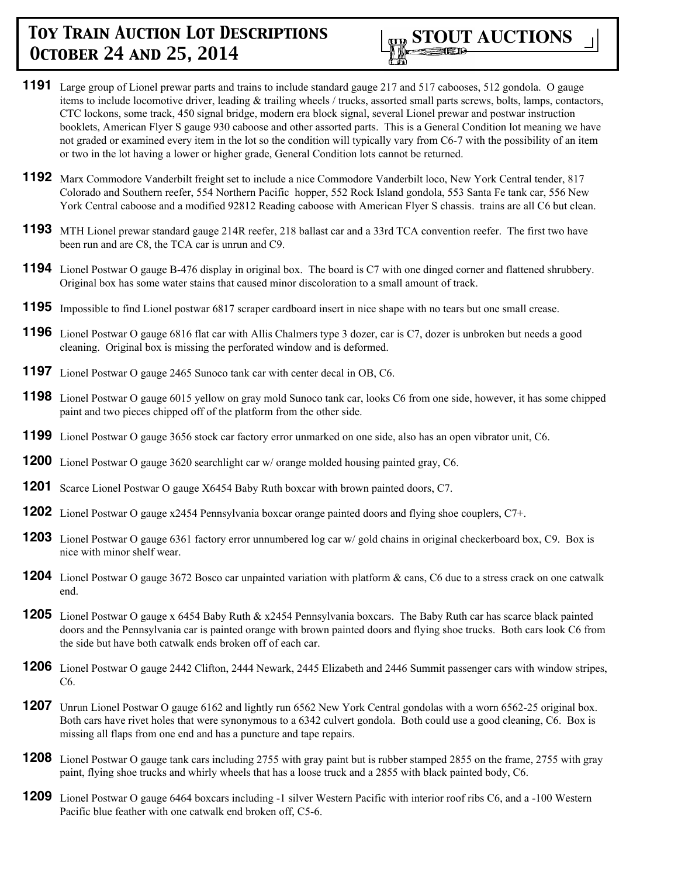- **1191** Large group of Lionel prewar parts and trains to include standard gauge 217 and 517 cabooses, 512 gondola. O gauge items to include locomotive driver, leading  $\&$  trailing wheels / trucks, assorted small parts screws, bolts, lamps, contactors, CTC lockons, some track, 450 signal bridge, modern era block signal, several Lionel prewar and postwar instruction booklets, American Flyer S gauge 930 caboose and other assorted parts. This is a General Condition lot meaning we have not graded or examined every item in the lot so the condition will typically vary from C6-7 with the possibility of an item or two in the lot having a lower or higher grade, General Condition lots cannot be returned.
- **1192** Marx Commodore Vanderbilt freight set to include a nice Commodore Vanderbilt loco, New York Central tender, 817 Colorado and Southern reefer, 554 Northern Pacific hopper, 552 Rock Island gondola, 553 Santa Fe tank car, 556 New York Central caboose and a modified 92812 Reading caboose with American Flyer S chassis. trains are all C6 but clean.
- **1193** MTH Lionel prewar standard gauge 214R reefer, 218 ballast car and a 33rd TCA convention reefer. The first two have been run and are C8, the TCA car is unrun and C9.
- **1194** Lionel Postwar O gauge B-476 display in original box. The board is C7 with one dinged corner and flattened shrubbery. Original box has some water stains that caused minor discoloration to a small amount of track.
- **1195** Impossible to find Lionel postwar 6817 scraper cardboard insert in nice shape with no tears but one small crease.
- **1196** Lionel Postwar O gauge 6816 flat car with Allis Chalmers type 3 dozer, car is C7, dozer is unbroken but needs a good cleaning. Original box is missing the perforated window and is deformed.
- **1197** Lionel Postwar O gauge 2465 Sunoco tank car with center decal in OB, C6.
- **1198** Lionel Postwar O gauge 6015 yellow on gray mold Sunoco tank car, looks C6 from one side, however, it has some chipped paint and two pieces chipped off of the platform from the other side.
- **1199** Lionel Postwar O gauge 3656 stock car factory error unmarked on one side, also has an open vibrator unit, C6.
- **1200** Lionel Postwar O gauge 3620 searchlight car w/ orange molded housing painted gray, C6.
- **1201** Scarce Lionel Postwar O gauge X6454 Baby Ruth boxcar with brown painted doors, C7.
- **1202** Lionel Postwar O gauge x2454 Pennsylvania boxcar orange painted doors and flying shoe couplers, C7+.
- **1203** Lionel Postwar O gauge 6361 factory error unnumbered log car w/ gold chains in original checkerboard box, C9. Box is nice with minor shelf wear.
- **1204** Lionel Postwar O gauge 3672 Bosco car unpainted variation with platform & cans, C6 due to a stress crack on one catwalk end.
- **1205** Lionel Postwar O gauge x 6454 Baby Ruth & x2454 Pennsylvania boxcars. The Baby Ruth car has scarce black painted doors and the Pennsylvania car is painted orange with brown painted doors and flying shoe trucks. Both cars look C6 from the side but have both catwalk ends broken off of each car.
- **1206** Lionel Postwar O gauge 2442 Clifton, 2444 Newark, 2445 Elizabeth and 2446 Summit passenger cars with window stripes, C6.
- **1207** Unrun Lionel Postwar O gauge 6162 and lightly run 6562 New York Central gondolas with a worn 6562-25 original box. Both cars have rivet holes that were synonymous to a 6342 culvert gondola. Both could use a good cleaning, C6. Box is missing all flaps from one end and has a puncture and tape repairs.
- **1208** Lionel Postwar O gauge tank cars including 2755 with gray paint but is rubber stamped 2855 on the frame, 2755 with gray paint, flying shoe trucks and whirly wheels that has a loose truck and a 2855 with black painted body, C6.
- **1209** Lionel Postwar O gauge 6464 boxcars including -1 silver Western Pacific with interior roof ribs C6, and a -100 Western Pacific blue feather with one catwalk end broken off, C5-6.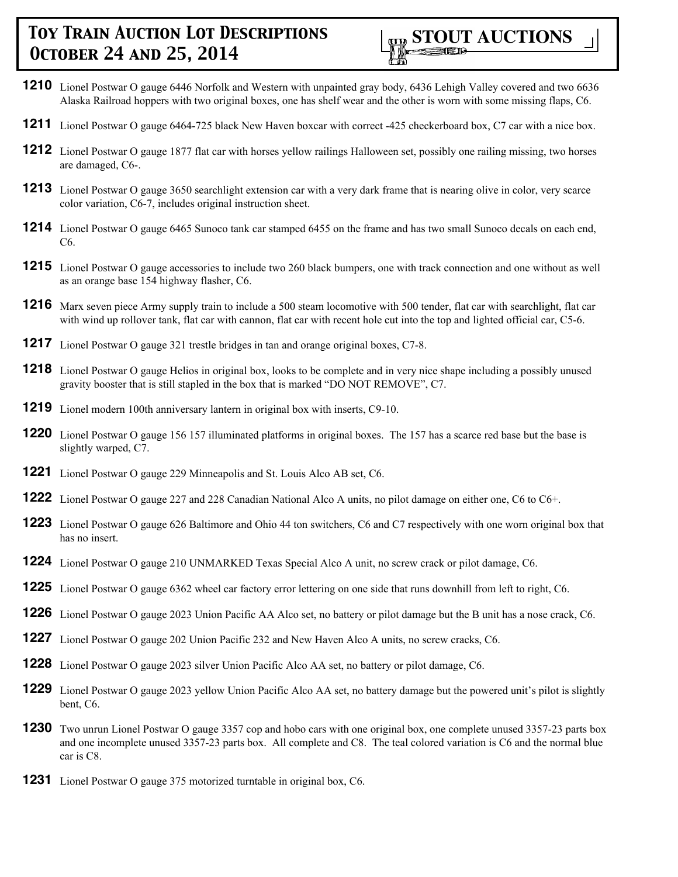

- **1210** Lionel Postwar O gauge 6446 Norfolk and Western with unpainted gray body, 6436 Lehigh Valley covered and two 6636 Alaska Railroad hoppers with two original boxes, one has shelf wear and the other is worn with some missing flaps, C6.
- **1211** Lionel Postwar O gauge 6464-725 black New Haven boxcar with correct -425 checkerboard box, C7 car with a nice box.
- **1212** Lionel Postwar O gauge 1877 flat car with horses yellow railings Halloween set, possibly one railing missing, two horses are damaged, C6-.
- **1213** Lionel Postwar O gauge 3650 searchlight extension car with a very dark frame that is nearing olive in color, very scarce color variation, C6-7, includes original instruction sheet.
- **1214** Lionel Postwar O gauge 6465 Sunoco tank car stamped 6455 on the frame and has two small Sunoco decals on each end, C6.
- **1215** Lionel Postwar O gauge accessories to include two 260 black bumpers, one with track connection and one without as well as an orange base 154 highway flasher, C6.
- **1216** Marx seven piece Army supply train to include a 500 steam locomotive with 500 tender, flat car with searchlight, flat car with wind up rollover tank, flat car with cannon, flat car with recent hole cut into the top and lighted official car, C5-6.
- **1217** Lionel Postwar O gauge 321 trestle bridges in tan and orange original boxes, C7-8.
- **1218** Lionel Postwar O gauge Helios in original box, looks to be complete and in very nice shape including a possibly unused gravity booster that is still stapled in the box that is marked "DO NOT REMOVE", C7.
- **1219** Lionel modern 100th anniversary lantern in original box with inserts, C9-10.
- **1220** Lionel Postwar O gauge 156 157 illuminated platforms in original boxes. The 157 has a scarce red base but the base is slightly warped, C7.
- **1221** Lionel Postwar O gauge 229 Minneapolis and St. Louis Alco AB set, C6.
- **1222** Lionel Postwar O gauge 227 and 228 Canadian National Alco A units, no pilot damage on either one, C6 to C6+.
- **1223** Lionel Postwar O gauge 626 Baltimore and Ohio 44 ton switchers, C6 and C7 respectively with one worn original box that has no insert.
- **1224** Lionel Postwar O gauge 210 UNMARKED Texas Special Alco A unit, no screw crack or pilot damage, C6.
- **1225** Lionel Postwar O gauge 6362 wheel car factory error lettering on one side that runs downhill from left to right, C6.
- **1226** Lionel Postwar O gauge 2023 Union Pacific AA Alco set, no battery or pilot damage but the B unit has a nose crack, C6.
- **1227** Lionel Postwar O gauge 202 Union Pacific 232 and New Haven Alco A units, no screw cracks, C6.
- **1228** Lionel Postwar O gauge 2023 silver Union Pacific Alco AA set, no battery or pilot damage, C6.
- **1229** Lionel Postwar O gauge 2023 yellow Union Pacific Alco AA set, no battery damage but the powered unit's pilot is slightly bent, C6.
- **1230** Two unrun Lionel Postwar O gauge 3357 cop and hobo cars with one original box, one complete unused 3357-23 parts box and one incomplete unused 3357-23 parts box. All complete and C8. The teal colored variation is C6 and the normal blue car is C8.
- **1231** Lionel Postwar O gauge 375 motorized turntable in original box, C6.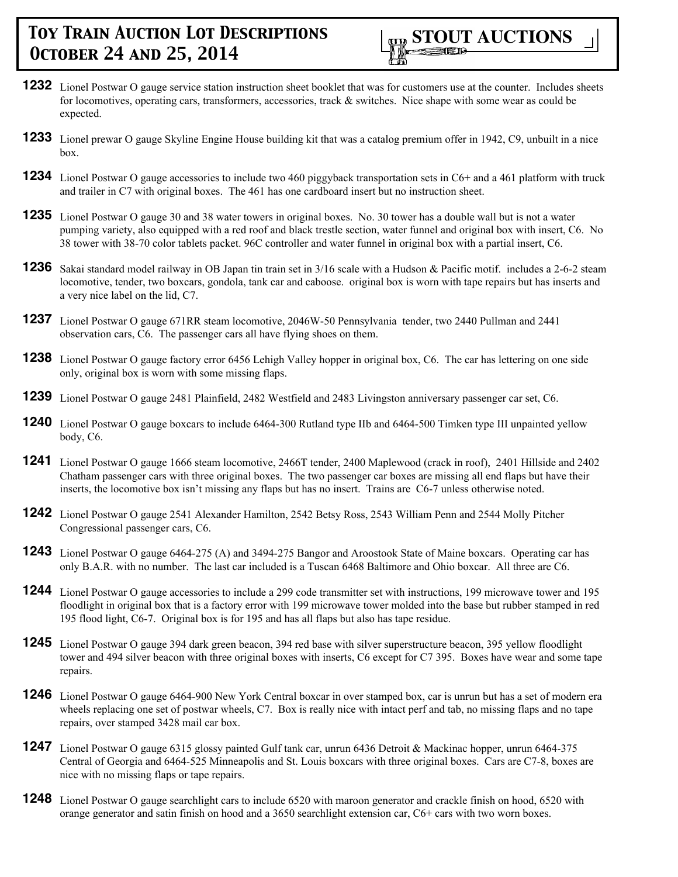

- **1232** Lionel Postwar O gauge service station instruction sheet booklet that was for customers use at the counter. Includes sheets for locomotives, operating cars, transformers, accessories, track & switches. Nice shape with some wear as could be expected.
- **1233** Lionel prewar O gauge Skyline Engine House building kit that was a catalog premium offer in 1942, C9, unbuilt in a nice box.
- **1234** Lionel Postwar O gauge accessories to include two 460 piggyback transportation sets in C6+ and a 461 platform with truck and trailer in C7 with original boxes. The 461 has one cardboard insert but no instruction sheet.
- **1235** Lionel Postwar O gauge 30 and 38 water towers in original boxes. No. 30 tower has a double wall but is not a water pumping variety, also equipped with a red roof and black trestle section, water funnel and original box with insert, C6. No 38 tower with 38-70 color tablets packet. 96C controller and water funnel in original box with a partial insert, C6.
- **1236** Sakai standard model railway in OB Japan tin train set in 3/16 scale with a Hudson & Pacific motif. includes a 2-6-2 steam locomotive, tender, two boxcars, gondola, tank car and caboose. original box is worn with tape repairs but has inserts and a very nice label on the lid, C7.
- **1237** Lionel Postwar O gauge 671RR steam locomotive, 2046W-50 Pennsylvania tender, two 2440 Pullman and 2441 observation cars, C6. The passenger cars all have flying shoes on them.
- **1238** Lionel Postwar O gauge factory error 6456 Lehigh Valley hopper in original box, C6. The car has lettering on one side only, original box is worn with some missing flaps.
- **1239** Lionel Postwar O gauge 2481 Plainfield, 2482 Westfield and 2483 Livingston anniversary passenger car set, C6.
- **1240** Lionel Postwar O gauge boxcars to include 6464-300 Rutland type IIb and 6464-500 Timken type III unpainted yellow body, C6.
- **1241** Lionel Postwar O gauge 1666 steam locomotive, 2466T tender, 2400 Maplewood (crack in roof), 2401 Hillside and 2402 Chatham passenger cars with three original boxes. The two passenger car boxes are missing all end flaps but have their inserts, the locomotive box isn't missing any flaps but has no insert. Trains are C6-7 unless otherwise noted.
- **1242** Lionel Postwar O gauge 2541 Alexander Hamilton, 2542 Betsy Ross, 2543 William Penn and 2544 Molly Pitcher Congressional passenger cars, C6.
- **1243** Lionel Postwar O gauge 6464-275 (A) and 3494-275 Bangor and Aroostook State of Maine boxcars. Operating car has only B.A.R. with no number. The last car included is a Tuscan 6468 Baltimore and Ohio boxcar. All three are C6.
- **1244** Lionel Postwar O gauge accessories to include a 299 code transmitter set with instructions, 199 microwave tower and 195 floodlight in original box that is a factory error with 199 microwave tower molded into the base but rubber stamped in red 195 flood light, C6-7. Original box is for 195 and has all flaps but also has tape residue.
- **1245** Lionel Postwar O gauge 394 dark green beacon, 394 red base with silver superstructure beacon, 395 yellow floodlight tower and 494 silver beacon with three original boxes with inserts, C6 except for C7 395. Boxes have wear and some tape repairs.
- **1246** Lionel Postwar O gauge 6464-900 New York Central boxcar in over stamped box, car is unrun but has a set of modern era wheels replacing one set of postwar wheels, C7. Box is really nice with intact perf and tab, no missing flaps and no tape repairs, over stamped 3428 mail car box.
- **1247** Lionel Postwar O gauge 6315 glossy painted Gulf tank car, unrun 6436 Detroit & Mackinac hopper, unrun 6464-375 Central of Georgia and 6464-525 Minneapolis and St. Louis boxcars with three original boxes. Cars are C7-8, boxes are nice with no missing flaps or tape repairs.
- **1248** Lionel Postwar O gauge searchlight cars to include 6520 with maroon generator and crackle finish on hood, 6520 with orange generator and satin finish on hood and a 3650 searchlight extension car, C6+ cars with two worn boxes.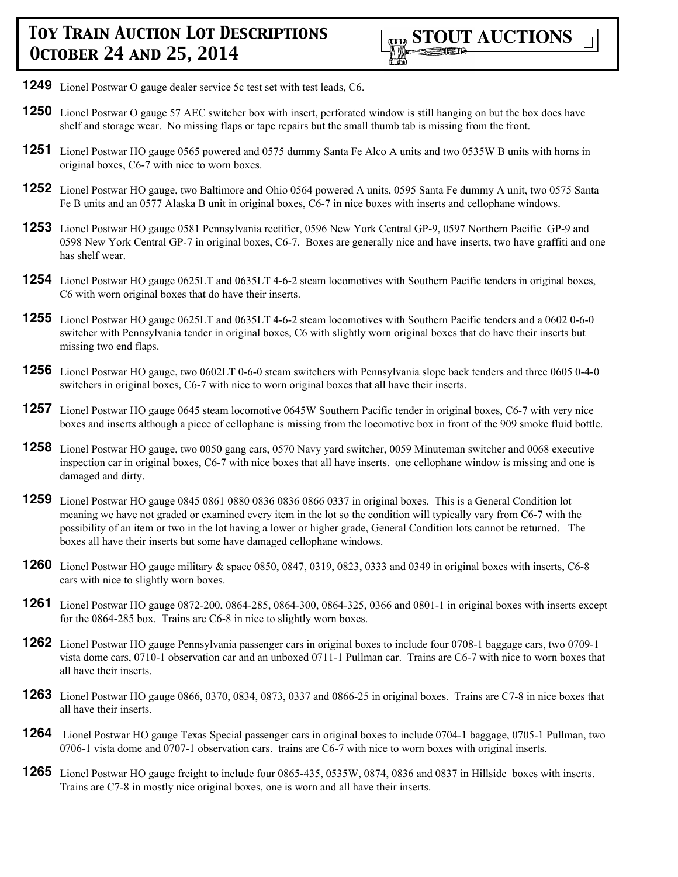

- **1249** Lionel Postwar O gauge dealer service 5c test set with test leads, C6.
- **1250** Lionel Postwar O gauge 57 AEC switcher box with insert, perforated window is still hanging on but the box does have shelf and storage wear. No missing flaps or tape repairs but the small thumb tab is missing from the front.
- **1251** Lionel Postwar HO gauge 0565 powered and 0575 dummy Santa Fe Alco A units and two 0535W B units with horns in original boxes, C6-7 with nice to worn boxes.
- **1252** Lionel Postwar HO gauge, two Baltimore and Ohio 0564 powered A units, 0595 Santa Fe dummy A unit, two 0575 Santa Fe B units and an 0577 Alaska B unit in original boxes, C6-7 in nice boxes with inserts and cellophane windows.
- **1253** Lionel Postwar HO gauge 0581 Pennsylvania rectifier, 0596 New York Central GP-9, 0597 Northern Pacific GP-9 and 0598 New York Central GP-7 in original boxes, C6-7. Boxes are generally nice and have inserts, two have graffiti and one has shelf wear.
- **1254** Lionel Postwar HO gauge 0625LT and 0635LT 4-6-2 steam locomotives with Southern Pacific tenders in original boxes, C6 with worn original boxes that do have their inserts.
- **1255** Lionel Postwar HO gauge 0625LT and 0635LT 4-6-2 steam locomotives with Southern Pacific tenders and a 0602 0-6-0 switcher with Pennsylvania tender in original boxes, C6 with slightly worn original boxes that do have their inserts but missing two end flaps.
- **1256** Lionel Postwar HO gauge, two 0602LT 0-6-0 steam switchers with Pennsylvania slope back tenders and three 0605 0-4-0 switchers in original boxes, C6-7 with nice to worn original boxes that all have their inserts.
- **1257** Lionel Postwar HO gauge 0645 steam locomotive 0645W Southern Pacific tender in original boxes, C6-7 with very nice boxes and inserts although a piece of cellophane is missing from the locomotive box in front of the 909 smoke fluid bottle.
- **1258** Lionel Postwar HO gauge, two 0050 gang cars, 0570 Navy yard switcher, 0059 Minuteman switcher and 0068 executive inspection car in original boxes, C6-7 with nice boxes that all have inserts. one cellophane window is missing and one is damaged and dirty.
- **1259** Lionel Postwar HO gauge 0845 0861 0880 0836 0836 0866 0337 in original boxes. This is a General Condition lot meaning we have not graded or examined every item in the lot so the condition will typically vary from C6-7 with the possibility of an item or two in the lot having a lower or higher grade, General Condition lots cannot be returned. The boxes all have their inserts but some have damaged cellophane windows.
- **1260** Lionel Postwar HO gauge military & space 0850, 0847, 0319, 0823, 0333 and 0349 in original boxes with inserts, C6-8 cars with nice to slightly worn boxes.
- **1261** Lionel Postwar HO gauge 0872-200, 0864-285, 0864-300, 0864-325, 0366 and 0801-1 in original boxes with inserts except for the 0864-285 box. Trains are C6-8 in nice to slightly worn boxes.
- **1262** Lionel Postwar HO gauge Pennsylvania passenger cars in original boxes to include four 0708-1 baggage cars, two 0709-1 vista dome cars, 0710-1 observation car and an unboxed 0711-1 Pullman car. Trains are C6-7 with nice to worn boxes that all have their inserts.
- **1263** Lionel Postwar HO gauge 0866, 0370, 0834, 0873, 0337 and 0866-25 in original boxes. Trains are C7-8 in nice boxes that all have their inserts.
- **1264** Lionel Postwar HO gauge Texas Special passenger cars in original boxes to include 0704-1 baggage, 0705-1 Pullman, two 0706-1 vista dome and 0707-1 observation cars. trains are C6-7 with nice to worn boxes with original inserts.
- **1265** Lionel Postwar HO gauge freight to include four 0865-435, 0535W, 0874, 0836 and 0837 in Hillside boxes with inserts. Trains are C7-8 in mostly nice original boxes, one is worn and all have their inserts.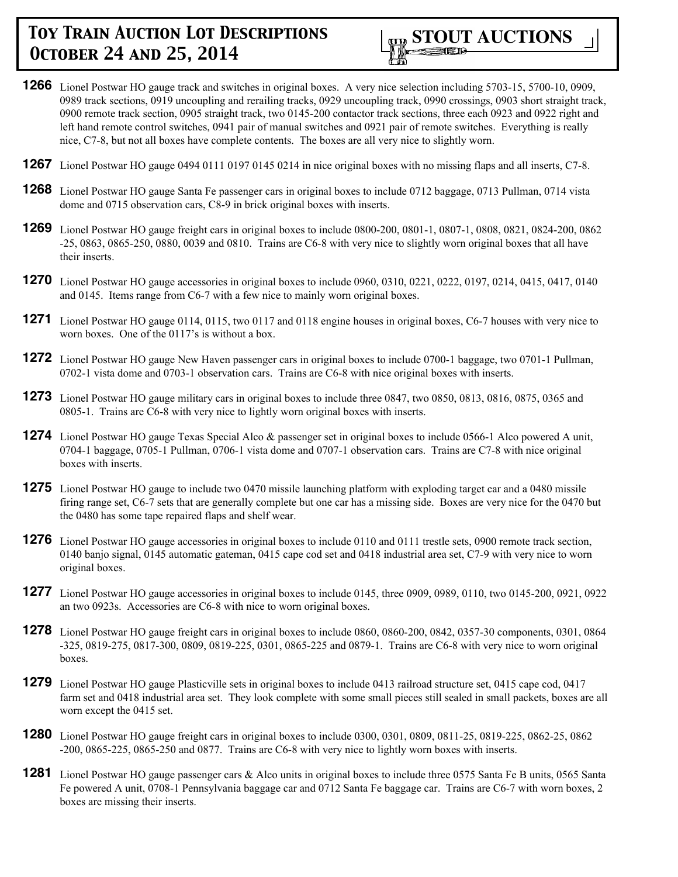

- **1266** Lionel Postwar HO gauge track and switches in original boxes. A very nice selection including 5703-15, 5700-10, 0909, 0989 track sections, 0919 uncoupling and rerailing tracks, 0929 uncoupling track, 0990 crossings, 0903 short straight track, 0900 remote track section, 0905 straight track, two 0145-200 contactor track sections, three each 0923 and 0922 right and left hand remote control switches, 0941 pair of manual switches and 0921 pair of remote switches. Everything is really nice, C7-8, but not all boxes have complete contents. The boxes are all very nice to slightly worn.
- **1267** Lionel Postwar HO gauge 0494 0111 0197 0145 0214 in nice original boxes with no missing flaps and all inserts, C7-8.
- **1268** Lionel Postwar HO gauge Santa Fe passenger cars in original boxes to include 0712 baggage, 0713 Pullman, 0714 vista dome and 0715 observation cars, C8-9 in brick original boxes with inserts.
- **1269** Lionel Postwar HO gauge freight cars in original boxes to include 0800-200, 0801-1, 0807-1, 0808, 0821, 0824-200, 0862 -25, 0863, 0865-250, 0880, 0039 and 0810. Trains are C6-8 with very nice to slightly worn original boxes that all have their inserts.
- **1270** Lionel Postwar HO gauge accessories in original boxes to include 0960, 0310, 0221, 0222, 0197, 0214, 0415, 0417, 0140 and 0145. Items range from C6-7 with a few nice to mainly worn original boxes.
- **1271** Lionel Postwar HO gauge 0114, 0115, two 0117 and 0118 engine houses in original boxes, C6-7 houses with very nice to worn boxes. One of the 0117's is without a box.
- **1272** Lionel Postwar HO gauge New Haven passenger cars in original boxes to include 0700-1 baggage, two 0701-1 Pullman, 0702-1 vista dome and 0703-1 observation cars. Trains are C6-8 with nice original boxes with inserts.
- **1273** Lionel Postwar HO gauge military cars in original boxes to include three 0847, two 0850, 0813, 0816, 0875, 0365 and 0805-1. Trains are C6-8 with very nice to lightly worn original boxes with inserts.
- **1274** Lionel Postwar HO gauge Texas Special Alco & passenger set in original boxes to include 0566-1 Alco powered A unit, 0704-1 baggage, 0705-1 Pullman, 0706-1 vista dome and 0707-1 observation cars. Trains are C7-8 with nice original boxes with inserts.
- **1275** Lionel Postwar HO gauge to include two 0470 missile launching platform with exploding target car and a 0480 missile firing range set, C6-7 sets that are generally complete but one car has a missing side. Boxes are very nice for the 0470 but the 0480 has some tape repaired flaps and shelf wear.
- **1276** Lionel Postwar HO gauge accessories in original boxes to include 0110 and 0111 trestle sets, 0900 remote track section, 0140 banjo signal, 0145 automatic gateman, 0415 cape cod set and 0418 industrial area set, C7-9 with very nice to worn original boxes.
- **1277** Lionel Postwar HO gauge accessories in original boxes to include 0145, three 0909, 0989, 0110, two 0145-200, 0921, 0922 an two 0923s. Accessories are C6-8 with nice to worn original boxes.
- **1278** Lionel Postwar HO gauge freight cars in original boxes to include 0860, 0860-200, 0842, 0357-30 components, 0301, 0864 -325, 0819-275, 0817-300, 0809, 0819-225, 0301, 0865-225 and 0879-1. Trains are C6-8 with very nice to worn original boxes.
- **1279** Lionel Postwar HO gauge Plasticville sets in original boxes to include 0413 railroad structure set, 0415 cape cod, 0417 farm set and 0418 industrial area set. They look complete with some small pieces still sealed in small packets, boxes are all worn except the 0415 set.
- **1280** Lionel Postwar HO gauge freight cars in original boxes to include 0300, 0301, 0809, 0811-25, 0819-225, 0862-25, 0862 -200, 0865-225, 0865-250 and 0877. Trains are C6-8 with very nice to lightly worn boxes with inserts.
- **1281** Lionel Postwar HO gauge passenger cars & Alco units in original boxes to include three 0575 Santa Fe B units, 0565 Santa Fe powered A unit, 0708-1 Pennsylvania baggage car and 0712 Santa Fe baggage car. Trains are C6-7 with worn boxes, 2 boxes are missing their inserts.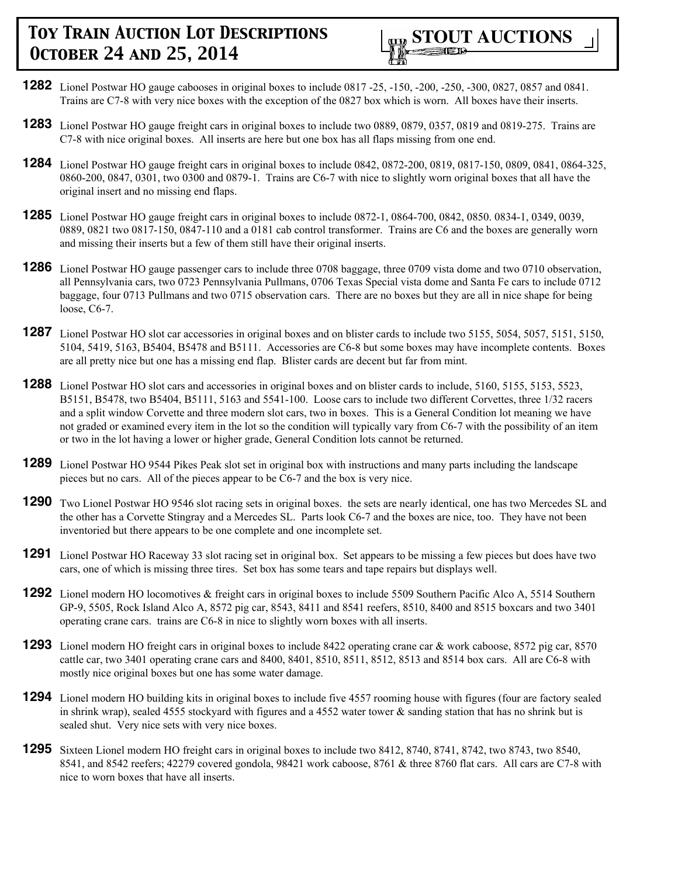

- **1282** Lionel Postwar HO gauge cabooses in original boxes to include 0817 -25, -150, -200, -250, -300, 0827, 0857 and 0841. Trains are C7-8 with very nice boxes with the exception of the 0827 box which is worn. All boxes have their inserts.
- **1283** Lionel Postwar HO gauge freight cars in original boxes to include two 0889, 0879, 0357, 0819 and 0819-275. Trains are C7-8 with nice original boxes. All inserts are here but one box has all flaps missing from one end.
- **1284** Lionel Postwar HO gauge freight cars in original boxes to include 0842, 0872-200, 0819, 0817-150, 0809, 0841, 0864-325, 0860-200, 0847, 0301, two 0300 and 0879-1. Trains are C6-7 with nice to slightly worn original boxes that all have the original insert and no missing end flaps.
- **1285** Lionel Postwar HO gauge freight cars in original boxes to include 0872-1, 0864-700, 0842, 0850. 0834-1, 0349, 0039, 0889, 0821 two 0817-150, 0847-110 and a 0181 cab control transformer. Trains are C6 and the boxes are generally worn and missing their inserts but a few of them still have their original inserts.
- **1286** Lionel Postwar HO gauge passenger cars to include three 0708 baggage, three 0709 vista dome and two 0710 observation, all Pennsylvania cars, two 0723 Pennsylvania Pullmans, 0706 Texas Special vista dome and Santa Fe cars to include 0712 baggage, four 0713 Pullmans and two 0715 observation cars. There are no boxes but they are all in nice shape for being loose, C6-7.
- **1287** Lionel Postwar HO slot car accessories in original boxes and on blister cards to include two 5155, 5054, 5057, 5151, 5150, 5104, 5419, 5163, B5404, B5478 and B5111. Accessories are C6-8 but some boxes may have incomplete contents. Boxes are all pretty nice but one has a missing end flap. Blister cards are decent but far from mint.
- **1288** Lionel Postwar HO slot cars and accessories in original boxes and on blister cards to include, 5160, 5155, 5153, 5523, B5151, B5478, two B5404, B5111, 5163 and 5541-100. Loose cars to include two different Corvettes, three 1/32 racers and a split window Corvette and three modern slot cars, two in boxes. This is a General Condition lot meaning we have not graded or examined every item in the lot so the condition will typically vary from C6-7 with the possibility of an item or two in the lot having a lower or higher grade, General Condition lots cannot be returned.
- **1289** Lionel Postwar HO 9544 Pikes Peak slot set in original box with instructions and many parts including the landscape pieces but no cars. All of the pieces appear to be C6-7 and the box is very nice.
- **1290** Two Lionel Postwar HO 9546 slot racing sets in original boxes. the sets are nearly identical, one has two Mercedes SL and the other has a Corvette Stingray and a Mercedes SL. Parts look C6-7 and the boxes are nice, too. They have not been inventoried but there appears to be one complete and one incomplete set.
- **1291** Lionel Postwar HO Raceway 33 slot racing set in original box. Set appears to be missing a few pieces but does have two cars, one of which is missing three tires. Set box has some tears and tape repairs but displays well.
- **1292** Lionel modern HO locomotives & freight cars in original boxes to include 5509 Southern Pacific Alco A, 5514 Southern GP-9, 5505, Rock Island Alco A, 8572 pig car, 8543, 8411 and 8541 reefers, 8510, 8400 and 8515 boxcars and two 3401 operating crane cars. trains are C6-8 in nice to slightly worn boxes with all inserts.
- **1293** Lionel modern HO freight cars in original boxes to include 8422 operating crane car & work caboose, 8572 pig car, 8570 cattle car, two 3401 operating crane cars and 8400, 8401, 8510, 8511, 8512, 8513 and 8514 box cars. All are C6-8 with mostly nice original boxes but one has some water damage.
- **1294** Lionel modern HO building kits in original boxes to include five 4557 rooming house with figures (four are factory sealed in shrink wrap), sealed 4555 stockyard with figures and a 4552 water tower & sanding station that has no shrink but is sealed shut. Very nice sets with very nice boxes.
- **1295** Sixteen Lionel modern HO freight cars in original boxes to include two 8412, 8740, 8741, 8742, two 8743, two 8540, 8541, and 8542 reefers; 42279 covered gondola, 98421 work caboose, 8761 & three 8760 flat cars. All cars are C7-8 with nice to worn boxes that have all inserts.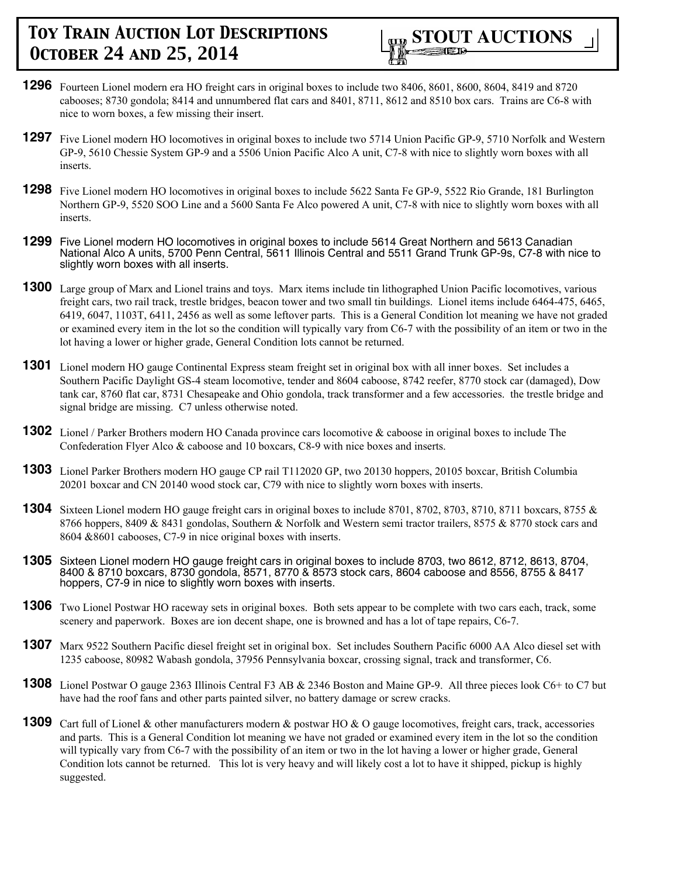- **1296** Fourteen Lionel modern era HO freight cars in original boxes to include two 8406, 8601, 8600, 8604, 8419 and 8720 cabooses; 8730 gondola; 8414 and unnumbered flat cars and 8401, 8711, 8612 and 8510 box cars. Trains are C6-8 with nice to worn boxes, a few missing their insert.
- **1297** Five Lionel modern HO locomotives in original boxes to include two 5714 Union Pacific GP-9, 5710 Norfolk and Western GP-9, 5610 Chessie System GP-9 and a 5506 Union Pacific Alco A unit, C7-8 with nice to slightly worn boxes with all inserts.
- **1298** Five Lionel modern HO locomotives in original boxes to include 5622 Santa Fe GP-9, 5522 Rio Grande, 181 Burlington Northern GP-9, 5520 SOO Line and a 5600 Santa Fe Alco powered A unit, C7-8 with nice to slightly worn boxes with all inserts.
- **1299** Five Lionel modern HO locomotives in original boxes to include 5614 Great Northern and 5613 Canadian National Alco A units, 5700 Penn Central, 5611 Illinois Central and 5511 Grand Trunk GP-9s, C7-8 with nice to slightly worn boxes with all inserts.
- **1300** Large group of Marx and Lionel trains and toys. Marx items include tin lithographed Union Pacific locomotives, various freight cars, two rail track, trestle bridges, beacon tower and two small tin buildings. Lionel items include 6464-475, 6465, 6419, 6047, 1103T, 6411, 2456 as well as some leftover parts. This is a General Condition lot meaning we have not graded or examined every item in the lot so the condition will typically vary from C6-7 with the possibility of an item or two in the lot having a lower or higher grade, General Condition lots cannot be returned.
- **1301** Lionel modern HO gauge Continental Express steam freight set in original box with all inner boxes. Set includes a Southern Pacific Daylight GS-4 steam locomotive, tender and 8604 caboose, 8742 reefer, 8770 stock car (damaged), Dow tank car, 8760 flat car, 8731 Chesapeake and Ohio gondola, track transformer and a few accessories. the trestle bridge and signal bridge are missing. C7 unless otherwise noted.
- **1302** Lionel / Parker Brothers modern HO Canada province cars locomotive & caboose in original boxes to include The Confederation Flyer Alco & caboose and 10 boxcars, C8-9 with nice boxes and inserts.
- **1303** Lionel Parker Brothers modern HO gauge CP rail T112020 GP, two 20130 hoppers, 20105 boxcar, British Columbia 20201 boxcar and CN 20140 wood stock car, C79 with nice to slightly worn boxes with inserts.
- **1304** Sixteen Lionel modern HO gauge freight cars in original boxes to include 8701, 8702, 8703, 8710, 8711 boxcars, 8755 & 8766 hoppers, 8409 & 8431 gondolas, Southern & Norfolk and Western semi tractor trailers, 8575 & 8770 stock cars and 8604 &8601 cabooses, C7-9 in nice original boxes with inserts.
- **1305** Sixteen Lionel modern HO gauge freight cars in original boxes to include 8703, two 8612, 8712, 8613, 8704, 8400 & 8710 boxcars, 8730 gondola, 8571, 8770 & 8573 stock cars, 8604 caboose and 8556, 8755 & 8417 hoppers, C7-9 in nice to slightly worn boxes with inserts.
- **1306** Two Lionel Postwar HO raceway sets in original boxes. Both sets appear to be complete with two cars each, track, some scenery and paperwork. Boxes are ion decent shape, one is browned and has a lot of tape repairs, C6-7.
- **1307** Marx 9522 Southern Pacific diesel freight set in original box. Set includes Southern Pacific 6000 AA Alco diesel set with 1235 caboose, 80982 Wabash gondola, 37956 Pennsylvania boxcar, crossing signal, track and transformer, C6.
- **1308** Lionel Postwar O gauge 2363 Illinois Central F3 AB & 2346 Boston and Maine GP-9. All three pieces look C6+ to C7 but have had the roof fans and other parts painted silver, no battery damage or screw cracks.
- **1309** Cart full of Lionel & other manufacturers modern & postwar HO & O gauge locomotives, freight cars, track, accessories and parts. This is a General Condition lot meaning we have not graded or examined every item in the lot so the condition will typically vary from C6-7 with the possibility of an item or two in the lot having a lower or higher grade, General Condition lots cannot be returned. This lot is very heavy and will likely cost a lot to have it shipped, pickup is highly suggested.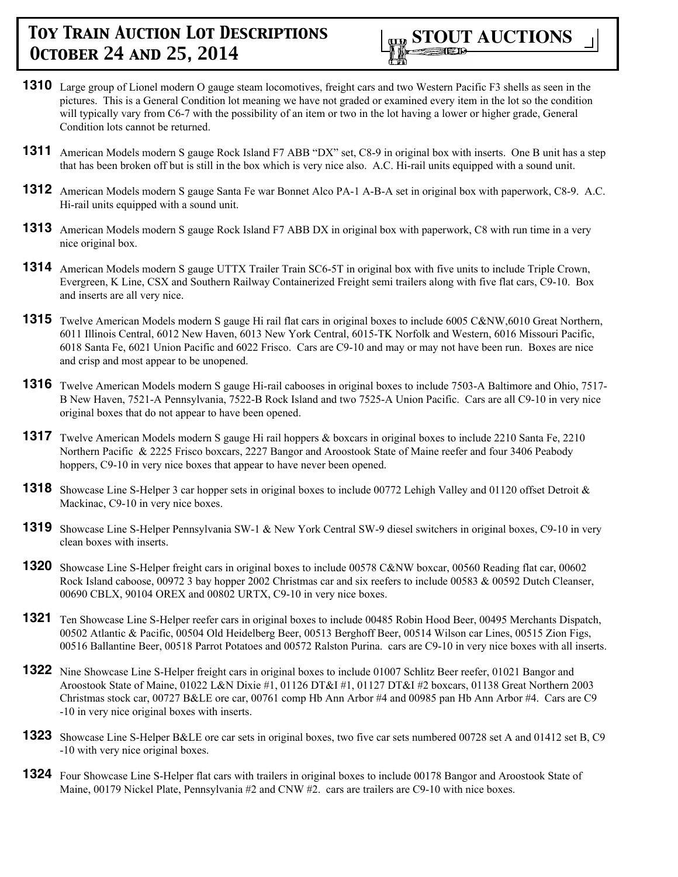

- **1310** Large group of Lionel modern O gauge steam locomotives, freight cars and two Western Pacific F3 shells as seen in the pictures. This is a General Condition lot meaning we have not graded or examined every item in the lot so the condition will typically vary from C6-7 with the possibility of an item or two in the lot having a lower or higher grade, General Condition lots cannot be returned.
- **1311** American Models modern S gauge Rock Island F7 ABB "DX" set, C8-9 in original box with inserts. One B unit has a step that has been broken off but is still in the box which is very nice also. A.C. Hi-rail units equipped with a sound unit.
- **1312** American Models modern S gauge Santa Fe war Bonnet Alco PA-1 A-B-A set in original box with paperwork, C8-9. A.C. Hi-rail units equipped with a sound unit.
- **1313** American Models modern S gauge Rock Island F7 ABB DX in original box with paperwork, C8 with run time in a very nice original box.
- **1314** American Models modern S gauge UTTX Trailer Train SC6-5T in original box with five units to include Triple Crown, Evergreen, K Line, CSX and Southern Railway Containerized Freight semi trailers along with five flat cars, C9-10. Box and inserts are all very nice.
- **1315** Twelve American Models modern S gauge Hi rail flat cars in original boxes to include 6005 C&NW,6010 Great Northern, 6011 Illinois Central, 6012 New Haven, 6013 New York Central, 6015-TK Norfolk and Western, 6016 Missouri Pacific, 6018 Santa Fe, 6021 Union Pacific and 6022 Frisco. Cars are C9-10 and may or may not have been run. Boxes are nice and crisp and most appear to be unopened.
- **1316** Twelve American Models modern S gauge Hi-rail cabooses in original boxes to include 7503-A Baltimore and Ohio, 7517- B New Haven, 7521-A Pennsylvania, 7522-B Rock Island and two 7525-A Union Pacific. Cars are all C9-10 in very nice original boxes that do not appear to have been opened.
- **1317** Twelve American Models modern S gauge Hi rail hoppers & boxcars in original boxes to include 2210 Santa Fe, 2210 Northern Pacific & 2225 Frisco boxcars, 2227 Bangor and Aroostook State of Maine reefer and four 3406 Peabody hoppers, C9-10 in very nice boxes that appear to have never been opened.
- **1318** Showcase Line S-Helper 3 car hopper sets in original boxes to include 00772 Lehigh Valley and 01120 offset Detroit & Mackinac, C9-10 in very nice boxes.
- **1319** Showcase Line S-Helper Pennsylvania SW-1 & New York Central SW-9 diesel switchers in original boxes, C9-10 in very clean boxes with inserts.
- **1320** Showcase Line S-Helper freight cars in original boxes to include 00578 C&NW boxcar, 00560 Reading flat car, 00602 Rock Island caboose, 00972 3 bay hopper 2002 Christmas car and six reefers to include 00583 & 00592 Dutch Cleanser, 00690 CBLX, 90104 OREX and 00802 URTX, C9-10 in very nice boxes.
- **1321** Ten Showcase Line S-Helper reefer cars in original boxes to include 00485 Robin Hood Beer, 00495 Merchants Dispatch, 00502 Atlantic & Pacific, 00504 Old Heidelberg Beer, 00513 Berghoff Beer, 00514 Wilson car Lines, 00515 Zion Figs, 00516 Ballantine Beer, 00518 Parrot Potatoes and 00572 Ralston Purina. cars are C9-10 in very nice boxes with all inserts.
- **1322** Nine Showcase Line S-Helper freight cars in original boxes to include 01007 Schlitz Beer reefer, 01021 Bangor and Aroostook State of Maine, 01022 L&N Dixie #1, 01126 DT&I #1, 01127 DT&I #2 boxcars, 01138 Great Northern 2003 Christmas stock car, 00727 B&LE ore car, 00761 comp Hb Ann Arbor #4 and 00985 pan Hb Ann Arbor #4. Cars are C9 -10 in very nice original boxes with inserts.
- **1323** Showcase Line S-Helper B&LE ore car sets in original boxes, two five car sets numbered 00728 set A and 01412 set B, C9 -10 with very nice original boxes.
- **1324** Four Showcase Line S-Helper flat cars with trailers in original boxes to include 00178 Bangor and Aroostook State of Maine, 00179 Nickel Plate, Pennsylvania #2 and CNW #2. cars are trailers are C9-10 with nice boxes.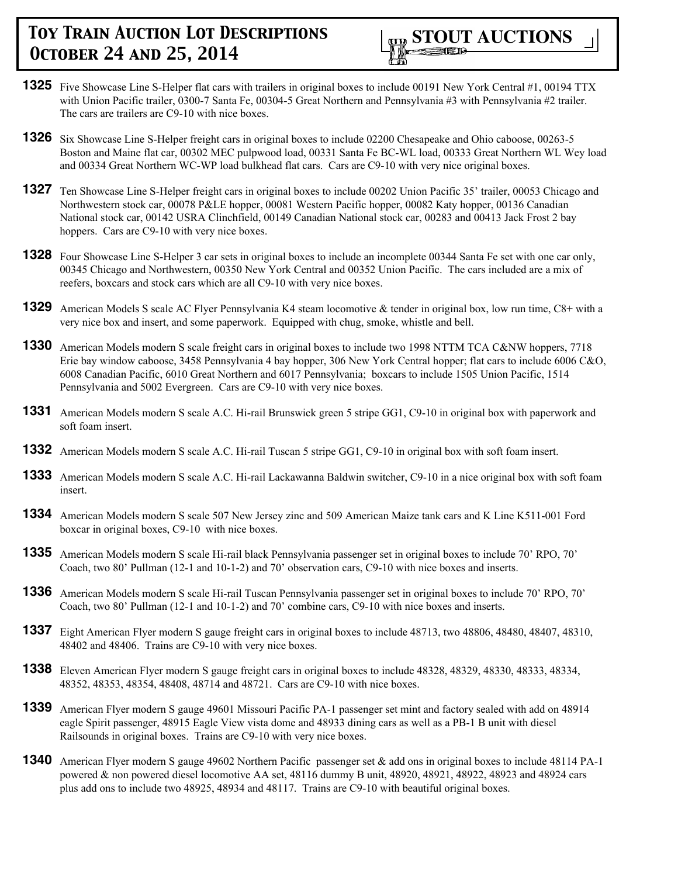

- **1325** Five Showcase Line S-Helper flat cars with trailers in original boxes to include 00191 New York Central #1, 00194 TTX with Union Pacific trailer, 0300-7 Santa Fe, 00304-5 Great Northern and Pennsylvania #3 with Pennsylvania #2 trailer. The cars are trailers are C9-10 with nice boxes.
- **1326** Six Showcase Line S-Helper freight cars in original boxes to include 02200 Chesapeake and Ohio caboose, 00263-5 Boston and Maine flat car, 00302 MEC pulpwood load, 00331 Santa Fe BC-WL load, 00333 Great Northern WL Wey load and 00334 Great Northern WC-WP load bulkhead flat cars. Cars are C9-10 with very nice original boxes.
- **1327** Ten Showcase Line S-Helper freight cars in original boxes to include 00202 Union Pacific 35' trailer, 00053 Chicago and Northwestern stock car, 00078 P&LE hopper, 00081 Western Pacific hopper, 00082 Katy hopper, 00136 Canadian National stock car, 00142 USRA Clinchfield, 00149 Canadian National stock car, 00283 and 00413 Jack Frost 2 bay hoppers. Cars are C9-10 with very nice boxes.
- **1328** Four Showcase Line S-Helper 3 car sets in original boxes to include an incomplete 00344 Santa Fe set with one car only, 00345 Chicago and Northwestern, 00350 New York Central and 00352 Union Pacific. The cars included are a mix of reefers, boxcars and stock cars which are all C9-10 with very nice boxes.
- **1329** American Models S scale AC Flyer Pennsylvania K4 steam locomotive & tender in original box, low run time, C8+ with a very nice box and insert, and some paperwork. Equipped with chug, smoke, whistle and bell.
- **1330** American Models modern S scale freight cars in original boxes to include two 1998 NTTM TCA C&NW hoppers, 7718 Erie bay window caboose, 3458 Pennsylvania 4 bay hopper, 306 New York Central hopper; flat cars to include 6006 C&O, 6008 Canadian Pacific, 6010 Great Northern and 6017 Pennsylvania; boxcars to include 1505 Union Pacific, 1514 Pennsylvania and 5002 Evergreen. Cars are C9-10 with very nice boxes.
- **1331** American Models modern S scale A.C. Hi-rail Brunswick green 5 stripe GG1, C9-10 in original box with paperwork and soft foam insert.
- **1332** American Models modern S scale A.C. Hi-rail Tuscan 5 stripe GG1, C9-10 in original box with soft foam insert.
- **1333** American Models modern S scale A.C. Hi-rail Lackawanna Baldwin switcher, C9-10 in a nice original box with soft foam insert.
- **1334** American Models modern S scale 507 New Jersey zinc and 509 American Maize tank cars and K Line K511-001 Ford boxcar in original boxes, C9-10 with nice boxes.
- **1335** American Models modern S scale Hi-rail black Pennsylvania passenger set in original boxes to include 70' RPO, 70' Coach, two 80' Pullman (12-1 and 10-1-2) and 70' observation cars, C9-10 with nice boxes and inserts.
- **1336** American Models modern S scale Hi-rail Tuscan Pennsylvania passenger set in original boxes to include 70' RPO, 70' Coach, two 80' Pullman (12-1 and 10-1-2) and 70' combine cars, C9-10 with nice boxes and inserts.
- **1337** Eight American Flyer modern S gauge freight cars in original boxes to include 48713, two 48806, 48480, 48407, 48310, 48402 and 48406. Trains are C9-10 with very nice boxes.
- **1338** Eleven American Flyer modern S gauge freight cars in original boxes to include 48328, 48329, 48330, 48333, 48334, 48352, 48353, 48354, 48408, 48714 and 48721. Cars are C9-10 with nice boxes.
- **1339** American Flyer modern S gauge 49601 Missouri Pacific PA-1 passenger set mint and factory sealed with add on 48914 eagle Spirit passenger, 48915 Eagle View vista dome and 48933 dining cars as well as a PB-1 B unit with diesel Railsounds in original boxes. Trains are C9-10 with very nice boxes.
- **1340** American Flyer modern S gauge 49602 Northern Pacific passenger set & add ons in original boxes to include 48114 PA-1 powered & non powered diesel locomotive AA set, 48116 dummy B unit, 48920, 48921, 48922, 48923 and 48924 cars plus add ons to include two 48925, 48934 and 48117. Trains are C9-10 with beautiful original boxes.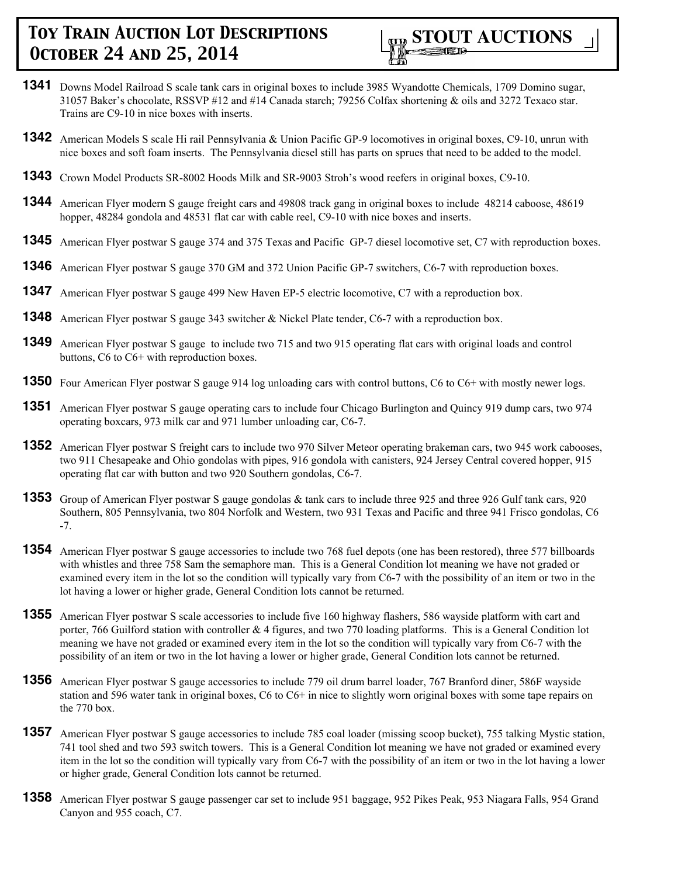

- **1341** Downs Model Railroad S scale tank cars in original boxes to include 3985 Wyandotte Chemicals, 1709 Domino sugar, 31057 Baker's chocolate, RSSVP #12 and #14 Canada starch; 79256 Colfax shortening & oils and 3272 Texaco star. Trains are C9-10 in nice boxes with inserts.
- **1342** American Models S scale Hi rail Pennsylvania & Union Pacific GP-9 locomotives in original boxes, C9-10, unrun with nice boxes and soft foam inserts. The Pennsylvania diesel still has parts on sprues that need to be added to the model.
- **1343** Crown Model Products SR-8002 Hoods Milk and SR-9003 Stroh's wood reefers in original boxes, C9-10.
- **1344** American Flyer modern S gauge freight cars and 49808 track gang in original boxes to include 48214 caboose, 48619 hopper, 48284 gondola and 48531 flat car with cable reel, C9-10 with nice boxes and inserts.
- **1345** American Flyer postwar S gauge 374 and 375 Texas and Pacific GP-7 diesel locomotive set, C7 with reproduction boxes.
- **1346** American Flyer postwar S gauge 370 GM and 372 Union Pacific GP-7 switchers, C6-7 with reproduction boxes.
- **1347** American Flyer postwar S gauge 499 New Haven EP-5 electric locomotive, C7 with a reproduction box.
- **1348** American Flyer postwar S gauge 343 switcher & Nickel Plate tender, C6-7 with a reproduction box.
- **1349** American Flyer postwar S gauge to include two 715 and two 915 operating flat cars with original loads and control buttons, C6 to C6+ with reproduction boxes.
- **1350** Four American Flyer postwar S gauge 914 log unloading cars with control buttons, C6 to C6+ with mostly newer logs.
- **1351** American Flyer postwar S gauge operating cars to include four Chicago Burlington and Quincy 919 dump cars, two 974 operating boxcars, 973 milk car and 971 lumber unloading car, C6-7.
- **1352** American Flyer postwar S freight cars to include two 970 Silver Meteor operating brakeman cars, two 945 work cabooses, two 911 Chesapeake and Ohio gondolas with pipes, 916 gondola with canisters, 924 Jersey Central covered hopper, 915 operating flat car with button and two 920 Southern gondolas, C6-7.
- **1353** Group of American Flyer postwar S gauge gondolas & tank cars to include three 925 and three 926 Gulf tank cars, 920 Southern, 805 Pennsylvania, two 804 Norfolk and Western, two 931 Texas and Pacific and three 941 Frisco gondolas, C6 -7.
- **1354** American Flyer postwar S gauge accessories to include two 768 fuel depots (one has been restored), three 577 billboards with whistles and three 758 Sam the semaphore man. This is a General Condition lot meaning we have not graded or examined every item in the lot so the condition will typically vary from C6-7 with the possibility of an item or two in the lot having a lower or higher grade, General Condition lots cannot be returned.
- **1355** American Flyer postwar S scale accessories to include five 160 highway flashers, 586 wayside platform with cart and porter, 766 Guilford station with controller & 4 figures, and two 770 loading platforms. This is a General Condition lot meaning we have not graded or examined every item in the lot so the condition will typically vary from C6-7 with the possibility of an item or two in the lot having a lower or higher grade, General Condition lots cannot be returned.
- **1356** American Flyer postwar S gauge accessories to include 779 oil drum barrel loader, 767 Branford diner, 586F wayside station and 596 water tank in original boxes, C6 to C6+ in nice to slightly worn original boxes with some tape repairs on the 770 box.
- **1357** American Flyer postwar S gauge accessories to include 785 coal loader (missing scoop bucket), 755 talking Mystic station, 741 tool shed and two 593 switch towers. This is a General Condition lot meaning we have not graded or examined every item in the lot so the condition will typically vary from C6-7 with the possibility of an item or two in the lot having a lower or higher grade, General Condition lots cannot be returned.
- **1358** American Flyer postwar S gauge passenger car set to include 951 baggage, 952 Pikes Peak, 953 Niagara Falls, 954 Grand Canyon and 955 coach, C7.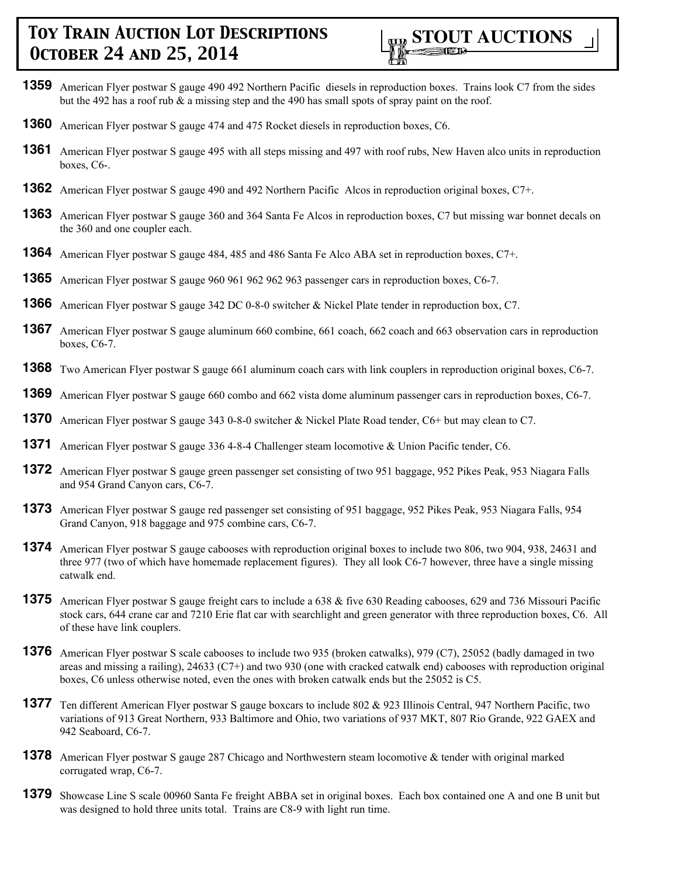- **1359** American Flyer postwar S gauge 490 492 Northern Pacific diesels in reproduction boxes. Trains look C7 from the sides but the 492 has a roof rub  $\&$  a missing step and the 490 has small spots of spray paint on the roof.
- **1360** American Flyer postwar S gauge 474 and 475 Rocket diesels in reproduction boxes, C6.
- **1361** American Flyer postwar S gauge 495 with all steps missing and 497 with roof rubs, New Haven alco units in reproduction boxes, C6-.
- **1362** American Flyer postwar S gauge 490 and 492 Northern Pacific Alcos in reproduction original boxes, C7+.
- **1363** American Flyer postwar S gauge 360 and 364 Santa Fe Alcos in reproduction boxes, C7 but missing war bonnet decals on the 360 and one coupler each.
- **1364** American Flyer postwar S gauge 484, 485 and 486 Santa Fe Alco ABA set in reproduction boxes, C7+.
- **1365** American Flyer postwar S gauge 960 961 962 962 963 passenger cars in reproduction boxes, C6-7.
- **1366** American Flyer postwar S gauge 342 DC 0-8-0 switcher & Nickel Plate tender in reproduction box, C7.
- **1367** American Flyer postwar S gauge aluminum 660 combine, 661 coach, 662 coach and 663 observation cars in reproduction boxes, C6-7.
- **1368** Two American Flyer postwar S gauge 661 aluminum coach cars with link couplers in reproduction original boxes, C6-7.
- **1369** American Flyer postwar S gauge 660 combo and 662 vista dome aluminum passenger cars in reproduction boxes, C6-7.
- **1370** American Flyer postwar S gauge 343 0-8-0 switcher & Nickel Plate Road tender, C6+ but may clean to C7.
- **1371** American Flyer postwar S gauge 336 4-8-4 Challenger steam locomotive & Union Pacific tender, C6.
- **1372** American Flyer postwar S gauge green passenger set consisting of two 951 baggage, 952 Pikes Peak, 953 Niagara Falls and 954 Grand Canyon cars, C6-7.
- **1373** American Flyer postwar S gauge red passenger set consisting of 951 baggage, 952 Pikes Peak, 953 Niagara Falls, 954 Grand Canyon, 918 baggage and 975 combine cars, C6-7.
- **1374** American Flyer postwar S gauge cabooses with reproduction original boxes to include two 806, two 904, 938, 24631 and three 977 (two of which have homemade replacement figures). They all look C6-7 however, three have a single missing catwalk end.
- **1375** American Flyer postwar S gauge freight cars to include a 638 & five 630 Reading cabooses, 629 and 736 Missouri Pacific stock cars, 644 crane car and 7210 Erie flat car with searchlight and green generator with three reproduction boxes, C6. All of these have link couplers.
- **1376** American Flyer postwar S scale cabooses to include two 935 (broken catwalks), 979 (C7), 25052 (badly damaged in two areas and missing a railing), 24633 (C7+) and two 930 (one with cracked catwalk end) cabooses with reproduction original boxes, C6 unless otherwise noted, even the ones with broken catwalk ends but the 25052 is C5.
- **1377** Ten different American Flyer postwar S gauge boxcars to include 802 & 923 Illinois Central, 947 Northern Pacific, two variations of 913 Great Northern, 933 Baltimore and Ohio, two variations of 937 MKT, 807 Rio Grande, 922 GAEX and 942 Seaboard, C6-7.
- **1378** American Flyer postwar S gauge 287 Chicago and Northwestern steam locomotive & tender with original marked corrugated wrap, C6-7.
- **1379** Showcase Line S scale 00960 Santa Fe freight ABBA set in original boxes. Each box contained one A and one B unit but was designed to hold three units total. Trains are C8-9 with light run time.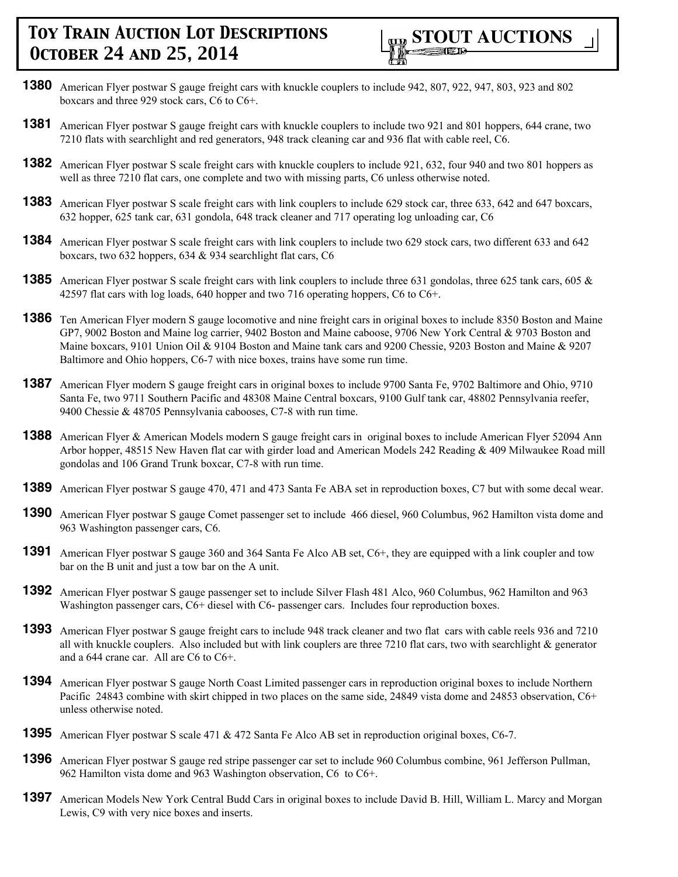

- **1380** American Flyer postwar S gauge freight cars with knuckle couplers to include 942, 807, 922, 947, 803, 923 and 802 boxcars and three 929 stock cars, C6 to C6+.
- **1381** American Flyer postwar S gauge freight cars with knuckle couplers to include two 921 and 801 hoppers, 644 crane, two 7210 flats with searchlight and red generators, 948 track cleaning car and 936 flat with cable reel, C6.
- **1382** American Flyer postwar S scale freight cars with knuckle couplers to include 921, 632, four 940 and two 801 hoppers as well as three 7210 flat cars, one complete and two with missing parts, C6 unless otherwise noted.
- **1383** American Flyer postwar S scale freight cars with link couplers to include 629 stock car, three 633, 642 and 647 boxcars, 632 hopper, 625 tank car, 631 gondola, 648 track cleaner and 717 operating log unloading car, C6
- **1384** American Flyer postwar S scale freight cars with link couplers to include two 629 stock cars, two different 633 and 642 boxcars, two 632 hoppers, 634 & 934 searchlight flat cars, C6
- **1385** American Flyer postwar S scale freight cars with link couplers to include three 631 gondolas, three 625 tank cars, 605 & 42597 flat cars with log loads, 640 hopper and two 716 operating hoppers, C6 to C6+.
- **1386** Ten American Flyer modern S gauge locomotive and nine freight cars in original boxes to include 8350 Boston and Maine GP7, 9002 Boston and Maine log carrier, 9402 Boston and Maine caboose, 9706 New York Central & 9703 Boston and Maine boxcars, 9101 Union Oil & 9104 Boston and Maine tank cars and 9200 Chessie, 9203 Boston and Maine & 9207 Baltimore and Ohio hoppers, C6-7 with nice boxes, trains have some run time.
- **1387** American Flyer modern S gauge freight cars in original boxes to include 9700 Santa Fe, 9702 Baltimore and Ohio, 9710 Santa Fe, two 9711 Southern Pacific and 48308 Maine Central boxcars, 9100 Gulf tank car, 48802 Pennsylvania reefer, 9400 Chessie & 48705 Pennsylvania cabooses, C7-8 with run time.
- **1388** American Flyer & American Models modern S gauge freight cars in original boxes to include American Flyer 52094 Ann Arbor hopper, 48515 New Haven flat car with girder load and American Models 242 Reading & 409 Milwaukee Road mill gondolas and 106 Grand Trunk boxcar, C7-8 with run time.
- **1389** American Flyer postwar S gauge 470, 471 and 473 Santa Fe ABA set in reproduction boxes, C7 but with some decal wear.
- **1390** American Flyer postwar S gauge Comet passenger set to include 466 diesel, 960 Columbus, 962 Hamilton vista dome and 963 Washington passenger cars, C6.
- **1391** American Flyer postwar S gauge 360 and 364 Santa Fe Alco AB set, C6+, they are equipped with a link coupler and tow bar on the B unit and just a tow bar on the A unit.
- **1392** American Flyer postwar S gauge passenger set to include Silver Flash 481 Alco, 960 Columbus, 962 Hamilton and 963 Washington passenger cars, C6+ diesel with C6- passenger cars. Includes four reproduction boxes.
- **1393** American Flyer postwar S gauge freight cars to include 948 track cleaner and two flat cars with cable reels 936 and 7210 all with knuckle couplers. Also included but with link couplers are three  $7210$  flat cars, two with searchlight  $\&$  generator and a 644 crane car. All are C6 to C6+.
- **1394** American Flyer postwar S gauge North Coast Limited passenger cars in reproduction original boxes to include Northern Pacific 24843 combine with skirt chipped in two places on the same side, 24849 vista dome and 24853 observation, C6+ unless otherwise noted.
- **1395** American Flyer postwar S scale 471 & 472 Santa Fe Alco AB set in reproduction original boxes, C6-7.
- **1396** American Flyer postwar S gauge red stripe passenger car set to include 960 Columbus combine, 961 Jefferson Pullman, 962 Hamilton vista dome and 963 Washington observation, C6 to C6+.
- **1397** American Models New York Central Budd Cars in original boxes to include David B. Hill, William L. Marcy and Morgan Lewis, C9 with very nice boxes and inserts.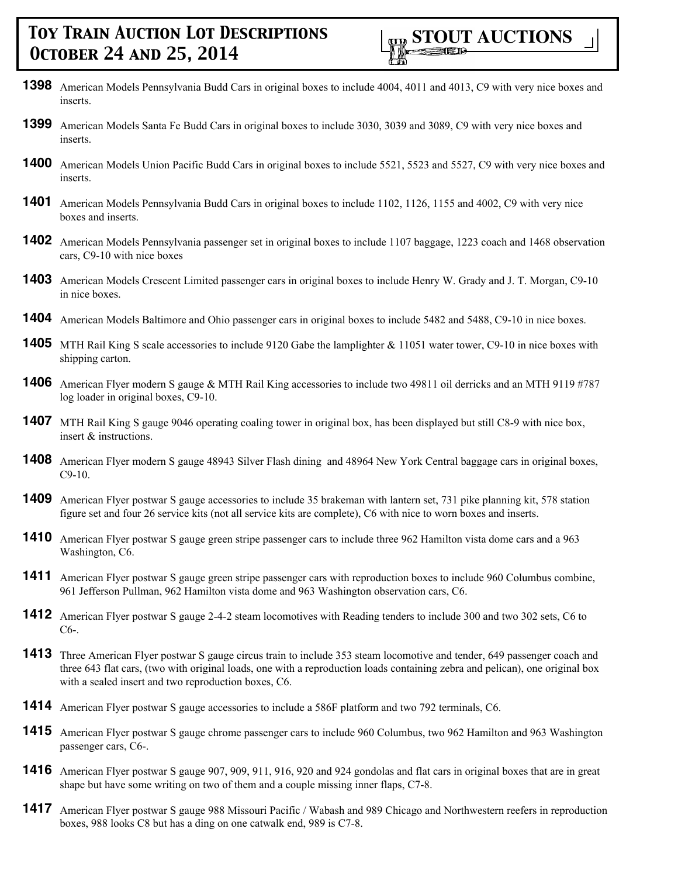- **1398** American Models Pennsylvania Budd Cars in original boxes to include 4004, 4011 and 4013, C9 with very nice boxes and inserts.
- **1399** American Models Santa Fe Budd Cars in original boxes to include 3030, 3039 and 3089, C9 with very nice boxes and inserts.
- **1400** American Models Union Pacific Budd Cars in original boxes to include 5521, 5523 and 5527, C9 with very nice boxes and inserts.
- **1401** American Models Pennsylvania Budd Cars in original boxes to include 1102, 1126, 1155 and 4002, C9 with very nice boxes and inserts.
- **1402** American Models Pennsylvania passenger set in original boxes to include 1107 baggage, 1223 coach and 1468 observation cars, C9-10 with nice boxes
- **1403** American Models Crescent Limited passenger cars in original boxes to include Henry W. Grady and J. T. Morgan, C9-10 in nice boxes.
- **1404** American Models Baltimore and Ohio passenger cars in original boxes to include 5482 and 5488, C9-10 in nice boxes.
- **1405** MTH Rail King S scale accessories to include 9120 Gabe the lamplighter & 11051 water tower, C9-10 in nice boxes with shipping carton.
- **1406** American Flyer modern S gauge & MTH Rail King accessories to include two 49811 oil derricks and an MTH 9119 #787 log loader in original boxes, C9-10.
- **1407** MTH Rail King S gauge 9046 operating coaling tower in original box, has been displayed but still C8-9 with nice box, insert & instructions.
- **1408** American Flyer modern S gauge 48943 Silver Flash dining and 48964 New York Central baggage cars in original boxes, C9-10.
- **1409** American Flyer postwar S gauge accessories to include 35 brakeman with lantern set, 731 pike planning kit, 578 station figure set and four 26 service kits (not all service kits are complete), C6 with nice to worn boxes and inserts.
- **1410** American Flyer postwar S gauge green stripe passenger cars to include three 962 Hamilton vista dome cars and a 963 Washington, C6.
- **1411** American Flyer postwar S gauge green stripe passenger cars with reproduction boxes to include 960 Columbus combine, 961 Jefferson Pullman, 962 Hamilton vista dome and 963 Washington observation cars, C6.
- **1412** American Flyer postwar S gauge 2-4-2 steam locomotives with Reading tenders to include 300 and two 302 sets, C6 to C6-.
- **1413** Three American Flyer postwar S gauge circus train to include 353 steam locomotive and tender, 649 passenger coach and three 643 flat cars, (two with original loads, one with a reproduction loads containing zebra and pelican), one original box with a sealed insert and two reproduction boxes, C6.
- **1414** American Flyer postwar S gauge accessories to include a 586F platform and two 792 terminals, C6.
- **1415** American Flyer postwar S gauge chrome passenger cars to include 960 Columbus, two 962 Hamilton and 963 Washington passenger cars, C6-.
- **1416** American Flyer postwar S gauge 907, 909, 911, 916, 920 and 924 gondolas and flat cars in original boxes that are in great shape but have some writing on two of them and a couple missing inner flaps, C7-8.
- **1417** American Flyer postwar S gauge 988 Missouri Pacific / Wabash and 989 Chicago and Northwestern reefers in reproduction boxes, 988 looks C8 but has a ding on one catwalk end, 989 is C7-8.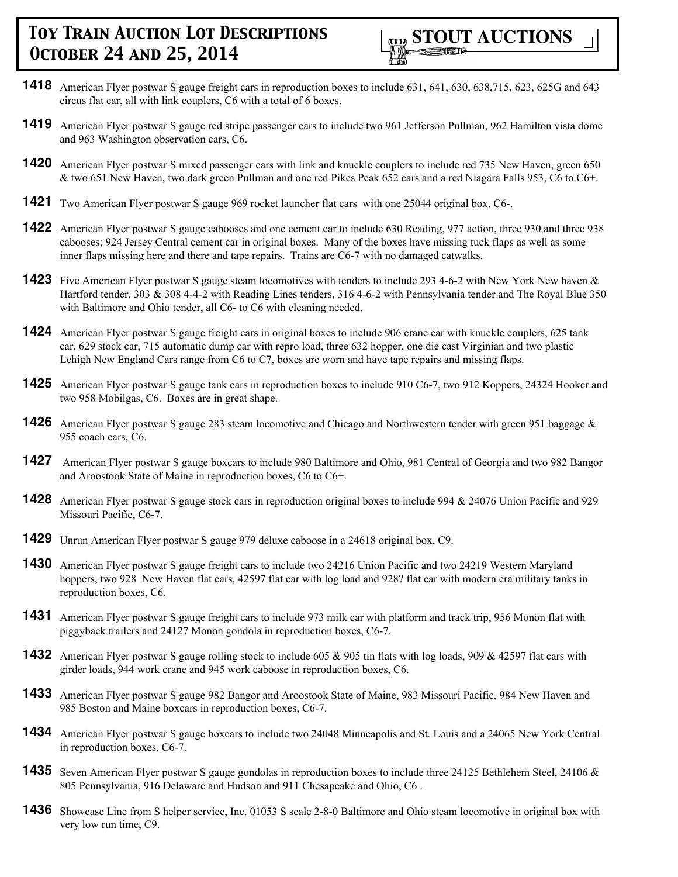

- **1418** American Flyer postwar S gauge freight cars in reproduction boxes to include 631, 641, 630, 638,715, 623, 625G and 643 circus flat car, all with link couplers, C6 with a total of 6 boxes.
- **1419** American Flyer postwar S gauge red stripe passenger cars to include two 961 Jefferson Pullman, 962 Hamilton vista dome and 963 Washington observation cars, C6.
- **1420** American Flyer postwar S mixed passenger cars with link and knuckle couplers to include red 735 New Haven, green 650 & two 651 New Haven, two dark green Pullman and one red Pikes Peak 652 cars and a red Niagara Falls 953, C6 to C6+.
- **1421** Two American Flyer postwar S gauge 969 rocket launcher flat cars with one 25044 original box, C6-.
- **1422** American Flyer postwar S gauge cabooses and one cement car to include 630 Reading, 977 action, three 930 and three 938 cabooses; 924 Jersey Central cement car in original boxes. Many of the boxes have missing tuck flaps as well as some inner flaps missing here and there and tape repairs. Trains are C6-7 with no damaged catwalks.
- **1423** Five American Flyer postwar S gauge steam locomotives with tenders to include 293 4-6-2 with New York New haven & Hartford tender, 303 & 308 4-4-2 with Reading Lines tenders, 316 4-6-2 with Pennsylvania tender and The Royal Blue 350 with Baltimore and Ohio tender, all C6- to C6 with cleaning needed.
- **1424** American Flyer postwar S gauge freight cars in original boxes to include 906 crane car with knuckle couplers, 625 tank car, 629 stock car, 715 automatic dump car with repro load, three 632 hopper, one die cast Virginian and two plastic Lehigh New England Cars range from C6 to C7, boxes are worn and have tape repairs and missing flaps.
- **1425** American Flyer postwar S gauge tank cars in reproduction boxes to include 910 C6-7, two 912 Koppers, 24324 Hooker and two 958 Mobilgas, C6. Boxes are in great shape.
- **1426** American Flyer postwar S gauge 283 steam locomotive and Chicago and Northwestern tender with green 951 baggage & 955 coach cars, C6.
- **1427** American Flyer postwar S gauge boxcars to include 980 Baltimore and Ohio, 981 Central of Georgia and two 982 Bangor and Aroostook State of Maine in reproduction boxes, C6 to C6+.
- **1428** American Flyer postwar S gauge stock cars in reproduction original boxes to include 994 & 24076 Union Pacific and 929 Missouri Pacific, C6-7.
- **1429** Unrun American Flyer postwar S gauge 979 deluxe caboose in a 24618 original box, C9.
- **1430** American Flyer postwar S gauge freight cars to include two 24216 Union Pacific and two 24219 Western Maryland hoppers, two 928 New Haven flat cars, 42597 flat car with log load and 928? flat car with modern era military tanks in reproduction boxes, C6.
- **1431** American Flyer postwar S gauge freight cars to include 973 milk car with platform and track trip, 956 Monon flat with piggyback trailers and 24127 Monon gondola in reproduction boxes, C6-7.
- **1432** American Flyer postwar S gauge rolling stock to include 605 & 905 tin flats with log loads, 909 & 42597 flat cars with girder loads, 944 work crane and 945 work caboose in reproduction boxes, C6.
- **1433** American Flyer postwar S gauge 982 Bangor and Aroostook State of Maine, 983 Missouri Pacific, 984 New Haven and 985 Boston and Maine boxcars in reproduction boxes, C6-7.
- **1434** American Flyer postwar S gauge boxcars to include two 24048 Minneapolis and St. Louis and a 24065 New York Central in reproduction boxes, C6-7.
- **1435** Seven American Flyer postwar S gauge gondolas in reproduction boxes to include three 24125 Bethlehem Steel, 24106 & 805 Pennsylvania, 916 Delaware and Hudson and 911 Chesapeake and Ohio, C6 .
- **1436** Showcase Line from S helper service, Inc. 01053 S scale 2-8-0 Baltimore and Ohio steam locomotive in original box with very low run time, C9.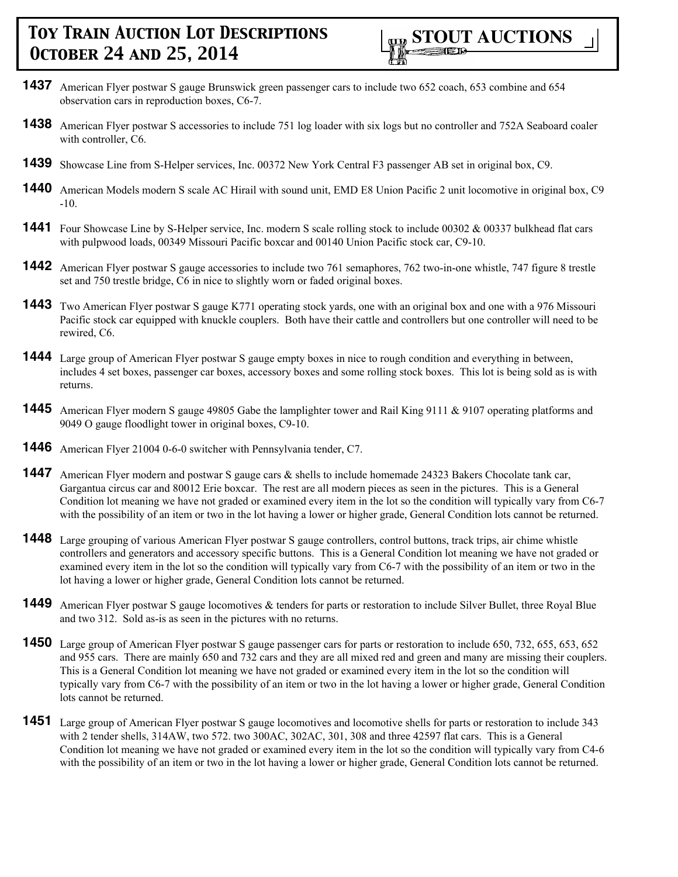- **1437** American Flyer postwar S gauge Brunswick green passenger cars to include two 652 coach, 653 combine and 654 observation cars in reproduction boxes, C6-7.
- **1438** American Flyer postwar S accessories to include 751 log loader with six logs but no controller and 752A Seaboard coaler with controller, C6.
- **1439** Showcase Line from S-Helper services, Inc. 00372 New York Central F3 passenger AB set in original box, C9.
- **1440** American Models modern S scale AC Hirail with sound unit, EMD E8 Union Pacific 2 unit locomotive in original box, C9 -10.
- **1441** Four Showcase Line by S-Helper service, Inc. modern S scale rolling stock to include 00302 & 00337 bulkhead flat cars with pulpwood loads, 00349 Missouri Pacific boxcar and 00140 Union Pacific stock car, C9-10.
- **1442** American Flyer postwar S gauge accessories to include two 761 semaphores, 762 two-in-one whistle, 747 figure 8 trestle set and 750 trestle bridge, C6 in nice to slightly worn or faded original boxes.
- **1443** Two American Flyer postwar S gauge K771 operating stock yards, one with an original box and one with a 976 Missouri Pacific stock car equipped with knuckle couplers. Both have their cattle and controllers but one controller will need to be rewired, C6.
- **1444** Large group of American Flyer postwar S gauge empty boxes in nice to rough condition and everything in between, includes 4 set boxes, passenger car boxes, accessory boxes and some rolling stock boxes. This lot is being sold as is with returns.
- **1445** American Flyer modern S gauge 49805 Gabe the lamplighter tower and Rail King 9111 & 9107 operating platforms and 9049 O gauge floodlight tower in original boxes, C9-10.
- **1446** American Flyer 21004 0-6-0 switcher with Pennsylvania tender, C7.
- **1447** American Flyer modern and postwar S gauge cars & shells to include homemade 24323 Bakers Chocolate tank car, Gargantua circus car and 80012 Erie boxcar. The rest are all modern pieces as seen in the pictures. This is a General Condition lot meaning we have not graded or examined every item in the lot so the condition will typically vary from C6-7 with the possibility of an item or two in the lot having a lower or higher grade, General Condition lots cannot be returned.
- **1448** Large grouping of various American Flyer postwar S gauge controllers, control buttons, track trips, air chime whistle controllers and generators and accessory specific buttons. This is a General Condition lot meaning we have not graded or examined every item in the lot so the condition will typically vary from C6-7 with the possibility of an item or two in the lot having a lower or higher grade, General Condition lots cannot be returned.
- **1449** American Flyer postwar S gauge locomotives & tenders for parts or restoration to include Silver Bullet, three Royal Blue and two 312. Sold as-is as seen in the pictures with no returns.
- **1450** Large group of American Flyer postwar S gauge passenger cars for parts or restoration to include 650, 732, 655, 653, 652 and 955 cars. There are mainly 650 and 732 cars and they are all mixed red and green and many are missing their couplers. This is a General Condition lot meaning we have not graded or examined every item in the lot so the condition will typically vary from C6-7 with the possibility of an item or two in the lot having a lower or higher grade, General Condition lots cannot be returned.
- **1451** Large group of American Flyer postwar S gauge locomotives and locomotive shells for parts or restoration to include 343 with 2 tender shells, 314AW, two 572. two 300AC, 302AC, 301, 308 and three 42597 flat cars. This is a General Condition lot meaning we have not graded or examined every item in the lot so the condition will typically vary from C4-6 with the possibility of an item or two in the lot having a lower or higher grade, General Condition lots cannot be returned.